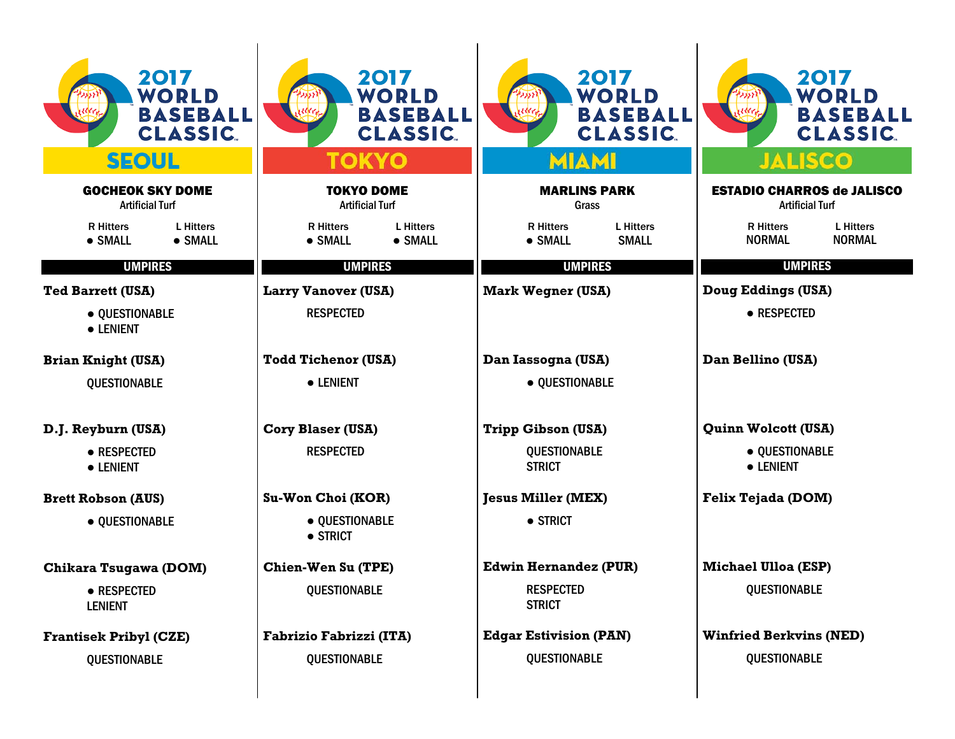| 2017<br>WORLD<br><b>BASEBALL</b><br><b>CLASSIC.</b><br><b>SEOUL</b> | 2017<br><b>WORLD</b><br><b>BASEBALL</b><br><b>CLASSIC.</b><br>ΤΟΚΥΟ | 2017<br><b>WORLD</b><br><b>BASEBALL</b><br><b>CLASSIC.</b><br><b>MIAMI</b> | 2017<br><b>WORLD</b><br><b>BASEBALL</b><br><b>CLASSIC.</b><br><b>JALISCO</b> |  |  |
|---------------------------------------------------------------------|---------------------------------------------------------------------|----------------------------------------------------------------------------|------------------------------------------------------------------------------|--|--|
| <b>GOCHEOK SKY DOME</b><br><b>Artificial Turf</b>                   | <b>TOKYO DOME</b><br><b>Artificial Turf</b>                         | <b>MARLINS PARK</b><br>Grass                                               | <b>ESTADIO CHARROS de JALISCO</b><br><b>Artificial Turf</b>                  |  |  |
| <b>R</b> Hitters<br><b>L</b> Hitters<br>• SMALL<br>• SMALL          | <b>R</b> Hitters<br><b>L</b> Hitters<br>• SMALL<br>• SMALL          | <b>L</b> Hitters<br><b>R</b> Hitters<br>• SMALL<br><b>SMALL</b>            | <b>R</b> Hitters<br><b>L</b> Hitters<br><b>NORMAL</b><br><b>NORMAL</b>       |  |  |
| <b>UMPIRES</b>                                                      | <b>UMPIRES</b>                                                      | <b>UMPIRES</b>                                                             | <b>UMPIRES</b>                                                               |  |  |
| <b>Ted Barrett (USA)</b>                                            | <b>Larry Vanover (USA)</b>                                          | <b>Mark Wegner (USA)</b>                                                   | Doug Eddings (USA)                                                           |  |  |
| · QUESTIONABLE<br>• LENIENT                                         | <b>RESPECTED</b>                                                    |                                                                            | • RESPECTED                                                                  |  |  |
| <b>Brian Knight (USA)</b>                                           | <b>Todd Tichenor (USA)</b>                                          | Dan Iassogna (USA)                                                         | Dan Bellino (USA)                                                            |  |  |
| <b>QUESTIONABLE</b>                                                 | • LENIENT                                                           | · QUESTIONABLE                                                             |                                                                              |  |  |
| D.J. Reyburn (USA)                                                  | <b>Cory Blaser (USA)</b>                                            | <b>Tripp Gibson (USA)</b>                                                  | <b>Quinn Wolcott (USA)</b>                                                   |  |  |
| • RESPECTED<br>• LENIENT                                            | <b>RESPECTED</b>                                                    | <b>QUESTIONABLE</b><br><b>STRICT</b>                                       | · QUESTIONABLE<br>• LENIENT                                                  |  |  |
| <b>Brett Robson (AUS)</b>                                           | Su-Won Choi (KOR)                                                   | <b>Jesus Miller (MEX)</b>                                                  | Felix Tejada (DOM)                                                           |  |  |
| • QUESTIONABLE                                                      | • OUESTIONABLE<br>$\bullet$ STRICT                                  | • STRICT                                                                   |                                                                              |  |  |
| Chikara Tsugawa (DOM)                                               | <b>Chien-Wen Su (TPE)</b>                                           | <b>Edwin Hernandez (PUR)</b>                                               | <b>Michael Ulloa (ESP)</b>                                                   |  |  |
| • RESPECTED<br><b>LENIENT</b>                                       | <b>QUESTIONABLE</b>                                                 | <b>RESPECTED</b><br><b>STRICT</b>                                          | QUESTIONABLE                                                                 |  |  |
| <b>Frantisek Pribyl (CZE)</b>                                       | Fabrizio Fabrizzi (ITA)                                             | <b>Edgar Estivision (PAN)</b>                                              | <b>Winfried Berkvins (NED)</b>                                               |  |  |
| <b>QUESTIONABLE</b>                                                 | <b>QUESTIONABLE</b>                                                 | <b>QUESTIONABLE</b>                                                        | <b>QUESTIONABLE</b>                                                          |  |  |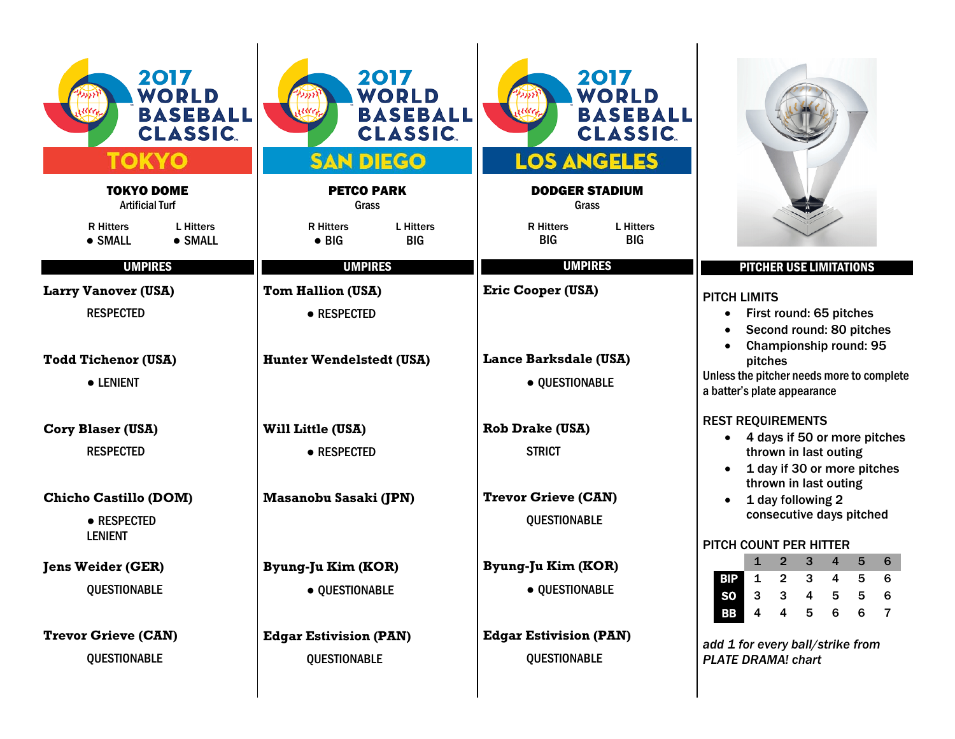| 2017<br><b>WORLD</b><br><b>BASEBALL</b><br><b>CLASSIC.</b> | 2017<br>WORLD<br><b>BASEBALL</b><br><b>CLASSIC.</b><br><b>SAN DIEGO</b> | 2017<br><b>WORLD</b><br><b>BASEBALL</b><br><b>CLASSIC.</b><br><b>LOS ANGELES</b> |                                                                                                       |  |  |  |
|------------------------------------------------------------|-------------------------------------------------------------------------|----------------------------------------------------------------------------------|-------------------------------------------------------------------------------------------------------|--|--|--|
| <b>TOKYO DOME</b><br><b>Artificial Turf</b>                | <b>PETCO PARK</b><br>Grass                                              | <b>DODGER STADIUM</b><br>Grass                                                   |                                                                                                       |  |  |  |
| <b>R</b> Hitters<br><b>L</b> Hitters<br>• SMALL<br>• SMALL | <b>R</b> Hitters<br><b>L</b> Hitters<br>$\bullet$ BIG<br><b>BIG</b>     | <b>R</b> Hitters<br><b>L</b> Hitters<br><b>BIG</b><br><b>BIG</b>                 |                                                                                                       |  |  |  |
| <b>UMPIRES</b>                                             | <b>UMPIRES</b>                                                          | <b>UMPIRES</b>                                                                   | <b>PITCHER USE LIMITATIONS</b>                                                                        |  |  |  |
| <b>Larry Vanover (USA)</b>                                 | <b>Tom Hallion (USA)</b>                                                | <b>Eric Cooper (USA)</b>                                                         | <b>PITCH LIMITS</b>                                                                                   |  |  |  |
| <b>RESPECTED</b>                                           | • RESPECTED                                                             |                                                                                  | First round: 65 pitches<br>$\bullet$<br>Second round: 80 pitches<br>Championship round: 95            |  |  |  |
| <b>Todd Tichenor (USA)</b>                                 | <b>Hunter Wendelstedt (USA)</b>                                         | Lance Barksdale (USA)                                                            | pitches                                                                                               |  |  |  |
| • LENIENT                                                  |                                                                         | · QUESTIONABLE                                                                   | Unless the pitcher needs more to complete<br>a batter's plate appearance                              |  |  |  |
| <b>Cory Blaser (USA)</b>                                   | Will Little (USA)                                                       | <b>Rob Drake (USA)</b>                                                           | <b>REST REQUIREMENTS</b>                                                                              |  |  |  |
| <b>RESPECTED</b>                                           | • RESPECTED                                                             | <b>STRICT</b>                                                                    | 4 days if 50 or more pitches<br>thrown in last outing                                                 |  |  |  |
| <b>Chicho Castillo (DOM)</b>                               | <b>Masanobu Sasaki (JPN)</b>                                            | <b>Trevor Grieve (CAN)</b>                                                       | 1 day if 30 or more pitches<br>thrown in last outing<br>1 day following 2<br>consecutive days pitched |  |  |  |
| • RESPECTED<br><b>LENIENT</b>                              |                                                                         | <b>QUESTIONABLE</b>                                                              |                                                                                                       |  |  |  |
|                                                            |                                                                         |                                                                                  | PITCH COUNT PER HITTER<br>6<br>3                                                                      |  |  |  |
| <b>Jens Weider (GER)</b>                                   | Byung-Ju Kim (KOR)                                                      | Byung-Ju Kim (KOR)                                                               | <b>BIP</b><br>$\mathbf 1$<br>$\overline{2}$<br>3<br>5<br>6<br>4                                       |  |  |  |
| <b>QUESTIONABLE</b>                                        | · QUESTIONABLE                                                          | · QUESTIONABLE                                                                   | <b>SO</b><br>$\mathbf{3}$<br>3<br>5<br>5<br>4<br>-6                                                   |  |  |  |
|                                                            |                                                                         |                                                                                  | <b>BB</b><br>$\overline{4}$<br>$\overline{\mathbf{4}}$<br>$6\phantom{1}6$<br>5<br>6<br>$\overline{7}$ |  |  |  |
| <b>Trevor Grieve (CAN)</b>                                 | <b>Edgar Estivision (PAN)</b>                                           | <b>Edgar Estivision (PAN)</b>                                                    | add 1 for every ball/strike from                                                                      |  |  |  |
| QUESTIONABLE                                               | <b>QUESTIONABLE</b>                                                     | QUESTIONABLE                                                                     | <b>PLATE DRAMA! chart</b>                                                                             |  |  |  |
|                                                            |                                                                         |                                                                                  |                                                                                                       |  |  |  |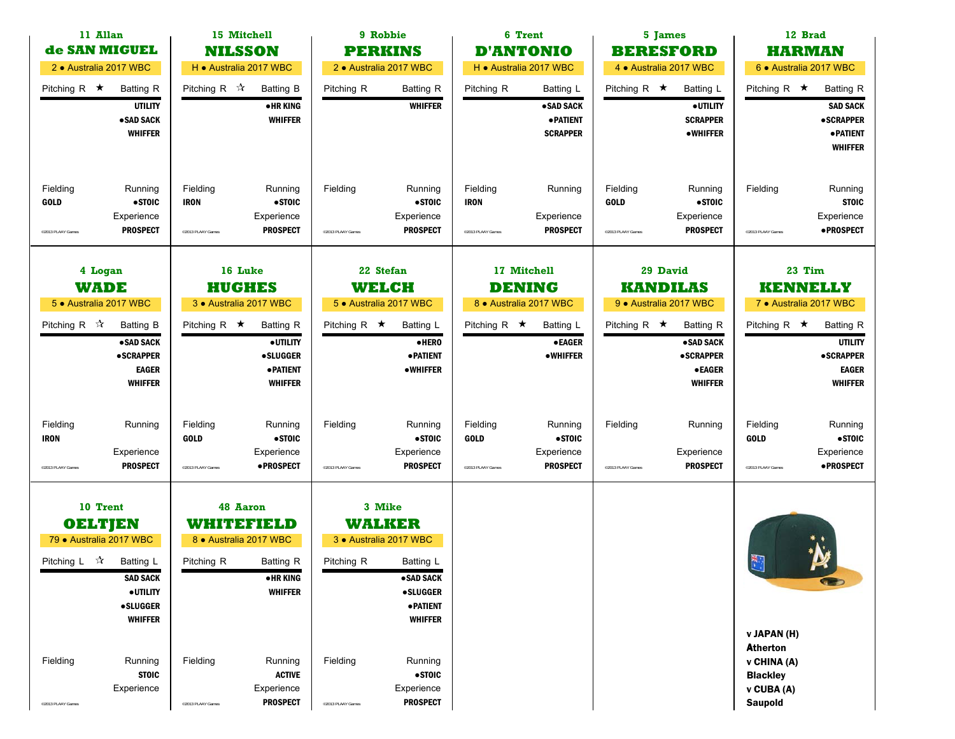| 11 Allan<br>de SAN MIGUEL                                |                                                                                      |                                              | 15 Mitchell                                                                            |                                           | 9 Robbie                                                                      |                                              | 6 Trent                                                       | 5 James                                      |                                                                                      |                                                                                                  | 12 Brad                                                                                      |
|----------------------------------------------------------|--------------------------------------------------------------------------------------|----------------------------------------------|----------------------------------------------------------------------------------------|-------------------------------------------|-------------------------------------------------------------------------------|----------------------------------------------|---------------------------------------------------------------|----------------------------------------------|--------------------------------------------------------------------------------------|--------------------------------------------------------------------------------------------------|----------------------------------------------------------------------------------------------|
|                                                          |                                                                                      |                                              | <b>NILSSON</b>                                                                         |                                           | <b>PERKINS</b>                                                                |                                              | <b>D'ANTONIO</b>                                              | <b>BERESFORD</b>                             |                                                                                      |                                                                                                  | <b>HARMAN</b>                                                                                |
| 2 · Australia 2017 WBC                                   |                                                                                      |                                              | H . Australia 2017 WBC                                                                 |                                           | 2 · Australia 2017 WBC                                                        |                                              | H · Australia 2017 WBC                                        | 4 · Australia 2017 WBC                       |                                                                                      |                                                                                                  | 6 · Australia 2017 WBC                                                                       |
| Pitching R $\star$                                       | <b>Batting R</b><br><b>UTILITY</b><br>•SAD SACK<br><b>WHIFFER</b>                    | Pitching R $\mathcal{R}$                     | <b>Batting B</b><br>• HR KING<br><b>WHIFFER</b>                                        | Pitching R                                | <b>Batting R</b><br><b>WHIFFER</b>                                            | Pitching R                                   | Batting L<br>•SAD SACK<br><b>• PATIENT</b><br><b>SCRAPPER</b> | Pitching R $\star$                           | Batting L<br>· UTILITY<br><b>SCRAPPER</b><br><b>•WHIFFER</b>                         | Pitching R $\star$                                                                               | <b>Batting R</b><br><b>SAD SACK</b><br><b>•SCRAPPER</b><br><b>•PATIENT</b><br><b>WHIFFER</b> |
| Fielding<br><b>GOLD</b><br>@2013 PLAAY Games             | Running<br>• STOIC<br>Experience<br><b>PROSPECT</b>                                  | Fielding<br><b>IRON</b><br>@2013 PLAAY Games | Running<br>•STOIC<br>Experience<br><b>PROSPECT</b>                                     | Fielding<br><sup>©</sup> 2013 PLAAY Games | Running<br>$•$ STOIC<br>Experience<br><b>PROSPECT</b>                         | Fielding<br><b>IRON</b><br>@2013 PLAAY Games | Running<br>Experience<br><b>PROSPECT</b>                      | Fielding<br><b>GOLD</b><br>@2013 PLAAY Games | Running<br>•STOIC<br>Experience<br><b>PROSPECT</b>                                   | Fielding<br><sup>©</sup> 2013 PLAAY Games                                                        | Running<br><b>STOIC</b><br>Experience<br><b>•PROSPECT</b>                                    |
| 4 Logan<br><b>WADE</b>                                   |                                                                                      |                                              | 16 Luke<br><b>HUGHES</b>                                                               | 22 Stefan<br><b>WELCH</b>                 |                                                                               |                                              | 17 Mitchell                                                   | 29 David                                     |                                                                                      | 23 Tim<br><b>KENNELLY</b>                                                                        |                                                                                              |
| 5 · Australia 2017 WBC                                   |                                                                                      |                                              | 3 · Australia 2017 WBC                                                                 |                                           | 5 · Australia 2017 WBC                                                        | <b>DENING</b><br>8 · Australia 2017 WBC      |                                                               | <b>KANDILAS</b><br>9 · Australia 2017 WBC    |                                                                                      | 7 · Australia 2017 WBC                                                                           |                                                                                              |
| Pitching R $\mathbb{\hat{X}}$                            | <b>Batting B</b><br>• SAD SACK<br><b>•SCRAPPER</b><br><b>EAGER</b><br><b>WHIFFER</b> | Pitching R $\star$                           | <b>Batting R</b><br>· UTILITY<br><b>•SLUGGER</b><br><b>• PATIENT</b><br><b>WHIFFER</b> | Pitching R $\star$                        | <b>Batting L</b><br>·HERO<br><b>• PATIENT</b><br>•WHIFFER                     | Pitching R $\star$                           | Batting L<br><b>•EAGER</b><br>•WHIFFER                        | Pitching R $\star$                           | <b>Batting R</b><br>·SAD SACK<br><b>•SCRAPPER</b><br><b>•EAGER</b><br><b>WHIFFER</b> | Pitching R $\star$                                                                               | <b>Batting R</b><br><b>UTILITY</b><br><b>•SCRAPPER</b><br><b>EAGER</b><br><b>WHIFFER</b>     |
| Fielding<br><b>IRON</b><br><sup>©</sup> 2013 PLAAY Games | Running<br>Experience<br><b>PROSPECT</b>                                             | Fielding<br><b>GOLD</b><br>@2013 PLAAY Games | Running<br>•STOIC<br>Experience<br>·PROSPECT                                           | Fielding<br>©2013 PLAAY Games             | Running<br>$\bullet$ STOIC<br>Experience<br><b>PROSPECT</b>                   | Fielding<br><b>GOLD</b><br>@2013 PLAAY Games | Running<br>• STOIC<br>Experience<br><b>PROSPECT</b>           | Fielding<br>©2013 PLAAY Games                | Running<br>Experience<br><b>PROSPECT</b>                                             | Fielding<br><b>GOLD</b><br><sup>©</sup> 2013 PLAAY Games                                         | Running<br>• STOIC<br>Experience<br>• PROSPECT                                               |
| 10 Trent                                                 |                                                                                      |                                              | <b>48 Aaron</b>                                                                        |                                           | 3 Mike                                                                        |                                              |                                                               |                                              |                                                                                      |                                                                                                  |                                                                                              |
| <b>OELTJEN</b>                                           |                                                                                      |                                              | WHITEFIELD                                                                             |                                           | <b>WALKER</b>                                                                 |                                              |                                                               |                                              |                                                                                      |                                                                                                  |                                                                                              |
| 79 · Australia 2017 WBC                                  |                                                                                      |                                              | 8 · Australia 2017 WBC                                                                 |                                           | 3 · Australia 2017 WBC                                                        |                                              |                                                               |                                              |                                                                                      |                                                                                                  |                                                                                              |
| Pitching L $\vec{x}$                                     | Batting L<br><b>SAD SACK</b><br>· UTILITY<br><b>•SLUGGER</b>                         | Pitching R                                   | <b>Batting R</b><br><b>•HRKING</b><br><b>WHIFFER</b>                                   | Pitching R                                | Batting L<br>• SAD SACK<br><b>•SLUGGER</b><br><b>• PATIENT</b>                |                                              |                                                               |                                              |                                                                                      | $\mathbb{R}$                                                                                     | <b>CE</b>                                                                                    |
| Fielding<br>@2013 PLAAY Games                            | <b>WHIFFER</b><br>Running<br><b>STOIC</b><br>Experience                              | Fielding<br>@2013 PLAAY Games                | Running<br><b>ACTIVE</b><br>Experience<br><b>PROSPECT</b>                              | Fielding<br>©2013 PLAAY Games             | <b>WHIFFER</b><br>Running<br>$\bullet$ STOIC<br>Experience<br><b>PROSPECT</b> |                                              |                                                               |                                              |                                                                                      | v JAPAN (H)<br><b>Atherton</b><br>v CHINA (A)<br><b>Blackley</b><br>v CUBA (A)<br><b>Saupold</b> |                                                                                              |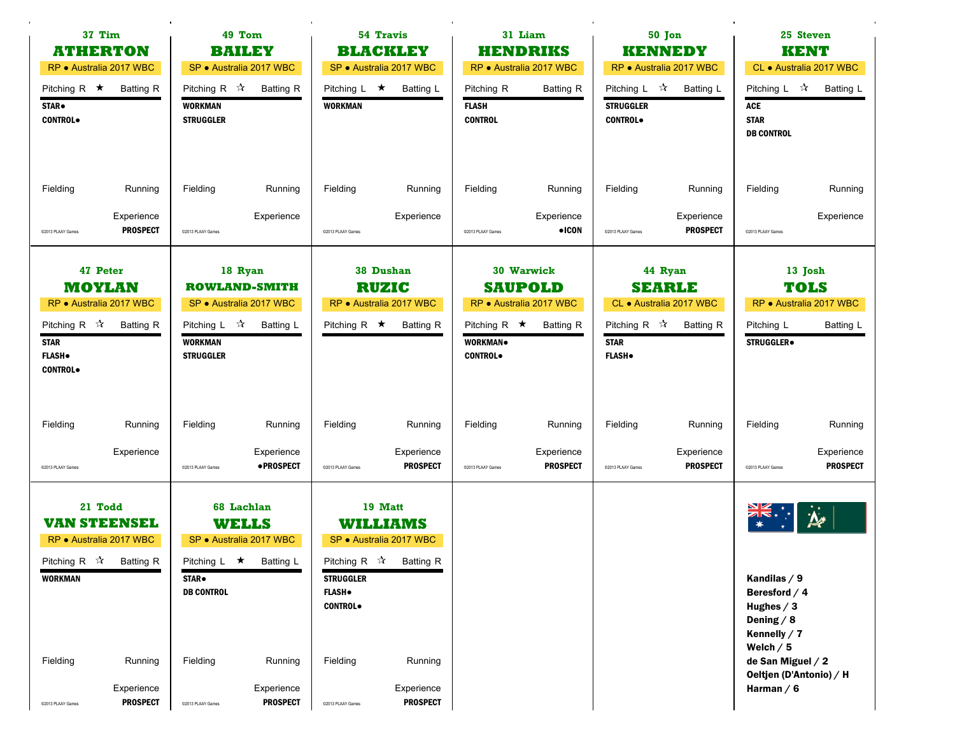|                                                                                                                                   | 37 Tim<br>49 Tom<br><b>ATHERTON</b><br><b>BAILEY</b><br>RP · Australia 2017 WBC<br>SP · Australia 2017 WBC |                                                                      |                                                                                       | 54 Travis<br><b>BLACKLEY</b><br>SP · Australia 2017 WBC |                                                                                          | 31 Liam<br><b>HENDRIKS</b><br>RP · Australia 2017 WBC |                                                                             | 50 Jon<br><b>KENNEDY</b><br>RP · Australia 2017 WBC                 |                                                                         | 25 Steven<br><b>KENT</b><br>CL · Australia 2017 WBC                                          |                                                                |
|-----------------------------------------------------------------------------------------------------------------------------------|------------------------------------------------------------------------------------------------------------|----------------------------------------------------------------------|---------------------------------------------------------------------------------------|---------------------------------------------------------|------------------------------------------------------------------------------------------|-------------------------------------------------------|-----------------------------------------------------------------------------|---------------------------------------------------------------------|-------------------------------------------------------------------------|----------------------------------------------------------------------------------------------|----------------------------------------------------------------|
| Pitching R $\star$<br>STAR.<br><b>CONTROL</b>                                                                                     | <b>Batting R</b>                                                                                           | Pitching R $\sqrt{\lambda}$<br><b>WORKMAN</b><br><b>STRUGGLER</b>    | <b>Batting R</b>                                                                      | Pitching $L \star$<br><b>WORKMAN</b>                    | <b>Batting L</b>                                                                         | Pitching R<br><b>FLASH</b><br><b>CONTROL</b>          | <b>Batting R</b>                                                            | Pitching $L \quad \mathbb{X}$<br><b>STRUGGLER</b><br><b>CONTROL</b> | Batting L                                                               | Pitching L $\mathcal{R}$<br><b>ACE</b><br><b>STAR</b><br><b>DB CONTROL</b>                   | Batting L                                                      |
| Fielding                                                                                                                          | Running                                                                                                    | Fielding                                                             | Running                                                                               | Fielding                                                | Running                                                                                  | Fielding                                              | Running                                                                     | Fielding                                                            | Running                                                                 | Fielding                                                                                     | Running                                                        |
| @2013 PLAAY Games                                                                                                                 | Experience<br><b>PROSPECT</b>                                                                              | @2013 PLAAY Games                                                    | Experience                                                                            | @2013 PLAAY Games                                       | Experience                                                                               | @2013 PLAAY Games                                     | Experience<br>$\bullet$ ICON                                                | @2013 PLAAY Games                                                   | Experience<br><b>PROSPECT</b>                                           | @2013 PLAAY Games                                                                            | Experience                                                     |
| 47 Peter<br><b>MOYLAN</b><br>RP · Australia 2017 WBC<br>Pitching R $\mathcal{R}$<br><b>STAR</b><br><b>FLASH</b><br><b>CONTROL</b> | <b>Batting R</b>                                                                                           | Pitching $L \quad \mathcal{R}$<br><b>WORKMAN</b><br><b>STRUGGLER</b> | 18 Ryan<br><b>ROWLAND-SMITH</b><br>SP · Australia 2017 WBC<br>Batting L               | Pitching R $\star$                                      | 38 Dushan<br><b>RUZIC</b><br>RP · Australia 2017 WBC<br>Batting R                        | Pitching R $\star$<br>WORKMAN.<br><b>CONTROL</b>      | 30 Warwick<br><b>SAUPOLD</b><br>RP · Australia 2017 WBC<br><b>Batting R</b> | Pitching R $\mathbb{\hat{X}}$<br><b>STAR</b><br><b>FLASH</b> .      | 44 Ryan<br><b>SEARLE</b><br>CL · Australia 2017 WBC<br><b>Batting R</b> | Pitching L<br><b>STRUGGLER</b> <sup>®</sup>                                                  | 13 Josh<br><b>TOLS</b><br>RP · Australia 2017 WBC<br>Batting L |
| Fielding                                                                                                                          | Running                                                                                                    | Fielding                                                             | Running                                                                               | Fielding                                                | Running                                                                                  | Fielding                                              | Running                                                                     | Fielding                                                            | Running                                                                 | Fielding                                                                                     | Running                                                        |
| @2013 PLAAY Games                                                                                                                 | Experience                                                                                                 | @2013 PLAAY Games                                                    | Experience<br>• PROSPECT                                                              | @2013 PLAAY Games                                       | Experience<br><b>PROSPECT</b>                                                            | @2013 PLAAY Games                                     | Experience<br><b>PROSPECT</b>                                               | @2013 PLAAY Games                                                   | Experience<br><b>PROSPECT</b>                                           | @2013 PLAAY Games                                                                            | Experience<br><b>PROSPECT</b>                                  |
| 21 Todd<br><b>VAN STEENSEL</b><br>RP · Australia 2017 WBC<br>Pitching R $\sqrt{\lambda}$ Batting R<br><b>WORKMAN</b>              |                                                                                                            | STAR.<br><b>DB CONTROL</b>                                           | 68 Lachlan<br><b>WELLS</b><br>SP · Australia 2017 WBC<br>Pitching L $\star$ Batting L | <b>STRUGGLER</b><br><b>FLASH</b> .<br><b>CONTROL</b> .  | 19 Matt<br><b>WILLIAMS</b><br>SP · Australia 2017 WBC<br>Pitching R $\sqrt{2}$ Batting R |                                                       |                                                                             |                                                                     |                                                                         | Kandilas / 9<br>Beresford $/4$<br>Hughes $/3$<br>Dening $/ 8$<br>Kennelly $/7$<br>Welch $/5$ | $\boldsymbol{\mu}$                                             |
| Fielding                                                                                                                          | Running                                                                                                    | Fielding                                                             | Running                                                                               | Fielding                                                | Running                                                                                  |                                                       |                                                                             |                                                                     |                                                                         | de San Miguel / 2<br>Oeltjen (D'Antonio) / H                                                 |                                                                |
| @2013 PLAAY Games                                                                                                                 | Experience<br><b>PROSPECT</b>                                                                              | @2013 PLAAY Games                                                    | Experience<br><b>PROSPECT</b>                                                         | @2013 PLAAY Games                                       | Experience<br><b>PROSPECT</b>                                                            |                                                       |                                                                             |                                                                     |                                                                         | Harman $/ 6$                                                                                 |                                                                |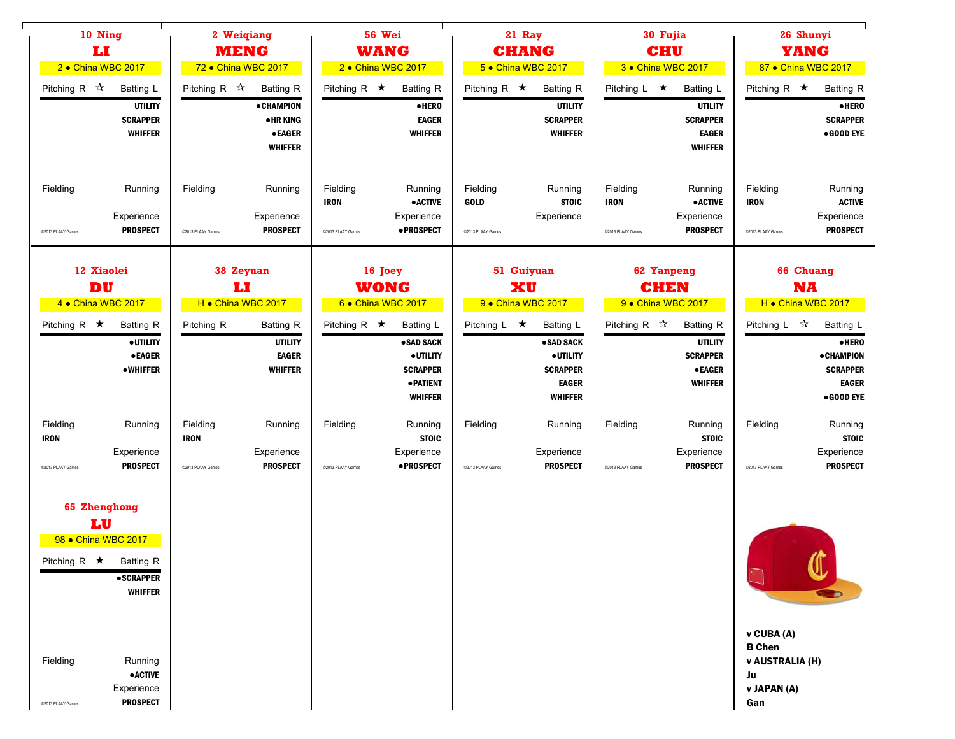| 10 Ning<br>IJ<br>2 . China WBC 2017<br>Pitching R $\vec{x}$                 | Batting L<br><b>UTILITY</b><br><b>SCRAPPER</b><br><b>WHIFFER</b>                                                              | Pitching R $\sqrt[4]{x}$                     | 2 Weigiang<br><b>MENG</b><br>72 • China WBC 2017<br><b>Batting R</b><br><b>•CHAMPION</b><br><b>•HRKING</b><br><b>•EAGER</b><br><b>WHIFFER</b> | Pitching R $\star$                           | <b>56 Wei</b><br><b>WANG</b><br>2 . China WBC 2017<br><b>Batting R</b><br>•HERO<br><b>EAGER</b><br><b>WHIFFER</b> | Pitching R $\star$                                   | 21 Ray<br><b>CHANG</b><br>5 • China WBC 2017<br><b>Batting R</b><br><b>UTILITY</b><br><b>SCRAPPER</b><br><b>WHIFFER</b> | Pitching $L \star$                                  | 30 Fujia<br><b>CHU</b><br>3 • China WBC 2017<br>Batting L<br><b>UTILITY</b><br><b>SCRAPPER</b><br><b>EAGER</b><br><b>WHIFFER</b> | Pitching R $\star$                                    | 26 Shunyi<br><b>YANG</b><br>87 • China WBC 2017<br><b>Batting R</b><br>$\bullet$ HERO<br><b>SCRAPPER</b><br>•GOOD EYE |
|-----------------------------------------------------------------------------|-------------------------------------------------------------------------------------------------------------------------------|----------------------------------------------|-----------------------------------------------------------------------------------------------------------------------------------------------|----------------------------------------------|-------------------------------------------------------------------------------------------------------------------|------------------------------------------------------|-------------------------------------------------------------------------------------------------------------------------|-----------------------------------------------------|----------------------------------------------------------------------------------------------------------------------------------|-------------------------------------------------------|-----------------------------------------------------------------------------------------------------------------------|
| Fielding<br>C2013 PLAAY Games                                               | Running<br>Experience<br><b>PROSPECT</b>                                                                                      | Fielding<br>@2013 PLAAY Games                | Running<br>Experience<br><b>PROSPECT</b>                                                                                                      | Fielding<br><b>IRON</b><br>C2013 PLAAY Games | Running<br><b>•ACTIVE</b><br>Experience<br>·PROSPECT                                                              | Fielding<br><b>GOLD</b><br>@2013 PLAAY Games         | Running<br><b>STOIC</b><br>Experience                                                                                   | Fielding<br><b>IRON</b><br>C2013 PLAAY Games        | Running<br><b>•ACTIVE</b><br>Experience<br><b>PROSPECT</b>                                                                       | Fielding<br><b>IRON</b><br>@2013 PLAAY Games          | Running<br><b>ACTIVE</b><br>Experience<br><b>PROSPECT</b>                                                             |
|                                                                             | 12 Xiaolei<br>38 Zeyuan<br>16 Joey<br>DU<br>IJ<br><b>WONG</b><br>H . China WBC 2017<br>6 China WBC 2017<br>4 • China WBC 2017 |                                              |                                                                                                                                               | 51 Guiyuan<br>XU<br>9 · China WBC 2017       |                                                                                                                   | <b>62 Yanpeng</b><br><b>CHEN</b><br>9 China WBC 2017 |                                                                                                                         | <b>66 Chuang</b><br><b>NA</b><br>H . China WBC 2017 |                                                                                                                                  |                                                       |                                                                                                                       |
| Pitching R $\star$                                                          | <b>Batting R</b><br>· UTILITY<br><b>•EAGER</b><br>•WHIFFER                                                                    | Pitching R                                   | <b>Batting R</b><br><b>UTILITY</b><br><b>EAGER</b><br><b>WHIFFER</b>                                                                          | Pitching R $\star$                           | Batting L<br>• SAD SACK<br>·UTILITY<br><b>SCRAPPER</b><br>· PATIENT<br><b>WHIFFER</b>                             | Pitching L $\star$                                   | Batting L<br>•SAD SACK<br>· UTILITY<br><b>SCRAPPER</b><br><b>EAGER</b><br><b>WHIFFER</b>                                | Pitching R $\mathbb{\hat{X}}$                       | <b>Batting R</b><br><b>UTILITY</b><br><b>SCRAPPER</b><br><b>•EAGER</b><br><b>WHIFFER</b>                                         | Pitching L ☆                                          | <b>Batting L</b><br>·HERO<br><b>•CHAMPION</b><br><b>SCRAPPER</b><br><b>EAGER</b><br>•GOOD EYE                         |
| Fielding<br><b>IRON</b><br>C2013 PLAAY Games                                | Running<br>Experience<br><b>PROSPECT</b>                                                                                      | Fielding<br><b>IRON</b><br>@2013 PLAAY Games | Running<br>Experience<br><b>PROSPECT</b>                                                                                                      | Fielding<br>@2013 PLAAY Games                | Running<br><b>STOIC</b><br>Experience<br>• PROSPECT                                                               | Fielding<br>@2013 PLAAY Games                        | Running<br>Experience<br><b>PROSPECT</b>                                                                                | Fielding<br>@2013 PLAAY Games                       | Running<br><b>STOIC</b><br>Experience<br><b>PROSPECT</b>                                                                         | Fielding<br>@2013 PLAAY Games                         | Running<br><b>STOIC</b><br>Experience<br><b>PROSPECT</b>                                                              |
| 65 Zhenghong<br>LU<br>98 • China WBC 2017<br>Pitching R $\star$<br>Fielding | <b>Batting R</b><br><b>•SCRAPPER</b><br><b>WHIFFER</b><br>Running                                                             |                                              |                                                                                                                                               |                                              |                                                                                                                   |                                                      |                                                                                                                         |                                                     |                                                                                                                                  | v CUBA (A)<br><b>B</b> Chen<br><b>v AUSTRALIA (H)</b> |                                                                                                                       |
| C2013 PLAAY Games                                                           | <b>•ACTIVE</b><br>Experience<br><b>PROSPECT</b>                                                                               |                                              |                                                                                                                                               |                                              |                                                                                                                   |                                                      |                                                                                                                         |                                                     |                                                                                                                                  | Ju<br>v JAPAN (A)<br>Gan                              |                                                                                                                       |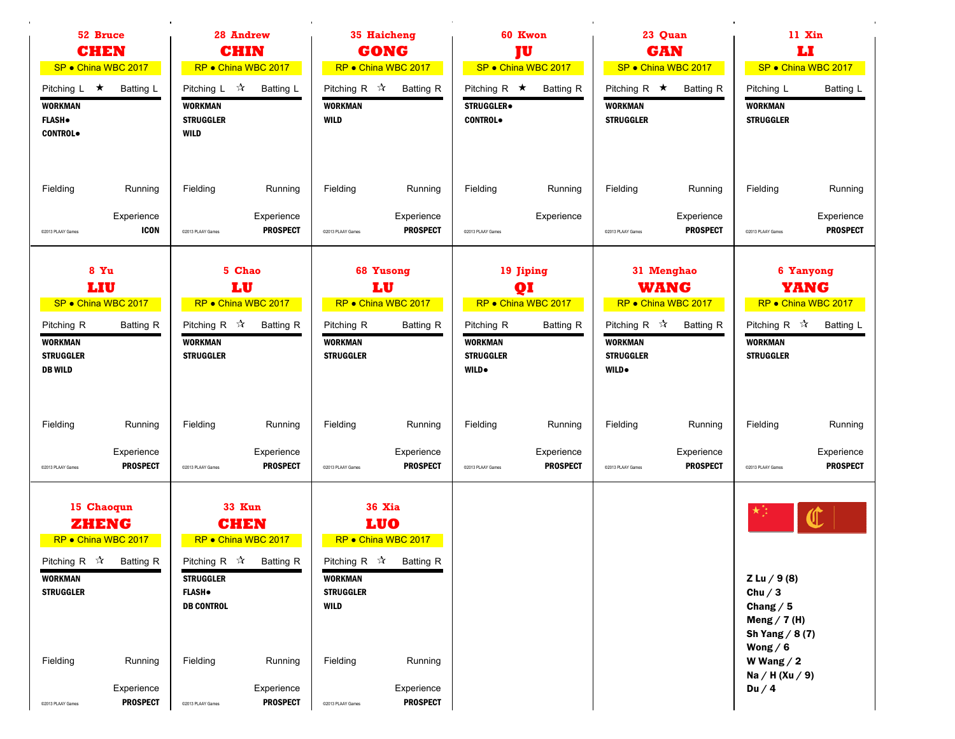| 52 Bruce<br><b>CHEN</b><br>SP · China WBC 2017                                                                                                                                                  | 28 Andrew<br><b>CHIN</b><br>RP · China WBC 2017                                                                                                                                                                                                  | 35 Haicheng<br><b>GONG</b><br>RP · China WBC 2017                                                                                                                                                               | 60 Kwon<br><b>TU</b><br>SP · China WBC 2017                                                                                     | 23 Quan<br><b>GAN</b><br>SP · China WBC 2017                                                                                                                 | 11 Xin<br>IJ<br>SP · China WBC 2017                                                                                                      |  |
|-------------------------------------------------------------------------------------------------------------------------------------------------------------------------------------------------|--------------------------------------------------------------------------------------------------------------------------------------------------------------------------------------------------------------------------------------------------|-----------------------------------------------------------------------------------------------------------------------------------------------------------------------------------------------------------------|---------------------------------------------------------------------------------------------------------------------------------|--------------------------------------------------------------------------------------------------------------------------------------------------------------|------------------------------------------------------------------------------------------------------------------------------------------|--|
| Pitching $L \star$<br><b>Batting L</b><br><b>WORKMAN</b><br><b>FLASH</b> .<br><b>CONTROL</b>                                                                                                    | Pitching L ☆<br>Batting L<br><b>WORKMAN</b><br><b>STRUGGLER</b><br>WILD                                                                                                                                                                          | Pitching R $\sqrt{\lambda}$<br><b>Batting R</b><br><b>WORKMAN</b><br><b>WILD</b>                                                                                                                                | Pitching R $\star$<br><b>Batting R</b><br><b>STRUGGLER</b><br><b>CONTROL</b>                                                    | Pitching R $\star$<br><b>Batting R</b><br><b>WORKMAN</b><br><b>STRUGGLER</b>                                                                                 | Batting L<br>Pitching L<br><b>WORKMAN</b><br><b>STRUGGLER</b>                                                                            |  |
| Fielding<br>Running<br>Experience<br><b>ICON</b><br>C2013 PLAAY Games                                                                                                                           | Fielding<br>Running<br>Experience<br><b>PROSPECT</b><br>@2013 PLAAY Games                                                                                                                                                                        | Fielding<br>Running<br>Experience<br><b>PROSPECT</b><br>@2013 PLAAY Games                                                                                                                                       | Fielding<br>Running<br>Experience<br>@2013 PLAAY Games                                                                          | Fielding<br>Running<br>Experience<br><b>PROSPECT</b><br>C2013 PLAAY Games                                                                                    | Fielding<br>Running<br>Experience<br><b>PROSPECT</b><br>@2013 PLAAY Games                                                                |  |
| 8 Yu<br>LIU<br>SP · China WBC 2017<br><b>Batting R</b><br>Pitching R<br><b>WORKMAN</b><br><b>STRUGGLER</b><br><b>DB WILD</b>                                                                    | 5 Chao<br>LU<br>RP · China WBC 2017<br>Pitching R $\mathcal{R}$<br><b>Batting R</b><br><b>WORKMAN</b><br><b>STRUGGLER</b>                                                                                                                        | 68 Yusong<br>LU<br>RP · China WBC 2017<br><b>Batting R</b><br>Pitching R<br><b>WORKMAN</b><br><b>STRUGGLER</b>                                                                                                  | 19 Jiping<br>QI<br>RP . China WBC 2017<br>Pitching R<br><b>Batting R</b><br><b>WORKMAN</b><br><b>STRUGGLER</b><br><b>WILD</b> . | 31 Menghao<br><b>WANG</b><br>RP · China WBC 2017<br>Pitching R $\mathbb{\hat{X}}$<br><b>Batting R</b><br><b>WORKMAN</b><br><b>STRUGGLER</b><br><b>WILD</b> . | 6 Yanyong<br>YANG<br>RP • China WBC 2017<br>Pitching R $\mathcal{R}$<br>Batting L<br><b>WORKMAN</b><br><b>STRUGGLER</b>                  |  |
| Fielding<br>Running<br>Experience<br><b>PROSPECT</b><br>@2013 PLAAY Games                                                                                                                       | Fielding<br>Running<br>Experience<br><b>PROSPECT</b><br>@2013 PLAAY Games                                                                                                                                                                        | Fielding<br>Running<br>Experience<br><b>PROSPECT</b><br>@2013 PLAAY Games                                                                                                                                       | Fielding<br>Running<br>Experience<br><b>PROSPECT</b><br>@2013 PLAAY Games                                                       | Fielding<br>Running<br>Experience<br><b>PROSPECT</b><br>@2013 PLAAY Games                                                                                    | Fielding<br>Running<br>Experience<br><b>PROSPECT</b><br>@2013 PLAAY Games                                                                |  |
| 15 Chaoqun<br>ZHENG<br>RP • China WBC 2017<br>Pitching R $\vec{X}$ Batting R<br><b>WORKMAN</b><br><b>STRUGGLER</b><br>Fielding<br>Running<br>Experience<br><b>PROSPECT</b><br>@2013 PLAAY Games | <b>33 Kun</b><br><b>CHEN</b><br>RP · China WBC 2017<br>Pitching R $\mathbb{\hat{A}}$<br><b>Batting R</b><br><b>STRUGGLER</b><br><b>FLASH</b> .<br><b>DB CONTROL</b><br>Fielding<br>Running<br>Experience<br><b>PROSPECT</b><br>@2013 PLAAY Games | <b>36 Xia</b><br><b>LUO</b><br>RP • China WBC 2017<br>Pitching R $\vec{X}$ Batting R<br>WORKMAN<br><b>STRUGGLER</b><br><b>WILD</b><br>Fielding<br>Running<br>Experience<br><b>PROSPECT</b><br>@2013 PLAAY Games |                                                                                                                                 |                                                                                                                                                              | Z Lu / 9(8)<br>Chu $/3$<br>Chang $/5$<br>Meng $/$ 7 (H)<br>Sh Yang $/ 8(7)$<br>Wong $/ 6$<br>W Wang $/2$<br>Na / H $(Xu / 9)$<br>Du $/4$ |  |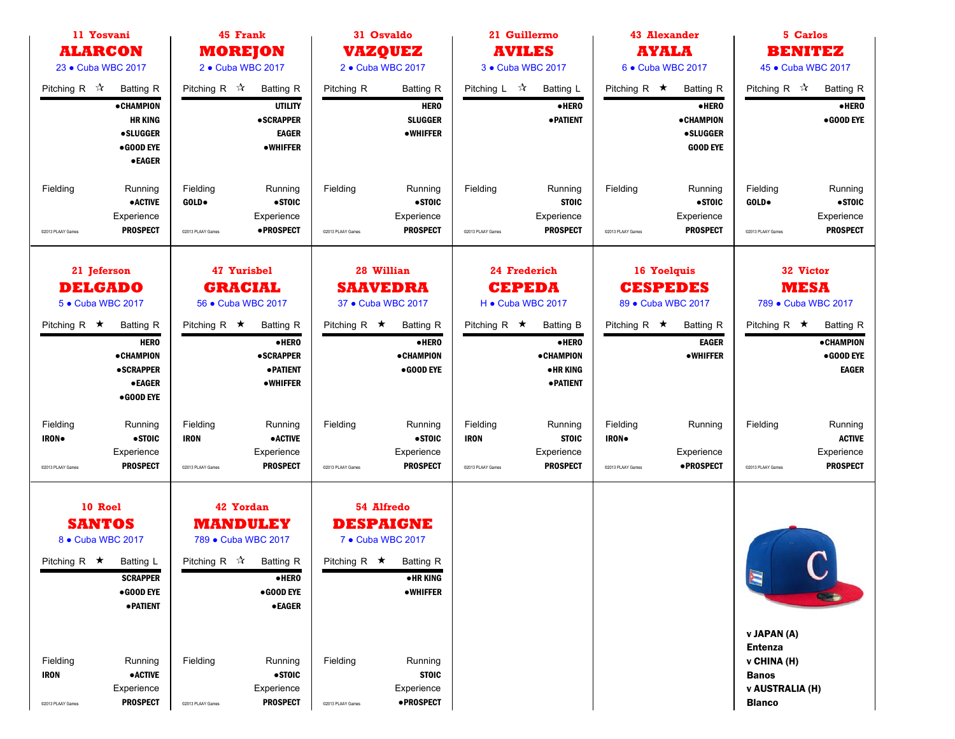| 11 Yosvani                                                                       |                                                                                                                             | 45 Frank                                                                                                                              | 31 Osvaldo                                                                |                                                                      | 21 Guillermo                                         |                                                                                        |                                                 | <b>43 Alexander</b>                                                           |                                                                                                         | 5 Carlos                                                           |
|----------------------------------------------------------------------------------|-----------------------------------------------------------------------------------------------------------------------------|---------------------------------------------------------------------------------------------------------------------------------------|---------------------------------------------------------------------------|----------------------------------------------------------------------|------------------------------------------------------|----------------------------------------------------------------------------------------|-------------------------------------------------|-------------------------------------------------------------------------------|---------------------------------------------------------------------------------------------------------|--------------------------------------------------------------------|
| <b>ALARCON</b>                                                                   |                                                                                                                             | <b>MOREJON</b>                                                                                                                        | <b>VAZQUEZ</b>                                                            |                                                                      | <b>AVILES</b>                                        |                                                                                        |                                                 | <b>AYALA</b>                                                                  |                                                                                                         | <b>BENITEZ</b>                                                     |
| 23 • Cuba WBC 2017                                                               |                                                                                                                             | 2 • Cuba WBC 2017                                                                                                                     | 2 • Cuba WBC 2017                                                         |                                                                      | 3 • Cuba WBC 2017                                    |                                                                                        | 6 . Cuba WBC 2017                               |                                                                               |                                                                                                         | 45 • Cuba WBC 2017                                                 |
| Pitching R $\sqrt{x}$<br>• CHAMPION                                              | Pitching R $\sqrt{\lambda}$<br><b>Batting R</b><br><b>HR KING</b><br><b>•SLUGGER</b><br>$\bullet$ GOOD EYE<br><b>•EAGER</b> | <b>Batting R</b><br><b>UTILITY</b><br><b>•SCRAPPER</b><br><b>EAGER</b><br>•WHIFFER                                                    | Pitching R                                                                | <b>Batting R</b><br><b>HERO</b><br><b>SLUGGER</b><br>•WHIFFER        | Pitching L ☆                                         | <b>Batting L</b><br>·HERO<br><b>• PATIENT</b>                                          | Pitching R $\star$                              | <b>Batting R</b><br>•HERO<br>• CHAMPION<br><b>•SLUGGER</b><br><b>GOOD EYE</b> | Pitching R $\mathcal{R}$                                                                                | <b>Batting R</b><br>$\bullet$ HERO<br>•GOOD EYE                    |
| Fielding<br>Experience<br>@2013 PLAAY Games                                      | Fielding<br>Running<br><b>•ACTIVE</b><br>GOLD.<br><b>PROSPECT</b><br>@2013 PLAAY Games                                      | Running<br>•STOIC<br>Experience<br>• PROSPECT                                                                                         | Fielding<br>C2013 PLAAY Games                                             | Running<br>•STOIC<br>Experience<br><b>PROSPECT</b>                   | Fielding<br>@2013 PLAAY Games                        | Running<br><b>STOIC</b><br>Experience<br><b>PROSPECT</b>                               | Fielding<br>C2013 PLAAY Games                   | Running<br>$•$ STOIC<br>Experience<br><b>PROSPECT</b>                         | Fielding<br>GOLD.<br>@2013 PLAAY Games                                                                  | Running<br>$\bullet$ STOIC<br>Experience<br><b>PROSPECT</b>        |
| 21 Jeferson<br><b>DELGADO</b><br>5 • Cuba WBC 2017                               | 47 Yurisbel<br>28 Willian<br><b>GRACIAL</b><br><b>SAAVEDRA</b><br>56 • Cuba WBC 2017<br>37 • Cuba WBC 2017                  |                                                                                                                                       | 24 Frederich<br><b>CEPEDA</b><br>H . Cuba WBC 2017                        |                                                                      | 16 Yoelquis<br><b>CESPEDES</b><br>89 • Cuba WBC 2017 |                                                                                        | 32 Victor<br><b>MESA</b><br>789 • Cuba WBC 2017 |                                                                               |                                                                                                         |                                                                    |
| Pitching R $\star$<br>• CHAMPION<br><b>•SCRAPPER</b>                             | Pitching R $\star$<br><b>Batting R</b><br><b>HERO</b><br><b>•EAGER</b><br>$\bullet$ GOOD EYE                                | <b>Batting R</b><br>·HERO<br><b>•SCRAPPER</b><br><b>• PATIENT</b><br><b>•WHIFFER</b>                                                  | Pitching R $\star$                                                        | <b>Batting R</b><br>$\bullet$ HERO<br><b>• CHAMPION</b><br>•GOOD EYE | Pitching R $\star$                                   | <b>Batting B</b><br>$\bullet$ HERO<br><b>•CHAMPION</b><br>•HR KING<br><b>• PATIENT</b> | Pitching R $\star$                              | <b>Batting R</b><br><b>EAGER</b><br><b>•WHIFFER</b>                           | Pitching R $\star$                                                                                      | <b>Batting R</b><br><b>•CHAMPION</b><br>• GOOD EYE<br><b>EAGER</b> |
| Fielding<br><b>IRON</b> .<br>Experience<br>@2013 PLAAY Games                     | Fielding<br>Running<br>• STOIC<br><b>IRON</b><br><b>PROSPECT</b><br>@2013 PLAAY Games                                       | Running<br><b>• ACTIVE</b><br>Experience<br><b>PROSPECT</b>                                                                           | Fielding<br>@2013 PLAAY Games                                             | Running<br>•STOIC<br>Experience<br><b>PROSPECT</b>                   | Fielding<br><b>IRON</b><br>@2013 PLAAY Games         | Running<br><b>STOIC</b><br>Experience<br><b>PROSPECT</b>                               | Fielding<br>IRON.<br>@2013 PLAAY Games          | Running<br>Experience<br><b>•PROSPECT</b>                                     | Fielding<br>@2013 PLAAY Games                                                                           | Running<br><b>ACTIVE</b><br>Experience<br><b>PROSPECT</b>          |
| 10 Roel<br><b>SANTOS</b><br>8 . Cuba WBC 2017<br>Pitching R $\star$<br>Batting L | <b>SCRAPPER</b><br>$\bullet$ GOOD EYE<br>· PATIENT                                                                          | 42 Yordan<br><b>MANDULEY</b><br>789 • Cuba WBC 2017<br>Pitching R $\vec{x}$ Batting R<br>·HERO<br>$\bullet$ GOOD EYE<br><b>•EAGER</b> | 54 Alfredo<br><b>DESPAIGNE</b><br>7 • Cuba WBC 2017<br>Pitching R $\star$ | <b>Batting R</b><br>• HR KING<br><b>•WHIFFER</b>                     |                                                      |                                                                                        |                                                 |                                                                               | E                                                                                                       |                                                                    |
| Fielding<br><b>IRON</b><br>Experience<br>@2013 PLAAY Games                       | Running<br>Fielding<br><b>•ACTIVE</b><br><b>PROSPECT</b><br>@2013 PLAAY Games                                               | Running<br>•STOIC<br>Experience<br><b>PROSPECT</b>                                                                                    | Fielding<br>@2013 PLAAY Games                                             | Running<br><b>STOIC</b><br>Experience<br><b>•PROSPECT</b>            |                                                      |                                                                                        |                                                 |                                                                               | v JAPAN (A)<br><b>Entenza</b><br>v CHINA (H)<br><b>Banos</b><br><b>v AUSTRALIA (H)</b><br><b>Blanco</b> |                                                                    |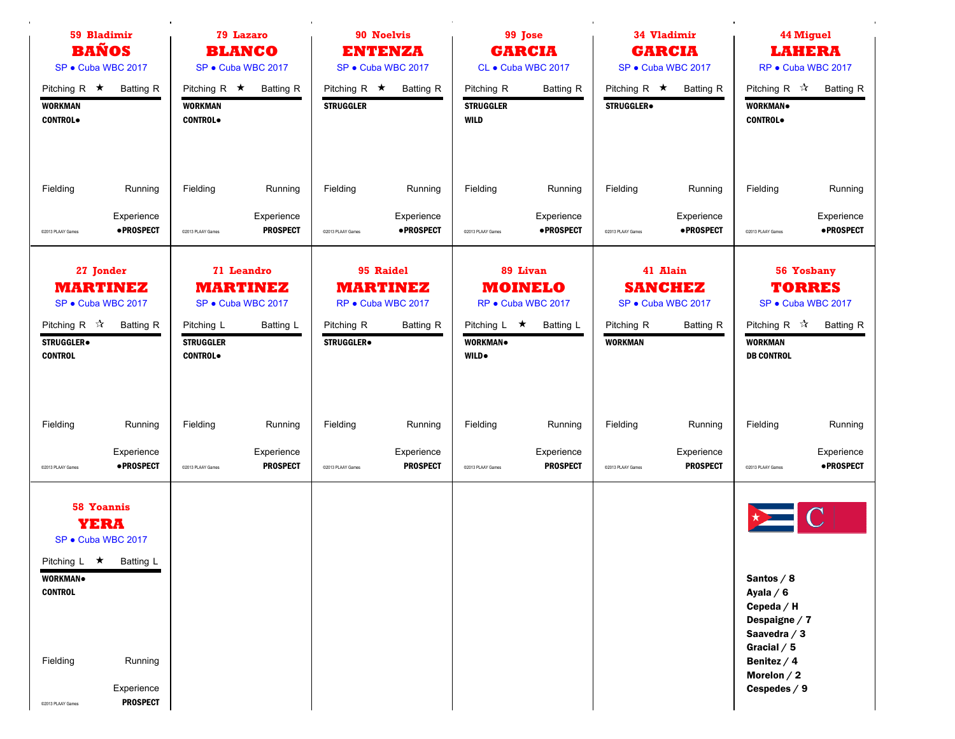| 59 Bladimir                                                                                                                                                                                 | <b>79 Lazaro</b>                                                                                                     |                                                                                                                       | 99 Jose                                                                                                                 | 34 Vladimir                                                                                   | <b>44 Miguel</b>                                                                                                                            |
|---------------------------------------------------------------------------------------------------------------------------------------------------------------------------------------------|----------------------------------------------------------------------------------------------------------------------|-----------------------------------------------------------------------------------------------------------------------|-------------------------------------------------------------------------------------------------------------------------|-----------------------------------------------------------------------------------------------|---------------------------------------------------------------------------------------------------------------------------------------------|
| <b>BAÑOS</b>                                                                                                                                                                                | <b>BLANCO</b>                                                                                                        |                                                                                                                       | <b>GARCIA</b>                                                                                                           | <b>GARCIA</b>                                                                                 | <b>LAHERA</b>                                                                                                                               |
| SP · Cuba WBC 2017                                                                                                                                                                          | SP · Cuba WBC 2017                                                                                                   |                                                                                                                       | CL · Cuba WBC 2017                                                                                                      | SP · Cuba WBC 2017                                                                            | RP · Cuba WBC 2017                                                                                                                          |
| Pitching R $\star$<br>Batting R<br><b>WORKMAN</b><br><b>CONTROL</b>                                                                                                                         | Pitching R $\star$ Batting R<br><b>WORKMAN</b><br><b>CONTROL</b>                                                     | Pitching R $\star$<br>Batting R<br><b>STRUGGLER</b>                                                                   | Pitching R<br><b>Batting R</b><br><b>STRUGGLER</b><br><b>WILD</b>                                                       | Pitching R $\star$<br><b>Batting R</b><br><b>STRUGGLER</b> .                                  | Pitching R ☆<br><b>Batting R</b><br>WORKMAN.<br><b>CONTROL</b>                                                                              |
| Fielding                                                                                                                                                                                    | Fielding                                                                                                             | Fielding                                                                                                              | Fielding                                                                                                                | Fielding                                                                                      | Fielding                                                                                                                                    |
| Running                                                                                                                                                                                     | Running                                                                                                              | Running                                                                                                               | Running                                                                                                                 | Running                                                                                       | Running                                                                                                                                     |
| Experience                                                                                                                                                                                  | Experience                                                                                                           | Experience                                                                                                            | Experience                                                                                                              | Experience                                                                                    | Experience                                                                                                                                  |
| <b>•PROSPECT</b>                                                                                                                                                                            | <b>PROSPECT</b>                                                                                                      | ·PROSPECT                                                                                                             | · PROSPECT                                                                                                              | ·PROSPECT                                                                                     | • PROSPECT                                                                                                                                  |
| @2013 PLAAY Games                                                                                                                                                                           | @2013 PLAAY Games                                                                                                    | @2013 PLAAY Games                                                                                                     | @2013 PLAAY Games                                                                                                       | @2013 PLAAY Games                                                                             | @2013 PLAAY Games                                                                                                                           |
| 27 Jonder<br><b>MARTINEZ</b><br>SP · Cuba WBC 2017<br>Pitching R $\mathcal{R}$<br><b>Batting R</b><br>STRUGGLER.<br><b>CONTROL</b>                                                          | 71 Leandro<br><b>MARTINEZ</b><br>SP · Cuba WBC 2017<br>Pitching L<br>Batting L<br><b>STRUGGLER</b><br><b>CONTROL</b> | 95 Raidel<br><b>MARTINEZ</b><br>RP · Cuba WBC 2017<br>Pitching R<br><b>Batting R</b><br><b>STRUGGLER</b> <sup>.</sup> | 89 Livan<br><b>MOINELO</b><br>RP · Cuba WBC 2017<br>Pitching $L \star$<br><b>Batting L</b><br>WORKMAN.<br><b>WILD</b> . | 41 Alain<br><b>SANCHEZ</b><br>SP · Cuba WBC 2017<br>Pitching R<br>Batting R<br><b>WORKMAN</b> | 56 Yosbany<br><b>TORRES</b><br>SP · Cuba WBC 2017<br>Pitching R $\mathcal{R}$<br><b>Batting R</b><br><b>WORKMAN</b><br><b>DB CONTROL</b>    |
| Fielding                                                                                                                                                                                    | Fielding                                                                                                             | Fielding                                                                                                              | Fielding                                                                                                                | Fielding                                                                                      | Fielding                                                                                                                                    |
| Running                                                                                                                                                                                     | Running                                                                                                              | Running                                                                                                               | Running                                                                                                                 | Running                                                                                       | Running                                                                                                                                     |
| Experience                                                                                                                                                                                  | Experience                                                                                                           | Experience                                                                                                            | Experience                                                                                                              | Experience                                                                                    | Experience                                                                                                                                  |
| • PROSPECT                                                                                                                                                                                  | <b>PROSPECT</b>                                                                                                      | <b>PROSPECT</b>                                                                                                       | <b>PROSPECT</b>                                                                                                         | <b>PROSPECT</b>                                                                               | • PROSPECT                                                                                                                                  |
| @2013 PLAAY Games                                                                                                                                                                           | @2013 PLAAY Games                                                                                                    | @2013 PLAAY Games                                                                                                     | @2013 PLAAY Games                                                                                                       | @2013 PLAAY Games                                                                             | @2013 PLAAY Games                                                                                                                           |
| <b>58 Yoannis</b><br><b>YERA</b><br>SP · Cuba WBC 2017<br>Pitching L ★ Batting L<br>WORKMAN.<br><b>CONTROL</b><br>Fielding<br>Running<br>Experience<br><b>PROSPECT</b><br>@2013 PLAAY Games |                                                                                                                      |                                                                                                                       |                                                                                                                         |                                                                                               | Santos $/ 8$<br>Ayala $/6$<br>Cepeda / H<br>Despaigne / 7<br>Saavedra $/3$<br>Gracial $/5$<br>Benitez $/4$<br>Morelon $/2$<br>Cespedes $/9$ |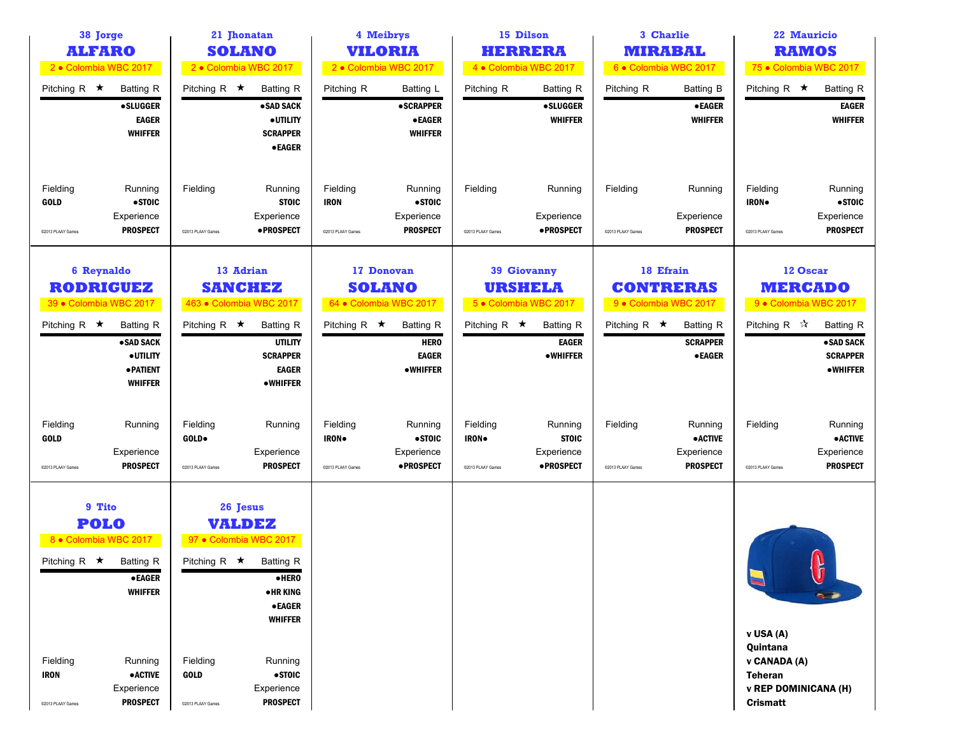| 38 Jorge<br><b>ALFARO</b><br>2 · Colombia WBC 2017<br>2 · Colombia WBC 2017                                          |                                                                                                                     | 4 Meibrys<br>21 Jhonatan<br><b>SOLANO</b><br><b>VILORIA</b><br>2 · Colombia WBC 2017 |                                                                                                                                                                                   | 15 Dilson<br><b>HERRERA</b><br>4 · Colombia WBC 2017  |                                                                  | 3 Charlie<br><b>MIRABAL</b><br>6 · Colombia WBC 2017          |                                                       | <b>22 Mauricio</b><br><b>RAMOS</b><br>75 · Colombia WBC 2017 |                                                              |                                                                                                    |                                                                     |
|----------------------------------------------------------------------------------------------------------------------|---------------------------------------------------------------------------------------------------------------------|--------------------------------------------------------------------------------------|-----------------------------------------------------------------------------------------------------------------------------------------------------------------------------------|-------------------------------------------------------|------------------------------------------------------------------|---------------------------------------------------------------|-------------------------------------------------------|--------------------------------------------------------------|--------------------------------------------------------------|----------------------------------------------------------------------------------------------------|---------------------------------------------------------------------|
| Pitching R $\star$                                                                                                   | <b>Batting R</b><br><b>•SLUGGER</b><br><b>EAGER</b><br><b>WHIFFER</b>                                               | Pitching R $\star$                                                                   | <b>Batting R</b><br>• SAD SACK<br>· UTILITY<br><b>SCRAPPER</b><br><b>•EAGER</b>                                                                                                   | Pitching R                                            | Batting L<br><b>•SCRAPPER</b><br><b>•EAGER</b><br><b>WHIFFER</b> | Pitching R                                                    | <b>Batting R</b><br><b>•SLUGGER</b><br><b>WHIFFER</b> | Pitching R                                                   | <b>Batting B</b><br><b>•EAGER</b><br><b>WHIFFER</b>          | Pitching R $\star$                                                                                 | <b>Batting R</b><br><b>EAGER</b><br><b>WHIFFER</b>                  |
| Fielding<br><b>GOLD</b><br>@2013 PLAAY Games                                                                         | Running<br>•STOIC<br>Experience<br><b>PROSPECT</b>                                                                  | Fielding<br>@2013 PLAAY Games                                                        | Running<br><b>STOIC</b><br>Experience<br>• PROSPECT                                                                                                                               | Fielding<br><b>IRON</b><br>@2013 PLAAY Games          | Running<br>$•$ STOIC<br>Experience<br><b>PROSPECT</b>            | Fielding<br>@2013 PLAAY Games                                 | Running<br>Experience<br>· PROSPECT                   | Fielding<br>C2013 PLAAY Games                                | Running<br>Experience<br><b>PROSPECT</b>                     | Fielding<br><b>IRON</b><br>@2013 PLAAY Games                                                       | Running<br>$\bullet$ STOIC<br>Experience<br><b>PROSPECT</b>         |
| 6 Reynaldo<br><b>RODRIGUEZ</b><br>39 · Colombia WBC 2017                                                             |                                                                                                                     | 13 Adrian<br><b>SANCHEZ</b><br>463 · Colombia WBC 2017                               |                                                                                                                                                                                   | 17 Donovan<br><b>SOLANO</b><br>64 • Colombia WBC 2017 |                                                                  | <b>39 Giovanny</b><br><b>URSHELA</b><br>5 · Colombia WBC 2017 |                                                       | 18 Efrain<br><b>CONTRERAS</b><br>9 · Colombia WBC 2017       |                                                              | 12 Oscar<br><b>MERCADO</b><br>9 · Colombia WBC 2017                                                |                                                                     |
| Pitching R $\star$                                                                                                   | <b>Batting R</b><br>• SAD SACK<br>· UTILITY<br>· PATIENT<br><b>WHIFFER</b>                                          | Pitching R $\star$                                                                   | <b>Batting R</b><br><b>UTILITY</b><br><b>SCRAPPER</b><br><b>EAGER</b><br><b>•WHIFFER</b>                                                                                          | Pitching R $\star$                                    | <b>Batting R</b><br><b>HERO</b><br><b>EAGER</b><br>•WHIFFER      | Pitching R $\star$                                            | <b>Batting R</b><br><b>EAGER</b><br>•WHIFFER          | Pitching R $\star$                                           | <b>Batting R</b><br><b>SCRAPPER</b><br><b>•EAGER</b>         | Pitching R $\vec{x}$                                                                               | <b>Batting R</b><br>·SAD SACK<br><b>SCRAPPER</b><br><b>•WHIFFER</b> |
| Fielding<br><b>GOLD</b><br>C2013 PLAAY Games                                                                         | Running<br>Experience<br><b>PROSPECT</b>                                                                            | Fielding<br>GOLD.<br>@2013 PLAAY Games                                               | Running<br>Experience<br><b>PROSPECT</b>                                                                                                                                          | Fielding<br>IRON.<br>@2013 PLAAY Games                | Running<br>$\bullet$ STOIC<br>Experience<br><b>•PROSPECT</b>     | Fielding<br><b>IRON</b><br>@2013 PLAAY Games                  | Running<br><b>STOIC</b><br>Experience<br>• PROSPECT   | Fielding<br>@2013 PLAAY Games                                | Running<br>$\bullet$ ACTIVE<br>Experience<br><b>PROSPECT</b> | Fielding<br>@2013 PLAAY Games                                                                      | Running<br>$\bullet$ ACTIVE<br>Experience<br><b>PROSPECT</b>        |
| 9 Tito<br><b>POLO</b><br>8 . Colombia WBC 2017<br>Pitching R $\star$<br>Fielding<br><b>IRON</b><br>@2013 PLAAY Games | <b>Batting R</b><br>$\bullet$ EAGER<br><b>WHIFFER</b><br>Running<br><b>•ACTIVE</b><br>Experience<br><b>PROSPECT</b> | Pitching R $\star$<br>Fielding<br><b>GOLD</b><br>@2013 PLAAY Games                   | 26 Jesus<br><b>VALDEZ</b><br>97 • Colombia WBC 2017<br>Batting R<br>·HERO<br>•HR KING<br><b>•EAGER</b><br><b>WHIFFER</b><br>Running<br>$•$ STOIC<br>Experience<br><b>PROSPECT</b> |                                                       |                                                                  |                                                               |                                                       |                                                              |                                                              | v USA (A)<br>Quintana<br>v CANADA (A)<br><b>Teheran</b><br><b>v REP DOMINICANA (H)</b><br>Crismatt | η                                                                   |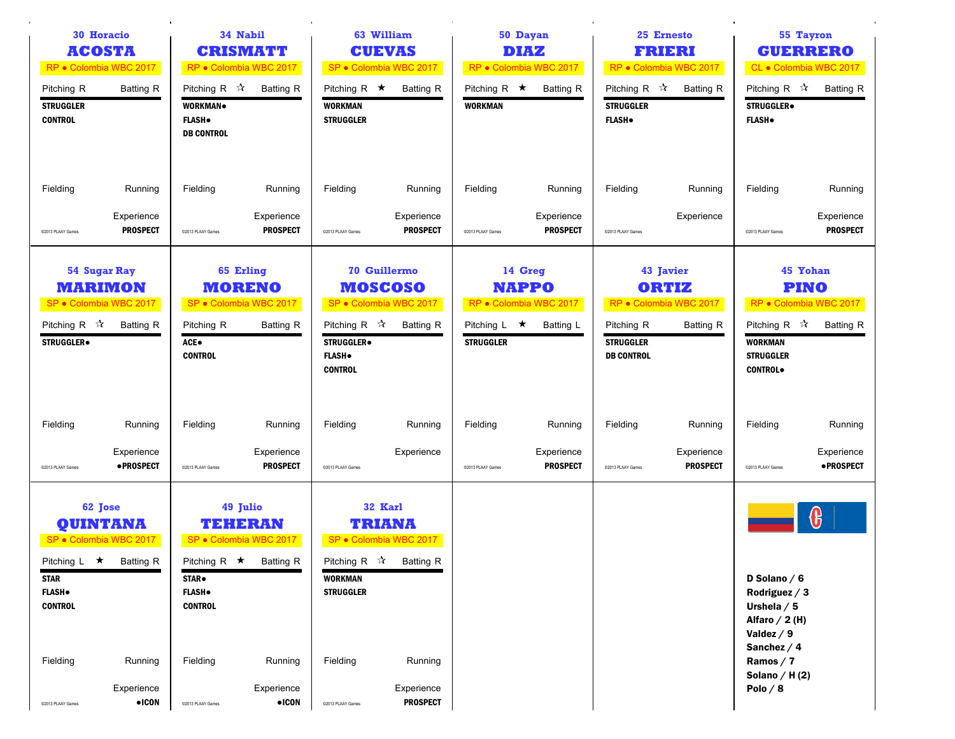|                                                                                                        | 34 Nabil<br><b>30 Horacio</b><br><b>ACOSTA</b><br><b>CRISMATT</b><br>RP · Colombia WBC 2017<br>RP · Colombia WBC 2017 |                                                                                                          |                                                                                                                     | 63 William<br><b>CUEVAS</b><br>SP · Colombia WBC 2017                                 |                                                                                                                                         | 50 Dayan<br><b>DIAZ</b><br>RP · Colombia WBC 2017 |                                                                | 25 Ernesto<br><b>FRIERI</b><br>RP · Colombia WBC 2017          |                                                                  | 55 Tayron<br><b>GUERRERO</b><br>CL · Colombia WBC 2017                                                                                           |                                                                       |
|--------------------------------------------------------------------------------------------------------|-----------------------------------------------------------------------------------------------------------------------|----------------------------------------------------------------------------------------------------------|---------------------------------------------------------------------------------------------------------------------|---------------------------------------------------------------------------------------|-----------------------------------------------------------------------------------------------------------------------------------------|---------------------------------------------------|----------------------------------------------------------------|----------------------------------------------------------------|------------------------------------------------------------------|--------------------------------------------------------------------------------------------------------------------------------------------------|-----------------------------------------------------------------------|
| Pitching R<br><b>STRUGGLER</b><br><b>CONTROL</b>                                                       | <b>Batting R</b>                                                                                                      | Pitching R $\mathcal{R}$<br><b>WORKMAN</b><br><b>FLASH</b> .<br><b>DB CONTROL</b>                        | <b>Batting R</b>                                                                                                    | Pitching R $\star$<br><b>WORKMAN</b><br><b>STRUGGLER</b>                              | <b>Batting R</b>                                                                                                                        | Pitching R $\star$<br><b>WORKMAN</b>              | <b>Batting R</b>                                               | Pitching R $\mathcal{R}$<br><b>STRUGGLER</b><br><b>FLASH</b> . | <b>Batting R</b>                                                 | Pitching R $\sqrt{\lambda}$<br>STRUGGLER.<br><b>FLASH</b> .                                                                                      | <b>Batting R</b>                                                      |
| Fielding                                                                                               | Running                                                                                                               | Fielding                                                                                                 | Running                                                                                                             | Fielding                                                                              | Running                                                                                                                                 | Fielding                                          | Running                                                        | Fielding                                                       | Running                                                          | Fielding                                                                                                                                         | Running                                                               |
| C2013 PLAAY Games                                                                                      | Experience<br><b>PROSPECT</b>                                                                                         | @2013 PLAAY Games                                                                                        | Experience<br><b>PROSPECT</b>                                                                                       | @2013 PLAAY Games                                                                     | Experience<br><b>PROSPECT</b>                                                                                                           | @2013 PLAAY Games                                 | Experience<br><b>PROSPECT</b>                                  | @2013 PLAAY Games                                              | Experience                                                       | @2013 PLAAY Games                                                                                                                                | Experience<br><b>PROSPECT</b>                                         |
| Pitching R $\sqrt{\lambda}$<br>STRUGGLER.                                                              | <b>54 Sugar Ray</b><br><b>MARIMON</b><br>SP · Colombia WBC 2017<br><b>Batting R</b>                                   | Pitching R<br>ACE.<br><b>CONTROL</b>                                                                     | 65 Erling<br><b>MORENO</b><br>SP · Colombia WBC 2017<br><b>Batting R</b>                                            | Pitching R $\mathbb{\hat{X}}$<br><b>STRUGGLER</b><br><b>FLASH</b> .<br><b>CONTROL</b> | <b>70 Guillermo</b><br><b>MOSCOSO</b><br>SP · Colombia WBC 2017<br><b>Batting R</b>                                                     | Pitching $L \star$<br><b>STRUGGLER</b>            | 14 Greg<br><b>NAPPO</b><br>RP · Colombia WBC 2017<br>Batting L | Pitching R<br><b>STRUGGLER</b><br><b>DB CONTROL</b>            | 43 Javier<br><b>ORTIZ</b><br>RP · Colombia WBC 2017<br>Batting R | Pitching R $\sqrt{\lambda}$<br><b>WORKMAN</b><br><b>STRUGGLER</b><br><b>CONTROL</b> .                                                            | 45 Yohan<br><b>PINO</b><br>RP · Colombia WBC 2017<br><b>Batting R</b> |
| Fielding                                                                                               | Running                                                                                                               | Fielding                                                                                                 | Running                                                                                                             | Fielding                                                                              | Running                                                                                                                                 | Fielding                                          | Running                                                        | Fielding                                                       | Running                                                          | Fielding                                                                                                                                         | Running                                                               |
| @2013 PLAAY Games                                                                                      | Experience<br>• PROSPECT                                                                                              | @2013 PLAAY Games                                                                                        | Experience<br><b>PROSPECT</b>                                                                                       | @2013 PLAAY Games                                                                     | Experience                                                                                                                              | @2013 PLAAY Games                                 | Experience<br><b>PROSPECT</b>                                  | @2013 PLAAY Games                                              | Experience<br><b>PROSPECT</b>                                    | @2013 PLAAY Games                                                                                                                                | Experience<br>• PROSPECT                                              |
| Pitching $L \star$<br><b>STAR</b><br><b>FLASH</b> .<br><b>CONTROL</b><br>Fielding<br>@2013 PLAAY Games | 62 Jose<br><b>QUINTANA</b><br>SP · Colombia WBC 2017<br><b>Batting R</b><br>Running<br>Experience<br>$\bullet$ ICON   | Pitching R $\star$<br><b>STAR</b> .<br><b>FLASH</b> .<br><b>CONTROL</b><br>Fielding<br>@2013 PLAAY Games | 49 Julio<br><b>TEHERAN</b><br>SP · Colombia WBC 2017<br><b>Batting R</b><br>Running<br>Experience<br>$\bullet$ ICON | WORKMAN<br><b>STRUGGLER</b><br>Fielding<br>@2013 PLAAY Games                          | 32 Karl<br><b>TRIANA</b><br>SP · Colombia WBC 2017<br>Pitching R $\sqrt{\lambda}$ Batting R<br>Running<br>Experience<br><b>PROSPECT</b> |                                                   |                                                                |                                                                |                                                                  | D Solano $/6$<br>Rodriguez / 3<br>Urshela $/5$<br>Alfaro $/$ 2 (H)<br>Valdez $/9$<br>Sanchez $/4$<br>Ramos / 7<br>Solano / H $(2)$<br>Polo $/ 8$ | (H                                                                    |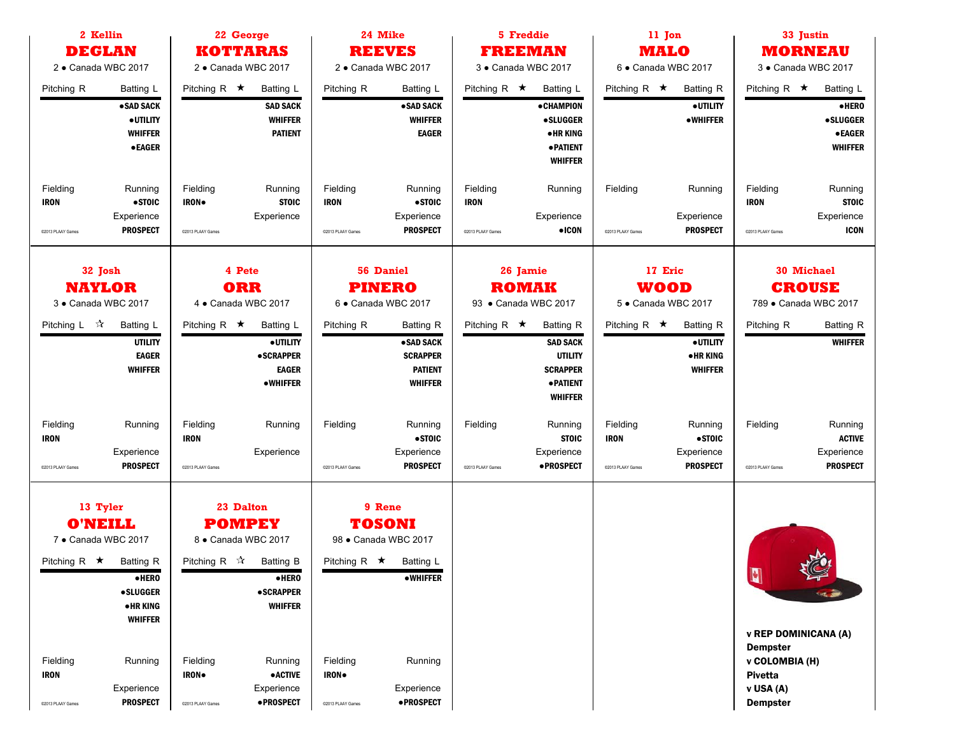| 2 Kellin<br><b>DEGLAN</b>                                                                                                                                                                                                                             | 22 George                                                                                                                                                                                                                                                  | 24 Mike                                                                                                                                                                                      | <b>5 Freddie</b>                                                                                                                                                                         | 11 Jon                                                                                                                              | 33 Justin                                                                                                                                             |  |  |
|-------------------------------------------------------------------------------------------------------------------------------------------------------------------------------------------------------------------------------------------------------|------------------------------------------------------------------------------------------------------------------------------------------------------------------------------------------------------------------------------------------------------------|----------------------------------------------------------------------------------------------------------------------------------------------------------------------------------------------|------------------------------------------------------------------------------------------------------------------------------------------------------------------------------------------|-------------------------------------------------------------------------------------------------------------------------------------|-------------------------------------------------------------------------------------------------------------------------------------------------------|--|--|
|                                                                                                                                                                                                                                                       | <b>KOTTARAS</b>                                                                                                                                                                                                                                            | <b>REEVES</b>                                                                                                                                                                                | <b>FREEMAN</b>                                                                                                                                                                           | <b>MALO</b>                                                                                                                         | <b>MORNEAU</b>                                                                                                                                        |  |  |
| 2 · Canada WBC 2017                                                                                                                                                                                                                                   | 2 · Canada WBC 2017                                                                                                                                                                                                                                        | 2 · Canada WBC 2017                                                                                                                                                                          | 3 · Canada WBC 2017                                                                                                                                                                      | 6 · Canada WBC 2017                                                                                                                 | 3 · Canada WBC 2017                                                                                                                                   |  |  |
| Pitching R<br>Batting L<br>·SAD SACK<br>· UTILITY<br><b>WHIFFER</b><br>$\bullet$ EAGER                                                                                                                                                                | Pitching R $\star$<br><b>Batting L</b><br><b>SAD SACK</b><br><b>WHIFFER</b><br><b>PATIENT</b>                                                                                                                                                              | Pitching R<br>Batting L<br>•SAD SACK<br><b>WHIFFER</b><br><b>EAGER</b>                                                                                                                       | Pitching R $\star$<br><b>Batting L</b><br><b>• CHAMPION</b><br><b>•SLUGGER</b><br>• HR KING<br><b>• PATIENT</b><br><b>WHIFFER</b>                                                        | Pitching R $\star$<br><b>Batting R</b><br>· UTILITY<br><b>•WHIFFER</b>                                                              | Pitching R $\star$<br>Batting L<br>$\bullet$ HERO<br><b>•SLUGGER</b><br><b>• EAGER</b><br><b>WHIFFER</b>                                              |  |  |
| Fielding<br>Running<br><b>IRON</b><br>•STOIC<br>Experience<br><b>PROSPECT</b><br>@2013 PLAAY Games                                                                                                                                                    | Fielding<br>Running<br>IRON.<br><b>STOIC</b><br>Experience<br>@2013 PLAAY Games                                                                                                                                                                            | Fielding<br>Running<br><b>IRON</b><br>• STOIC<br>Experience<br><b>PROSPECT</b><br>C2013 PLAAY Games                                                                                          | Fielding<br>Running<br><b>IRON</b><br>Experience<br>$\bullet$ ICON<br>@2013 PLAAY Games                                                                                                  | Fielding<br>Running<br>Experience<br><b>PROSPECT</b><br>@2013 PLAAY Games                                                           | Fielding<br>Running<br><b>IRON</b><br><b>STOIC</b><br>Experience<br><b>ICON</b><br>@2013 PLAAY Games                                                  |  |  |
| 32 Josh<br><b>NAYLOR</b><br>3 · Canada WBC 2017<br>Pitching L $\sqrt{x}$<br>Batting L<br><b>UTILITY</b><br><b>EAGER</b><br><b>WHIFFER</b>                                                                                                             | 4 Pete<br><b>ORR</b><br>4 · Canada WBC 2017<br>Pitching R $\star$<br>Batting L<br>· UTILITY<br><b>•SCRAPPER</b><br><b>EAGER</b><br><b>•WHIFFER</b>                                                                                                         | <b>56 Daniel</b><br><b>PINERO</b><br>6 · Canada WBC 2017<br>Pitching R<br><b>Batting R</b><br>• SAD SACK<br><b>SCRAPPER</b><br><b>PATIENT</b><br><b>WHIFFER</b>                              | 26 Jamie<br><b>ROMAK</b><br>93 • Canada WBC 2017<br>Pitching R $\star$<br><b>Batting R</b><br><b>SAD SACK</b><br><b>UTILITY</b><br><b>SCRAPPER</b><br><b>• PATIENT</b><br><b>WHIFFER</b> | 17 Eric<br><b>WOOD</b><br>5 · Canada WBC 2017<br>Pitching R $\star$<br><b>Batting R</b><br>· UTILITY<br>• HR KING<br><b>WHIFFER</b> | <b>30 Michael</b><br><b>CROUSE</b><br>789 · Canada WBC 2017<br><b>Batting R</b><br>Pitching R<br><b>WHIFFER</b>                                       |  |  |
| Fielding<br>Running<br><b>IRON</b><br>Experience<br><b>PROSPECT</b><br>@2013 PLAAY Games                                                                                                                                                              | Fielding<br>Running<br><b>IRON</b><br>Experience<br>@2013 PLAAY Games                                                                                                                                                                                      | Fielding<br>Running<br>• STOIC<br>Experience<br><b>PROSPECT</b><br>@2013 PLAAY Games                                                                                                         | Fielding<br>Running<br><b>STOIC</b><br>Experience<br>• PROSPECT<br>@2013 PLAAY Games                                                                                                     | Fielding<br>Running<br>•STOIC<br><b>IRON</b><br>Experience<br><b>PROSPECT</b><br>@2013 PLAAY Games                                  | Fielding<br>Running<br><b>ACTIVE</b><br>Experience<br><b>PROSPECT</b><br>@2013 PLAAY Games                                                            |  |  |
| 13 Tyler<br><b>O'NEILL</b><br>7 · Canada WBC 2017<br>Pitching R $\star$<br><b>Batting R</b><br>$e$ HERO<br><b>•SLUGGER</b><br>• HR KING<br><b>WHIFFER</b><br>Fielding<br>Running<br><b>IRON</b><br>Experience<br><b>PROSPECT</b><br>@2013 PLAAY Games | 23 Dalton<br><b>POMPEY</b><br>8 · Canada WBC 2017<br>Pitching R $\mathcal{R}$<br>Batting B<br>$\bullet$ HERO<br><b>•SCRAPPER</b><br><b>WHIFFER</b><br>Fielding<br>Running<br><b>IRON</b><br><b>•ACTIVE</b><br>Experience<br>·PROSPECT<br>@2013 PLAAY Games | 9 Rene<br><b>TOSONI</b><br>98 · Canada WBC 2017<br>Pitching R $\star$<br>Batting L<br><b>•WHIFFER</b><br>Fielding<br>Running<br>IRON.<br>Experience<br><b>•PROSPECT</b><br>@2013 PLAAY Games |                                                                                                                                                                                          |                                                                                                                                     | $\frac{1}{2}$<br>$\blacksquare$<br><b>v REP DOMINICANA (A)</b><br><b>Dempster</b><br>v COLOMBIA (H)<br><b>Pivetta</b><br>v USA (A)<br><b>Dempster</b> |  |  |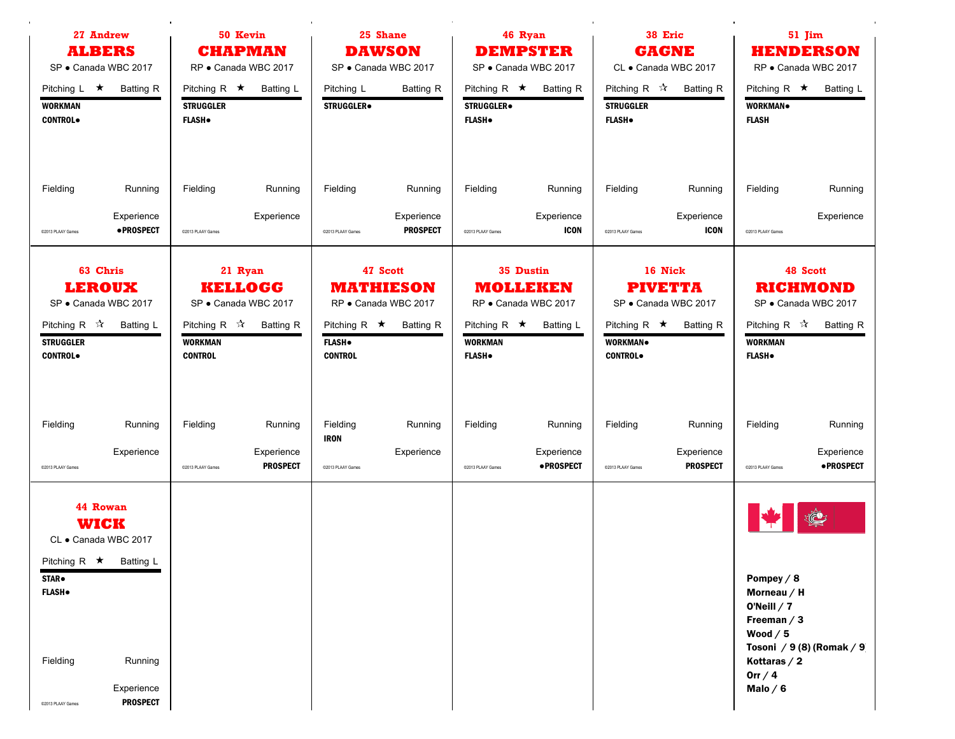|                                                                  | 50 Kevin<br>27 Andrew<br><b>ALBERS</b><br><b>CHAPMAN</b><br>SP · Canada WBC 2017<br>RP · Canada WBC 2017                    |                                                          |                                                                       | 25 Shane<br><b>DAWSON</b><br>SP · Canada WBC 2017      |                                                                          | 46 Ryan<br><b>DEMPSTER</b><br>SP · Canada WBC 2017                        |                                                       |                                                                | 38 Eric<br><b>GAGNE</b><br>CL · Canada WBC 2017                       | 51 Jim<br><b>HENDERSON</b><br>RP · Canada WBC 2017                                                                   |                                                                         |
|------------------------------------------------------------------|-----------------------------------------------------------------------------------------------------------------------------|----------------------------------------------------------|-----------------------------------------------------------------------|--------------------------------------------------------|--------------------------------------------------------------------------|---------------------------------------------------------------------------|-------------------------------------------------------|----------------------------------------------------------------|-----------------------------------------------------------------------|----------------------------------------------------------------------------------------------------------------------|-------------------------------------------------------------------------|
| Pitching $L \star$<br><b>WORKMAN</b><br><b>CONTROL</b>           | <b>Batting R</b>                                                                                                            | Pitching R $\star$<br><b>STRUGGLER</b><br><b>FLASH</b> . | <b>Batting L</b>                                                      | Pitching L<br>STRUGGLER.                               | <b>Batting R</b>                                                         | Pitching R $\star$<br><b>STRUGGLER</b> <sup>.</sup><br><b>FLASH</b> .     | <b>Batting R</b>                                      | Pitching R $\mathcal{R}$<br><b>STRUGGLER</b><br><b>FLASH</b> . | <b>Batting R</b>                                                      | Pitching R $\star$<br>WORKMAN.<br><b>FLASH</b>                                                                       | <b>Batting L</b>                                                        |
| Fielding<br>@2013 PLAAY Games                                    | Running<br>Experience<br>· PROSPECT                                                                                         | Fielding<br>@2013 PLAAY Games                            | Running<br>Experience                                                 | Fielding<br>@2013 PLAAY Games                          | Running<br>Experience<br><b>PROSPECT</b>                                 | Fielding<br>@2013 PLAAY Games                                             | Running<br>Experience<br><b>ICON</b>                  | Fielding<br>@2013 PLAAY Games                                  | Running<br>Experience<br><b>ICON</b>                                  | Fielding<br>@2013 PLAAY Games                                                                                        | Running<br>Experience                                                   |
| Pitching R $\mathcal{R}$<br><b>STRUGGLER</b><br><b>CONTROL</b>   | 63 Chris<br><b>LEROUX</b><br>SP · Canada WBC 2017<br>Batting L                                                              | Pitching R $\vec{x}$<br><b>WORKMAN</b><br><b>CONTROL</b> | 21 Ryan<br><b>KELLOGG</b><br>SP · Canada WBC 2017<br><b>Batting R</b> | Pitching R $\star$<br><b>FLASH</b> .<br><b>CONTROL</b> | 47 Scott<br><b>MATHIESON</b><br>RP · Canada WBC 2017<br><b>Batting R</b> | <b>MOLLEKEN</b><br>Pitching R $\star$<br><b>WORKMAN</b><br><b>FLASH</b> . | 35 Dustin<br>RP · Canada WBC 2017<br><b>Batting L</b> | Pitching R $\star$<br><b>WORKMAN</b><br><b>CONTROL</b> .       | 16 Nick<br><b>PIVETTA</b><br>SP · Canada WBC 2017<br><b>Batting R</b> | Pitching R $\sqrt{\lambda}$<br><b>WORKMAN</b><br><b>FLASH</b> .                                                      | 48 Scott<br><b>RICHMOND</b><br>SP · Canada WBC 2017<br><b>Batting R</b> |
| Fielding<br>@2013 PLAAY Games                                    | Running<br>Experience                                                                                                       | Fielding<br>@2013 PLAAY Games                            | Running<br>Experience<br><b>PROSPECT</b>                              | Fielding<br><b>IRON</b><br>@2013 PLAAY Games           | Running<br>Experience                                                    | Fielding<br>@2013 PLAAY Games                                             | Running<br>Experience<br><b>•PROSPECT</b>             | Fielding<br>@2013 PLAAY Games                                  | Running<br>Experience<br><b>PROSPECT</b>                              | Fielding<br>@2013 PLAAY Games                                                                                        | Running<br>Experience<br>·PROSPECT                                      |
| <b>STAR</b> .<br><b>FLASH</b> .<br>Fielding<br>@2013 PLAAY Games | 44 Rowan<br><b>WICK</b><br>CL · Canada WBC 2017<br>Pitching R $\star$ Batting L<br>Running<br>Experience<br><b>PROSPECT</b> |                                                          |                                                                       |                                                        |                                                                          |                                                                           |                                                       |                                                                |                                                                       | Pompey $/ 8$<br>Morneau $/$ H<br>O'Neill $/7$<br>Freeman $/3$<br>Wood $/5$<br>Kottaras $/2$<br>Orr $/4$<br>Malo $/6$ | $\mathbb{C}$<br>Tosoni / 9(8) (Romak / 9)                               |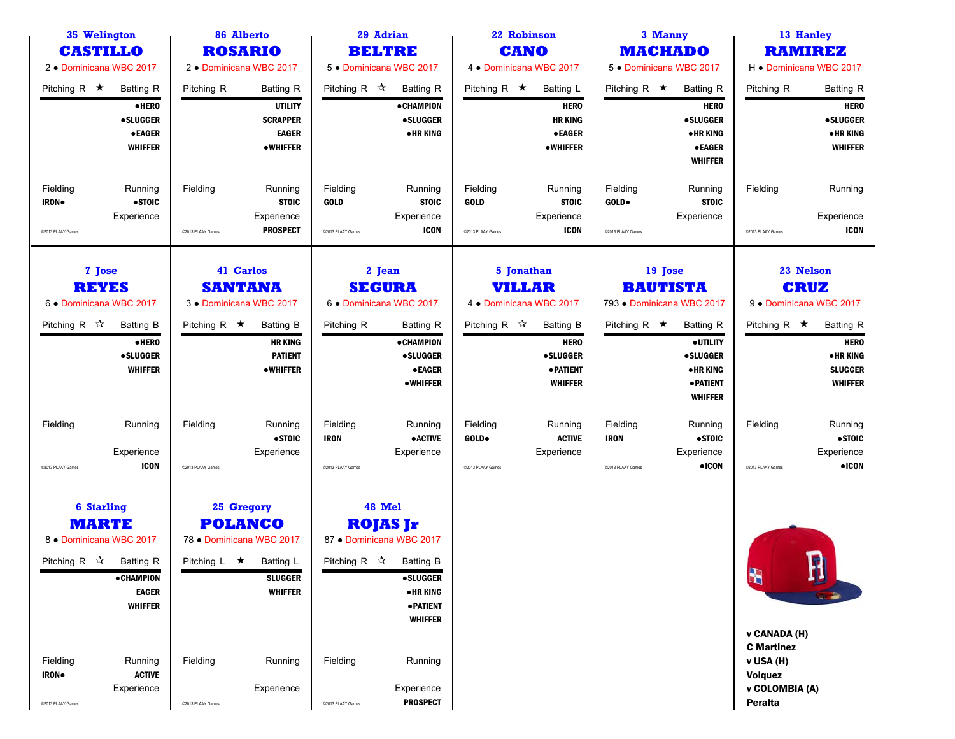| 35 Welington                                                                                |                                                                                 |                               | 86 Alberto                                                                                                |                                              | 29 Adrian                                                                                                                                                     |                                        | 22 Robinson                                                                   |                                              | 3 Manny                                                                               |                                                                 | 13 Hanley                                                                       |
|---------------------------------------------------------------------------------------------|---------------------------------------------------------------------------------|-------------------------------|-----------------------------------------------------------------------------------------------------------|----------------------------------------------|---------------------------------------------------------------------------------------------------------------------------------------------------------------|----------------------------------------|-------------------------------------------------------------------------------|----------------------------------------------|---------------------------------------------------------------------------------------|-----------------------------------------------------------------|---------------------------------------------------------------------------------|
| <b>CASTILLO</b>                                                                             |                                                                                 |                               | <b>ROSARIO</b>                                                                                            |                                              | <b>BELTRE</b>                                                                                                                                                 |                                        | <b>CANO</b>                                                                   |                                              | <b>MACHADO</b>                                                                        |                                                                 | <b>RAMIREZ</b>                                                                  |
| 2 • Dominicana WBC 2017                                                                     |                                                                                 |                               | 2 • Dominicana WBC 2017                                                                                   |                                              | 5 . Dominicana WBC 2017                                                                                                                                       |                                        | 4 • Dominicana WBC 2017                                                       |                                              | 5 . Dominicana WBC 2017                                                               |                                                                 | H . Dominicana WBC 2017                                                         |
| Pitching R $\star$                                                                          | <b>Batting R</b><br>·HERO<br><b>•SLUGGER</b><br><b>•EAGER</b><br><b>WHIFFER</b> | Pitching R                    | <b>Batting R</b><br><b>UTILITY</b><br><b>SCRAPPER</b><br><b>EAGER</b><br>•WHIFFER                         | Pitching R $\mathcal{R}$                     | <b>Batting R</b><br>• CHAMPION<br><b>•SLUGGER</b><br><b>•HR KING</b>                                                                                          | Pitching R $\star$                     | Batting L<br><b>HERO</b><br><b>HRKING</b><br><b>•EAGER</b><br><b>•WHIFFER</b> | Pitching R $\star$                           | <b>Batting R</b><br><b>HERO</b><br><b>•SLUGGER</b><br><b>•HRKING</b><br><b>•EAGER</b> | Pitching R                                                      | <b>Batting R</b><br><b>HERO</b><br>•SLUGGER<br><b>•HRKING</b><br><b>WHIFFER</b> |
| Fielding<br><b>IRON</b> .                                                                   | Running<br>•STOIC                                                               | Fielding                      | Running<br><b>STOIC</b>                                                                                   | Fielding<br><b>GOLD</b>                      | Running<br><b>STOIC</b>                                                                                                                                       | Fielding<br><b>GOLD</b>                | Running<br><b>STOIC</b>                                                       | Fielding<br>GOLD.                            | <b>WHIFFER</b><br>Running<br><b>STOIC</b>                                             | Fielding                                                        | Running                                                                         |
| @2013 PLAAY Games                                                                           | Experience                                                                      | @2013 PLAAY Games             | Experience<br><b>PROSPECT</b>                                                                             | C2013 PLAAY Games                            | Experience<br><b>ICON</b>                                                                                                                                     | @2013 PLAAY Games                      | Experience<br><b>ICON</b>                                                     | C2013 PLAAY Games                            | Experience                                                                            | @2013 PLAAY Games                                               | Experience<br><b>ICON</b>                                                       |
| 7 Jose<br><b>REYES</b><br>6 . Dominicana WBC 2017                                           |                                                                                 |                               | 41 Carlos<br><b>SANTANA</b><br>3 . Dominicana WBC 2017                                                    |                                              | 2 Jean<br><b>SEGURA</b><br>6 . Dominicana WBC 2017                                                                                                            |                                        | 5 Jonathan<br><b>VILLAR</b><br>4 • Dominicana WBC 2017                        |                                              | 19 Jose<br><b>BAUTISTA</b><br>793 • Dominicana WBC 2017                               |                                                                 | 23 Nelson<br><b>CRUZ</b><br>9 . Dominicana WBC 2017                             |
| Pitching R $\sqrt{\lambda}$                                                                 | <b>Batting B</b>                                                                | Pitching R $\star$            | <b>Batting B</b>                                                                                          | Pitching R                                   | <b>Batting R</b>                                                                                                                                              | Pitching R $\sqrt{\lambda}$            | <b>Batting B</b>                                                              | Pitching R $\star$                           | <b>Batting R</b>                                                                      | Pitching R $\star$                                              | <b>Batting R</b>                                                                |
|                                                                                             | ·HERO<br><b>•SLUGGER</b><br><b>WHIFFER</b>                                      |                               | <b>HR KING</b><br><b>PATIENT</b><br><b>•WHIFFER</b>                                                       |                                              | <b>•CHAMPION</b><br><b>•SLUGGER</b><br>$\bullet$ EAGER<br><b>•WHIFFER</b>                                                                                     |                                        | <b>HERO</b><br><b>•SLUGGER</b><br><b>• PATIENT</b><br><b>WHIFFER</b>          |                                              | · UTILITY<br><b>•SLUGGER</b><br><b>•HRKING</b><br>· PATIENT<br><b>WHIFFER</b>         |                                                                 | <b>HERO</b><br>• HR KING<br><b>SLUGGER</b><br><b>WHIFFER</b>                    |
| Fielding<br>@2013 PLAAY Games                                                               | Running<br>Experience<br><b>ICON</b>                                            | Fielding<br>@2013 PLAAY Games | Running<br>•STOIC<br>Experience                                                                           | Fielding<br><b>IRON</b><br>@2013 PLAAY Games | Running<br><b>•ACTIVE</b><br>Experience                                                                                                                       | Fielding<br>GOLD.<br>@2013 PLAAY Games | Running<br><b>ACTIVE</b><br>Experience                                        | Fielding<br><b>IRON</b><br>@2013 PLAAY Games | Running<br>• STOIC<br>Experience<br>$\bullet$ ICON                                    | Fielding<br>@2013 PLAAY Games                                   | Running<br>• STOIC<br>Experience<br>$\bullet$ ICON                              |
| <b>6 Starling</b><br><b>MARTE</b><br>8 . Dominicana WBC 2017<br>Pitching R $\sqrt{\lambda}$ | <b>Batting R</b><br><b>• CHAMPION</b><br><b>EAGER</b><br><b>WHIFFER</b>         | Pitching L $\star$            | 25 Gregory<br><b>POLANCO</b><br>78 . Dominicana WBC 2017<br>Batting L<br><b>SLUGGER</b><br><b>WHIFFER</b> |                                              | 48 Mel<br><b>ROJAS Jr</b><br>87 • Dominicana WBC 2017<br>Pitching R $\vec{x}$ Batting B<br><b>•SLUGGER</b><br>• HR KING<br><b>• PATIENT</b><br><b>WHIFFER</b> |                                        |                                                                               |                                              |                                                                                       | H<br>v CANADA (H)<br><b>C</b> Martinez                          | G<br>IJ                                                                         |
| Fielding<br>IRON.<br>@2013 PLAAY Games                                                      | Running<br><b>ACTIVE</b><br>Experience                                          | Fielding<br>@2013 PLAAY Games | Running<br>Experience                                                                                     | Fielding<br>@2013 PLAAY Games                | Running<br>Experience<br><b>PROSPECT</b>                                                                                                                      |                                        |                                                                               |                                              |                                                                                       | v USA (H)<br><b>Volquez</b><br>v COLOMBIA (A)<br><b>Peralta</b> |                                                                                 |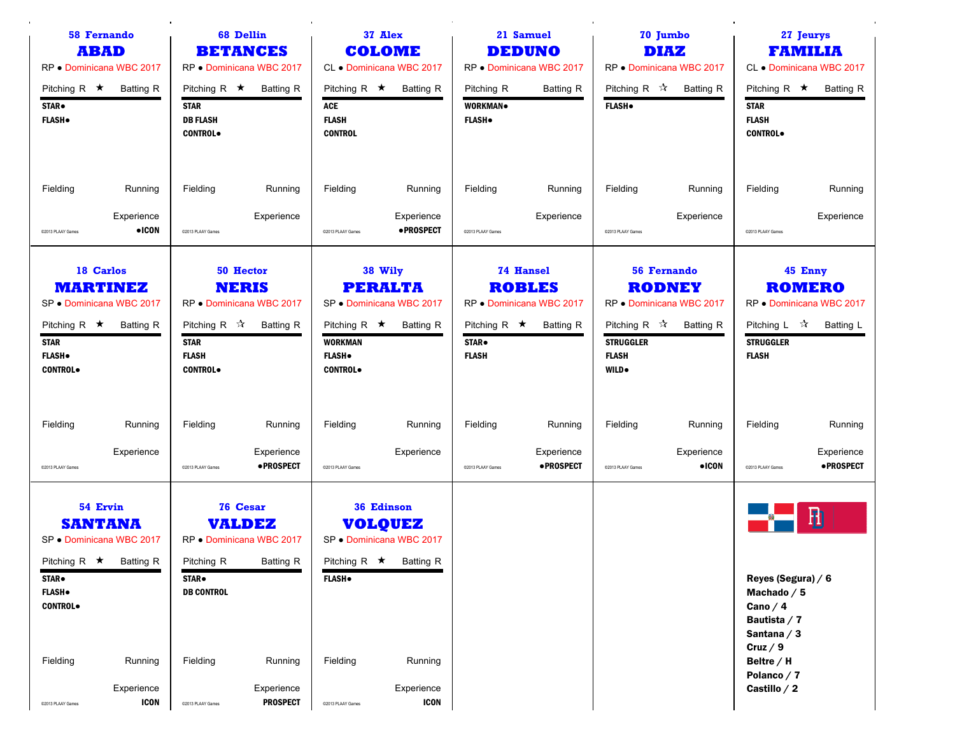| <b>58 Fernando</b><br><b>ABAD</b><br>RP . Dominicana WBC 2017<br>Pitching R $\star$<br><b>Batting R</b><br>STAR.<br><b>FLASH</b>                                                                                     | <b>68 Dellin</b><br><b>BETANCES</b><br>RP . Dominicana WBC 2017<br>Pitching R $\star$<br><b>Batting R</b><br><b>STAR</b><br><b>DB FLASH</b><br><b>CONTROL</b>                                                     | 37 Alex<br><b>COLOME</b><br>CL . Dominicana WBC 2017<br>Pitching R $\star$<br><b>Batting R</b><br>ACE<br><b>FLASH</b><br><b>CONTROL</b>                                             | 21 Samuel<br><b>DEDUNO</b><br>RP . Dominicana WBC 2017<br>Pitching R<br><b>Batting R</b><br>WORKMAN.<br><b>FLASH</b> .           | 70 Jumbo<br><b>DIAZ</b><br>RP . Dominicana WBC 2017<br>Pitching R $\sqrt{\lambda}$<br><b>Batting R</b><br><b>FLASH</b>                                     | 27 Jeurys<br><b>FAMILIA</b><br>CL . Dominicana WBC 2017<br>Pitching R $\star$<br><b>Batting R</b><br><b>STAR</b><br><b>FLASH</b><br><b>CONTROL</b> |
|----------------------------------------------------------------------------------------------------------------------------------------------------------------------------------------------------------------------|-------------------------------------------------------------------------------------------------------------------------------------------------------------------------------------------------------------------|-------------------------------------------------------------------------------------------------------------------------------------------------------------------------------------|----------------------------------------------------------------------------------------------------------------------------------|------------------------------------------------------------------------------------------------------------------------------------------------------------|----------------------------------------------------------------------------------------------------------------------------------------------------|
| Fielding<br>Running<br>Experience<br>$\bullet$ ICON<br>@2013 PLAAY Games                                                                                                                                             | Running<br>Fielding<br>Experience<br>@2013 PLAAY Games                                                                                                                                                            | Fielding<br>Running<br>Experience<br>• PROSPECT<br>@2013 PLAAY Games                                                                                                                | Fielding<br>Running<br>Experience<br>@2013 PLAAY Games                                                                           | Fielding<br>Running<br>Experience<br>@2013 PLAAY Games                                                                                                     | Fielding<br>Running<br>Experience<br>@2013 PLAAY Games                                                                                             |
| 18 Carlos<br><b>MARTINEZ</b><br>SP · Dominicana WBC 2017<br>Pitching R $\star$<br>Batting R<br><b>STAR</b><br><b>FLASH</b><br><b>CONTROL</b>                                                                         | 50 Hector<br><b>NERIS</b><br>RP · Dominicana WBC 2017<br>Pitching R $\vec{x}$ Batting R<br><b>STAR</b><br><b>FLASH</b><br><b>CONTROL</b>                                                                          | 38 Wily<br><b>PERALTA</b><br>SP . Dominicana WBC 2017<br>Pitching R $\star$<br><b>Batting R</b><br><b>WORKMAN</b><br><b>FLASH</b> .<br><b>CONTROL</b>                               | <b>74 Hansel</b><br><b>ROBLES</b><br>RP · Dominicana WBC 2017<br>Pitching R $\star$<br><b>Batting R</b><br>STAR.<br><b>FLASH</b> | <b>56 Fernando</b><br><b>RODNEY</b><br>RP · Dominicana WBC 2017<br>Pitching R $\sqrt{x}$<br>Batting R<br><b>STRUGGLER</b><br><b>FLASH</b><br><b>WILD</b> . | 45 Enny<br><b>ROMERO</b><br>RP . Dominicana WBC 2017<br>Pitching L $\mathcal{A}$<br><b>Batting L</b><br><b>STRUGGLER</b><br><b>FLASH</b>           |
| Fielding<br>Running<br>Experience<br>C2013 PLAAY Games                                                                                                                                                               | Fielding<br>Running<br>Experience<br>·PROSPECT<br>@2013 PLAAY Games                                                                                                                                               | Fielding<br>Running<br>Experience<br>@2013 PLAAY Games                                                                                                                              | Fielding<br>Running<br>Experience<br>·PROSPECT<br>@2013 PLAAY Games                                                              | Fielding<br>Running<br>Experience<br>$\bullet$ ICON<br>@2013 PLAAY Games                                                                                   | Fielding<br>Running<br>Experience<br>·PROSPECT<br>@2013 PLAAY Games                                                                                |
| 54 Ervin<br><b>SANTANA</b><br>SP · Dominicana WBC 2017<br>Pitching R $\star$ Batting R<br><b>STAR</b> .<br><b>FLASH</b> .<br><b>CONTROL</b><br>Fielding<br>Running<br>Experience<br><b>ICON</b><br>@2013 PLAAY Games | <b>76 Cesar</b><br><b>VALDEZ</b><br>RP . Dominicana WBC 2017<br>Pitching R<br><b>Batting R</b><br><b>STAR</b> .<br><b>DB CONTROL</b><br>Fielding<br>Running<br>Experience<br><b>PROSPECT</b><br>@2013 PLAAY Games | 36 Edinson<br><b>VOLQUEZ</b><br>SP · Dominicana WBC 2017<br>Pitching R $\star$ Batting R<br><b>FLASH</b> .<br>Fielding<br>Running<br>Experience<br><b>ICON</b><br>@2013 PLAAY Games |                                                                                                                                  |                                                                                                                                                            | 聞<br>Reyes (Segura) / 6<br>Machado $/5$<br>Cano $/4$<br>Bautista / 7<br>Santana $/3$<br>Cruz $/9$<br>Beltre / H<br>Polanco / 7<br>Castillo / 2     |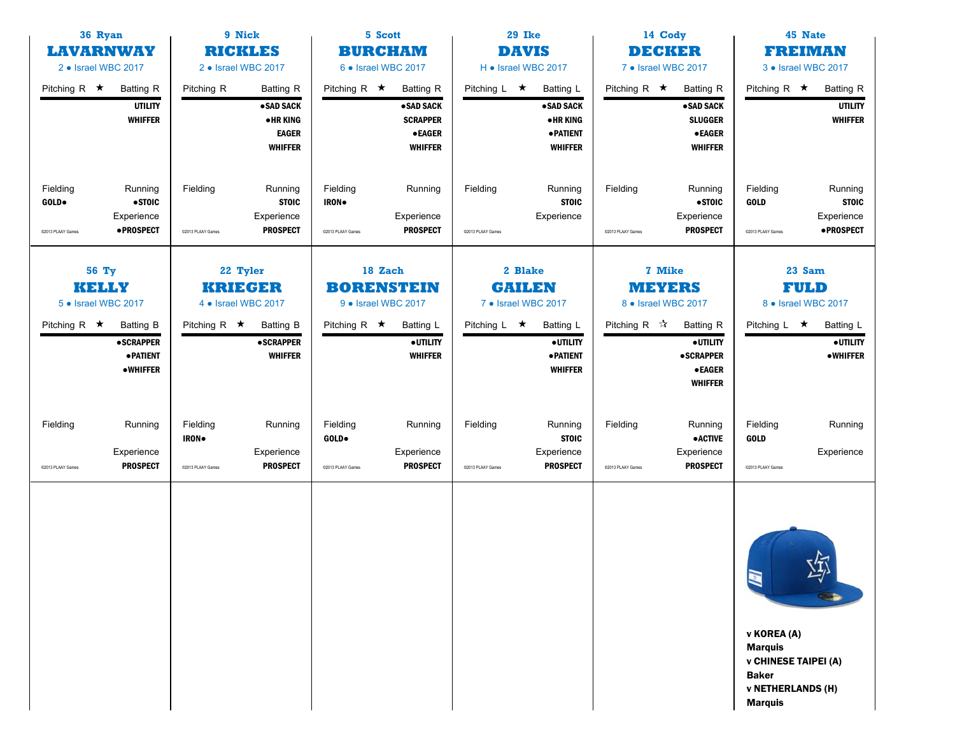|                                        | 9 Nick<br>36 Ryan<br><b>LAVARNWAY</b><br><b>RICKLES</b><br>2 • Israel WBC 2017<br>2 • Israel WBC 2017 |                                                   | 5 Scott<br><b>BURCHAM</b><br>6 • Israel WBC 2017                                   |                                                     | 29 Ike<br><b>DAVIS</b><br>H • Israel WBC 2017                                          |                               | 14 Cody<br><b>DECKER</b><br>7 • Israel WBC 2017                                   |                               |                                                                                        | <b>45 Nate</b><br><b>FREIMAN</b><br>3 • Israel WBC 2017                                                                         |                                                                     |
|----------------------------------------|-------------------------------------------------------------------------------------------------------|---------------------------------------------------|------------------------------------------------------------------------------------|-----------------------------------------------------|----------------------------------------------------------------------------------------|-------------------------------|-----------------------------------------------------------------------------------|-------------------------------|----------------------------------------------------------------------------------------|---------------------------------------------------------------------------------------------------------------------------------|---------------------------------------------------------------------|
| Pitching R $\star$                     | <b>Batting R</b><br><b>UTILITY</b><br><b>WHIFFER</b>                                                  | Pitching R                                        | <b>Batting R</b><br>• SAD SACK<br><b>•HRKING</b><br><b>EAGER</b><br><b>WHIFFER</b> | Pitching R $\star$                                  | <b>Batting R</b><br>• SAD SACK<br><b>SCRAPPER</b><br>$\bullet$ EAGER<br><b>WHIFFER</b> | Pitching L $\star$            | <b>Batting L</b><br>• SAD SACK<br>• HR KING<br><b>• PATIENT</b><br><b>WHIFFER</b> | Pitching R $\star$            | <b>Batting R</b><br>• SAD SACK<br><b>SLUGGER</b><br>$\bullet$ EAGER<br><b>WHIFFER</b>  | Pitching R $\star$                                                                                                              | <b>Batting R</b><br><b>UTILITY</b><br><b>WHIFFER</b>                |
| Fielding<br>GOLD.<br>C2013 PLAAY Games | Running<br>$\bullet$ STOIC<br>Experience<br>·PROSPECT                                                 | Fielding<br>@2013 PLAAY Games                     | Running<br><b>STOIC</b><br>Experience<br><b>PROSPECT</b>                           | Fielding<br>IRON.<br>@2013 PLAAY Games              | Running<br>Experience<br><b>PROSPECT</b>                                               | Fielding<br>@2013 PLAAY Games | Running<br><b>STOIC</b><br>Experience                                             | Fielding<br>C2013 PLAAY Games | Running<br>•STOIC<br>Experience<br><b>PROSPECT</b>                                     | Fielding<br><b>GOLD</b><br>@2013 PLAAY Games                                                                                    | Running<br><b>STOIC</b><br>Experience<br><b>•PROSPECT</b>           |
| 56 Ty<br>KELLY<br>5 · Israel WBC 2017  |                                                                                                       | 22 Tyler<br><b>KRIEGER</b><br>4 • Israel WBC 2017 |                                                                                    | 18 Zach<br><b>BORENSTEIN</b><br>9 · Israel WBC 2017 |                                                                                        |                               | 2 Blake<br><b>GAILEN</b><br>7 • Israel WBC 2017                                   |                               | 7 Mike<br>MEYERS<br>8 • Israel WBC 2017                                                |                                                                                                                                 | 23 Sam<br><b>FULD</b><br>8 • Israel WBC 2017                        |
| Pitching R $\star$                     | <b>Batting B</b><br><b>•SCRAPPER</b><br><b>• PATIENT</b><br><b>•WHIFFER</b>                           | Pitching R $\star$                                | <b>Batting B</b><br><b>•SCRAPPER</b><br><b>WHIFFER</b>                             | Pitching R $\star$                                  | Batting L<br><b>•UTILITY</b><br><b>WHIFFER</b>                                         | Pitching $L \star$            | <b>Batting L</b><br>· UTILITY<br>· PATIENT<br><b>WHIFFER</b>                      | Pitching R $\mathcal{R}$      | <b>Batting R</b><br>· UTILITY<br><b>•SCRAPPER</b><br>$\bullet$ EAGER<br><b>WHIFFER</b> | Pitching $L \star$                                                                                                              | <b>Batting L</b><br>$\overline{\bullet}$ UTILITY<br><b>•WHIFFER</b> |
| Fielding<br>@2013 PLAAY Games          | Running<br>Experience<br><b>PROSPECT</b>                                                              | Fielding<br>IRON.<br>@2013 PLAAY Games            | Running<br>Experience<br><b>PROSPECT</b>                                           | Fielding<br>GOLD.<br>@2013 PLAAY Games              | Running<br>Experience<br><b>PROSPECT</b>                                               | Fielding<br>@2013 PLAAY Games | Running<br><b>STOIC</b><br>Experience<br><b>PROSPECT</b>                          | Fielding<br>@2013 PLAAY Games | Running<br><b>•ACTIVE</b><br>Experience<br><b>PROSPECT</b>                             | Fielding<br><b>GOLD</b><br>@2013 PLAAY Games                                                                                    | Running<br>Experience                                               |
|                                        |                                                                                                       |                                                   |                                                                                    |                                                     |                                                                                        |                               |                                                                                   |                               |                                                                                        | N<br>v KOREA (A)<br><b>Marquis</b><br><b>v CHINESE TAIPEI (A)</b><br><b>Baker</b><br><b>v NETHERLANDS (H)</b><br><b>Marquis</b> | $\overline{\mathcal{F}}$                                            |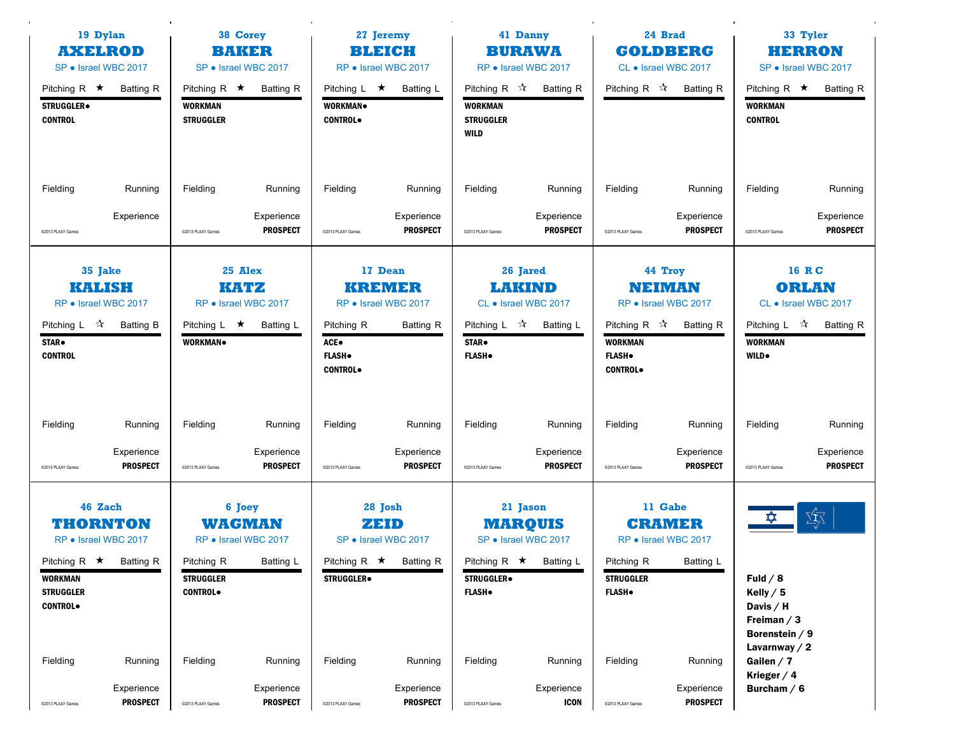| 19 Dylan<br><b>AXELROD</b><br>SP · Israel WBC 2017                                                   |                                          | 38 Corey<br>BAKER<br>SP · Israel WBC 2017 |                                                              | Pitching R $\star$                                     |                                                                         |                                                                               |                                                                                    |                                                                                   | 27 Jeremy<br><b>BLEICH</b><br>RP • Israel WBC 2017            |                                                                                           | 41 Danny<br><b>BURAWA</b><br>RP • Israel WBC 2017                               |  | 24 Brad<br><b>GOLDBERG</b><br>CL • Israel WBC 2017 |  | 33 Tyler<br><b>HERRON</b><br>SP · Israel WBC 2017 |
|------------------------------------------------------------------------------------------------------|------------------------------------------|-------------------------------------------|--------------------------------------------------------------|--------------------------------------------------------|-------------------------------------------------------------------------|-------------------------------------------------------------------------------|------------------------------------------------------------------------------------|-----------------------------------------------------------------------------------|---------------------------------------------------------------|-------------------------------------------------------------------------------------------|---------------------------------------------------------------------------------|--|----------------------------------------------------|--|---------------------------------------------------|
| Pitching R $\star$<br>STRUGGLER.<br><b>CONTROL</b>                                                   | <b>Batting R</b>                         | <b>WORKMAN</b><br><b>STRUGGLER</b>        | <b>Batting R</b>                                             | Pitching $L \star$<br><b>WORKMAN</b><br><b>CONTROL</b> | Batting L                                                               | Pitching R $\mathcal{R}$<br><b>WORKMAN</b><br><b>STRUGGLER</b><br><b>WILD</b> | <b>Batting R</b>                                                                   | Pitching R ☆                                                                      | <b>Batting R</b>                                              | Pitching R $\star$<br><b>WORKMAN</b><br><b>CONTROL</b>                                    | <b>Batting R</b>                                                                |  |                                                    |  |                                                   |
| Fielding                                                                                             | Running                                  | Fielding                                  | Running                                                      | Fielding                                               | Running                                                                 | Fielding                                                                      | Running                                                                            | Fielding                                                                          | Running                                                       | Fielding                                                                                  | Running                                                                         |  |                                                    |  |                                                   |
| C2013 PLAAY Games                                                                                    | Experience                               | @2013 PLAAY Games                         | Experience<br><b>PROSPECT</b>                                | @2013 PLAAY Games                                      | Experience<br><b>PROSPECT</b>                                           | @2013 PLAAY Games                                                             | Experience<br><b>PROSPECT</b>                                                      | @2013 PLAAY Games                                                                 | Experience<br><b>PROSPECT</b>                                 | @2013 PLAAY Games                                                                         | Experience<br><b>PROSPECT</b>                                                   |  |                                                    |  |                                                   |
| 35 Jake<br><b>KALISH</b><br>RP • Israel WBC 2017<br>Pitching L $\sqrt{2}$<br>STAR.<br><b>CONTROL</b> | Batting B                                | Pitching L $\star$<br>WORKMAN.            | 25 Alex<br>KATZ<br>RP • Israel WBC 2017<br>Batting L         | Pitching R<br>ACE●<br><b>FLASH</b> .<br><b>CONTROL</b> | 17 Dean<br><b>KREMER</b><br>RP · Israel WBC 2017<br><b>Batting R</b>    | Pitching $L \quad \mathcal{R}$<br>STAR.<br><b>FLASH</b> .                     | 26 Jared<br><b>LAKIND</b><br>CL • Israel WBC 2017<br>Batting L                     | Pitching R $\sqrt{\lambda}$<br><b>WORKMAN</b><br><b>FLASH</b> .<br><b>CONTROL</b> | 44 Troy<br>NEIMAN<br>RP · Israel WBC 2017<br><b>Batting R</b> | <b>WORKMAN</b><br><b>WILD</b> .                                                           | 16 RC<br><b>ORLAN</b><br>CL • Israel WBC 2017<br>Pitching L $\vec{x}$ Batting R |  |                                                    |  |                                                   |
| Fielding<br>@2013 PLAAY Games                                                                        | Running<br>Experience<br><b>PROSPECT</b> | Fielding<br>@2013 PLAAY Games             | Running<br>Experience<br><b>PROSPECT</b>                     | Fielding<br>C2013 PLAAY Games                          | Running<br>Experience<br><b>PROSPECT</b>                                | Fielding<br>@2013 PLAAY Games                                                 | Running<br>Experience<br><b>PROSPECT</b>                                           | Fielding<br>@2013 PLAAY Games                                                     | Running<br>Experience<br><b>PROSPECT</b>                      | Fielding<br>@2013 PLAAY Games                                                             | Running<br>Experience<br><b>PROSPECT</b>                                        |  |                                                    |  |                                                   |
| 46 Zach<br><b>THORNTON</b><br>RP • Israel WBC 2017<br>Pitching $R \star$ Batting R                   |                                          | Pitching R                                | 6 Joey<br><b>WAGMAN</b><br>RP • Israel WBC 2017<br>Batting L |                                                        | 28 Josh<br>ZEID<br>SP • Israel WBC 2017<br>Pitching $R \star$ Batting R |                                                                               | 21 Jason<br><b>MARQUIS</b><br>SP • Israel WBC 2017<br>Pitching R $\star$ Batting L | Pitching R                                                                        | 11 Gabe<br><b>CRAMER</b><br>RP • Israel WBC 2017<br>Batting L | ✿                                                                                         | Yţ                                                                              |  |                                                    |  |                                                   |
| WORKMAN<br><b>STRUGGLER</b><br><b>CONTROL</b>                                                        |                                          | <b>STRUGGLER</b><br><b>CONTROL</b>        |                                                              | <b>STRUGGLER</b> .                                     |                                                                         | <b>STRUGGLER</b><br><b>FLASH</b> .                                            |                                                                                    | <b>STRUGGLER</b><br><b>FLASH</b> .                                                |                                                               | Fuld $/ 8$<br>Kelly $/5$<br>Davis / H<br>Freiman $/3$<br>Borenstein / 9<br>Lavarnway $/2$ |                                                                                 |  |                                                    |  |                                                   |
| Fielding<br>@2013 PLAAY Games                                                                        | Running<br>Experience<br><b>PROSPECT</b> | Fielding<br>@2013 PLAAY Games             | Running<br>Experience<br><b>PROSPECT</b>                     | Fielding<br>@2013 PLAAY Games                          | Running<br>Experience<br><b>PROSPECT</b>                                | Fielding<br>@2013 PLAAY Games                                                 | Running<br>Experience<br><b>ICON</b>                                               | Fielding<br>@2013 PLAAY Games                                                     | Running<br>Experience<br><b>PROSPECT</b>                      | Gailen $/7$<br>Krieger $/4$<br>Burcham $/6$                                               |                                                                                 |  |                                                    |  |                                                   |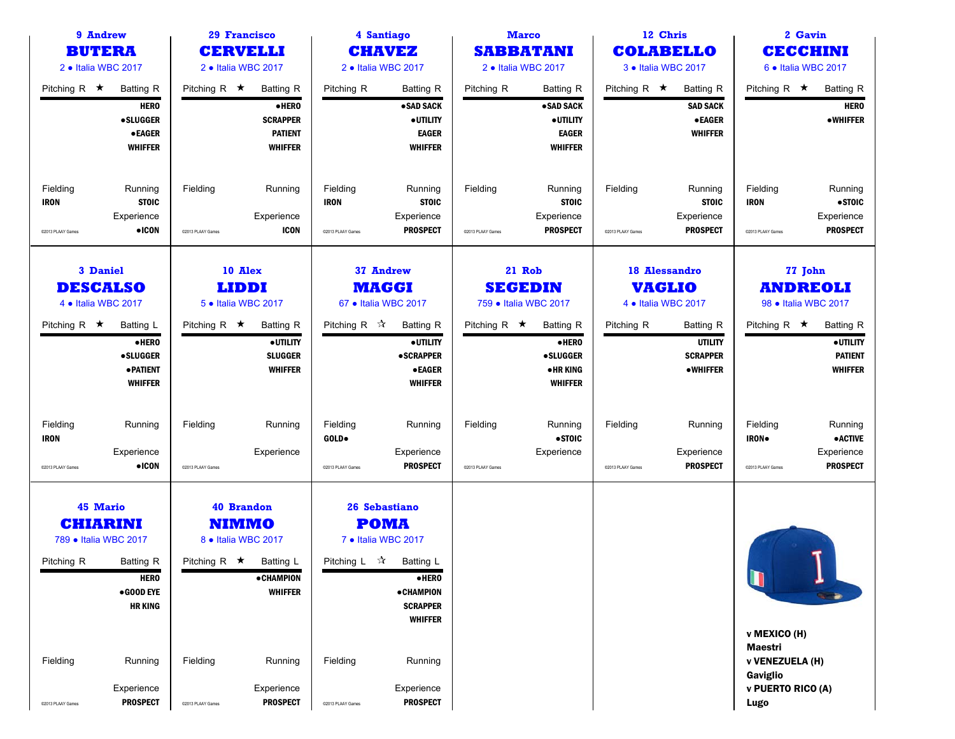| 9 Andrew<br><b>BUTERA</b>                                                             |                                                                                       |                                | <b>29 Francisco</b><br><b>CERVELLI</b>                                                                                         |                                              | 4 Santiago<br><b>CHAVEZ</b>                                                                                                                    |                               | <b>Marco</b><br><b>SABBATANI</b>                                                    |                               | 12 Chris<br><b>COLABELLO</b>                                             |                                                        | 2 Gavin<br>CECCHINI                                               |
|---------------------------------------------------------------------------------------|---------------------------------------------------------------------------------------|--------------------------------|--------------------------------------------------------------------------------------------------------------------------------|----------------------------------------------|------------------------------------------------------------------------------------------------------------------------------------------------|-------------------------------|-------------------------------------------------------------------------------------|-------------------------------|--------------------------------------------------------------------------|--------------------------------------------------------|-------------------------------------------------------------------|
| 2 . Italia WBC 2017                                                                   |                                                                                       |                                | 2 . Italia WBC 2017                                                                                                            |                                              | 2 · Italia WBC 2017                                                                                                                            |                               | 2 · Italia WBC 2017                                                                 |                               | 3 . Italia WBC 2017                                                      |                                                        | 6 . Italia WBC 2017                                               |
| Pitching R $\star$                                                                    | <b>Batting R</b><br><b>HERO</b><br><b>•SLUGGER</b><br><b>•EAGER</b><br><b>WHIFFER</b> | Pitching R $\star$             | <b>Batting R</b><br>·HERO<br><b>SCRAPPER</b><br><b>PATIENT</b><br><b>WHIFFER</b>                                               | Pitching R                                   | <b>Batting R</b><br>• SAD SACK<br><b>•UTILITY</b><br><b>EAGER</b><br><b>WHIFFER</b>                                                            | Pitching R                    | <b>Batting R</b><br>• SAD SACK<br><b>•UTILITY</b><br><b>EAGER</b><br><b>WHIFFER</b> | Pitching R $\star$            | <b>Batting R</b><br><b>SAD SACK</b><br><b>•EAGER</b><br><b>WHIFFER</b>   | Pitching R $\star$                                     | <b>Batting R</b><br><b>HERO</b><br><b>•WHIFFER</b>                |
| Fielding<br><b>IRON</b><br>@2013 PLAAY Games                                          | Running<br><b>STOIC</b><br>Experience<br>$\bullet$ ICON                               | Fielding<br>@2013 PLAAY Games  | Running<br>Experience<br><b>ICON</b>                                                                                           | Fielding<br><b>IRON</b><br>@2013 PLAAY Games | Running<br><b>STOIC</b><br>Experience<br><b>PROSPECT</b>                                                                                       | Fielding<br>@2013 PLAAY Games | Running<br><b>STOIC</b><br>Experience<br><b>PROSPECT</b>                            | Fielding<br>@2013 PLAAY Games | Running<br><b>STOIC</b><br>Experience<br><b>PROSPECT</b>                 | Fielding<br><b>IRON</b><br>@2013 PLAAY Games           | Running<br>•STOIC<br>Experience<br><b>PROSPECT</b>                |
| <b>3 Daniel</b><br><b>DESCALSO</b><br>4 · Italia WBC 2017                             |                                                                                       |                                | 10 Alex<br><b>LIDDI</b><br>5 · Italia WBC 2017                                                                                 |                                              | 37 Andrew<br><b>MAGGI</b><br>67 • Italia WBC 2017                                                                                              |                               | 21 Rob<br><b>SEGEDIN</b><br>759 · Italia WBC 2017                                   |                               | <b>18 Alessandro</b><br><b>VAGLIO</b><br>4 . Italia WBC 2017             |                                                        | 77 John<br><b>ANDREOLI</b><br>98 • Italia WBC 2017                |
| Pitching R $\star$                                                                    | Batting L<br>•HERO<br><b>•SLUGGER</b><br><b>• PATIENT</b><br><b>WHIFFER</b>           | Pitching R $\star$             | <b>Batting R</b><br>· UTILITY<br><b>SLUGGER</b><br><b>WHIFFER</b>                                                              | Pitching R $\sqrt{\lambda}$                  | <b>Batting R</b><br><b>•UTILITY</b><br><b>•SCRAPPER</b><br><b>•EAGER</b><br><b>WHIFFER</b>                                                     | Pitching R $\star$            | <b>Batting R</b><br>$\bullet$ HERO<br><b>•SLUGGER</b><br>•HR KING<br><b>WHIFFER</b> | Pitching R                    | <b>Batting R</b><br><b>UTILITY</b><br><b>SCRAPPER</b><br><b>•WHIFFER</b> | Pitching R $\star$                                     | <b>Batting R</b><br>· UTILITY<br><b>PATIENT</b><br><b>WHIFFER</b> |
| Fielding<br><b>IRON</b><br>@2013 PLAAY Games                                          | Running<br>Experience<br>$\bullet$ ICON                                               | Fielding<br>@2013 PLAAY Games  | Running<br>Experience                                                                                                          | Fielding<br>GOLD.<br>@2013 PLAAY Games       | Running<br>Experience<br><b>PROSPECT</b>                                                                                                       | Fielding<br>@2013 PLAAY Games | Running<br>•STOIC<br>Experience                                                     | Fielding<br>C2013 PLAAY Games | Running<br>Experience<br><b>PROSPECT</b>                                 | Fielding<br><b>IRON</b><br>@2013 PLAAY Games           | Running<br><b>• ACTIVE</b><br>Experience<br><b>PROSPECT</b>       |
| <b>45 Mario</b><br><b>CHIARINI</b><br>789 · Italia WBC 2017<br>Pitching R<br>Fielding | Batting R<br><b>HERO</b><br>$\bullet$ GOOD EYE<br><b>HR KING</b><br>Running           | Pitching R $\star$<br>Fielding | <b>40 Brandon</b><br><b>NIMMO</b><br>8 · Italia WBC 2017<br><b>Batting L</b><br><b>• CHAMPION</b><br><b>WHIFFER</b><br>Running | Pitching L ☆<br>Fielding                     | 26 Sebastiano<br><b>POMA</b><br>7 . Italia WBC 2017<br>Batting L<br>•HERO<br><b>• CHAMPION</b><br><b>SCRAPPER</b><br><b>WHIFFER</b><br>Running |                               |                                                                                     |                               |                                                                          | U<br>v MEXICO (H)<br><b>Maestri</b><br>v VENEZUELA (H) |                                                                   |
| @2013 PLAAY Games                                                                     | Experience<br><b>PROSPECT</b>                                                         | @2013 PLAAY Games              | Experience<br><b>PROSPECT</b>                                                                                                  | C2013 PLAAY Games                            | Experience<br><b>PROSPECT</b>                                                                                                                  |                               |                                                                                     |                               |                                                                          | Gaviglio<br>v PUERTO RICO (A)<br>Lugo                  |                                                                   |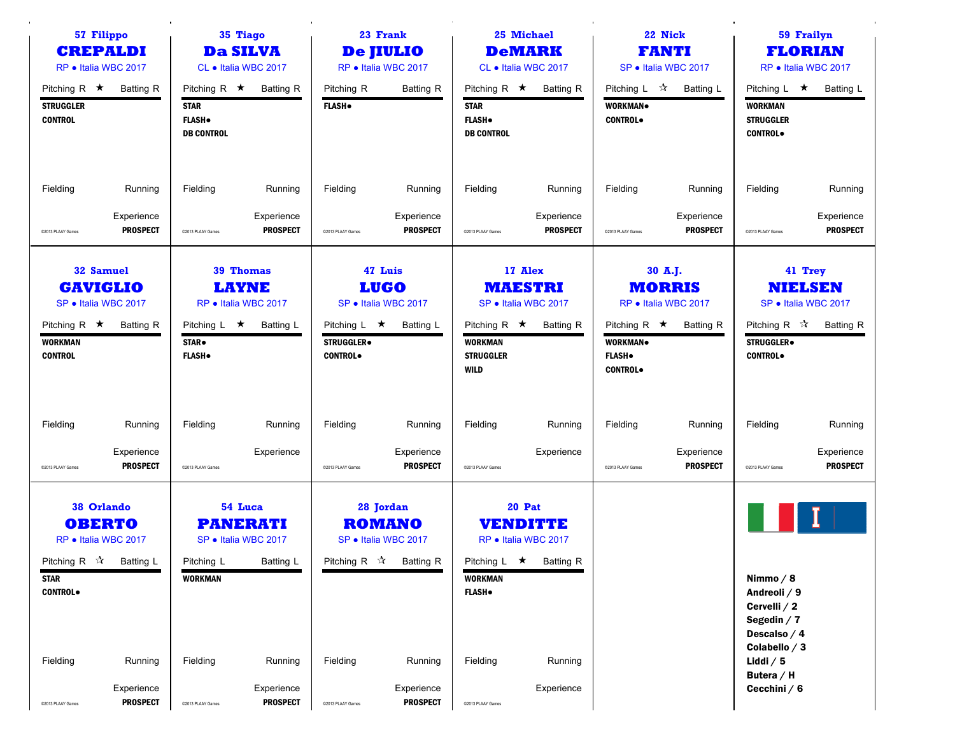| 57 Filippo<br><b>CREPALDI</b><br>RP · Italia WBC 2017                                                                         |                               | 35 Tiago<br><b>Da SILVA</b><br>CL . Italia WBC 2017 |                                                                        | 23 Frank<br><b>De JIULIO</b><br>RP · Italia WBC 2017<br>Pitching R $\star$ Batting R |                                                                                             |                                                                          | 25 Michael<br><b>DeMARK</b><br>CL • Italia WBC 2017                                      |                                                                          | 22 Nick<br><b>FANTI</b><br>SP · Italia WBC 2017                      |                                                                                              | 59 Frailyn<br><b>FLORIAN</b><br>RP · Italia WBC 2017                                |
|-------------------------------------------------------------------------------------------------------------------------------|-------------------------------|-----------------------------------------------------|------------------------------------------------------------------------|--------------------------------------------------------------------------------------|---------------------------------------------------------------------------------------------|--------------------------------------------------------------------------|------------------------------------------------------------------------------------------|--------------------------------------------------------------------------|----------------------------------------------------------------------|----------------------------------------------------------------------------------------------|-------------------------------------------------------------------------------------|
| Pitching R $\star$<br><b>STRUGGLER</b><br><b>CONTROL</b>                                                                      | <b>Batting R</b>              | <b>STAR</b><br><b>FLASH</b> .<br><b>DB CONTROL</b>  |                                                                        | Pitching R<br><b>FLASH</b> .                                                         | <b>Batting R</b>                                                                            | Pitching R $\star$<br><b>STAR</b><br><b>FLASH</b> .<br><b>DB CONTROL</b> | <b>Batting R</b>                                                                         | Pitching L $\vec{x}$<br>WORKMAN.<br><b>CONTROL</b>                       | Batting L                                                            | Pitching L $\star$<br><b>WORKMAN</b><br><b>STRUGGLER</b><br><b>CONTROL</b>                   | Batting L                                                                           |
| Fielding                                                                                                                      | Running                       | Fielding                                            | Running                                                                | Fielding                                                                             | Running                                                                                     | Fielding                                                                 | Running                                                                                  | Fielding                                                                 | Running                                                              | Fielding                                                                                     | Running                                                                             |
| @2013 PLAAY Games                                                                                                             | Experience<br><b>PROSPECT</b> | @2013 PLAAY Games                                   | Experience<br><b>PROSPECT</b>                                          | @2013 PLAAY Games                                                                    | Experience<br><b>PROSPECT</b>                                                               | @2013 PLAAY Games                                                        | Experience<br><b>PROSPECT</b>                                                            | @2013 PLAAY Games                                                        | Experience<br><b>PROSPECT</b>                                        | @2013 PLAAY Games                                                                            | Experience<br><b>PROSPECT</b>                                                       |
| 32 Samuel<br><b>GAVIGLIO</b><br>SP · Italia WBC 2017<br>Pitching R $\star$<br><b>WORKMAN</b><br><b>CONTROL</b>                | Batting R                     | Pitching $L \star$<br><b>STAR</b> .<br><b>FLASH</b> | <b>39 Thomas</b><br><b>LAYNE</b><br>RP · Italia WBC 2017<br>Batting L  | Pitching L ★ Batting L<br><b>STRUGGLER</b> .<br><b>CONTROL</b>                       | 47 Luis<br><b>LUGO</b><br>SP · Italia WBC 2017                                              | Pitching R $\star$<br><b>WORKMAN</b><br><b>STRUGGLER</b><br><b>WILD</b>  | 17 Alex<br><b>MAESTRI</b><br>SP · Italia WBC 2017<br>Batting R                           | Pitching R $\star$<br><b>WORKMAN</b><br><b>FLASH</b> .<br><b>CONTROL</b> | 30 A.J.<br><b>MORRIS</b><br>RP · Italia WBC 2017<br><b>Batting R</b> | <b>STRUGGLER</b><br><b>CONTROL</b>                                                           | 41 Trey<br><b>NIELSEN</b><br>SP · Italia WBC 2017<br>Pitching R $\vec{X}$ Batting R |
| Fielding                                                                                                                      | Running                       | Fielding                                            | Running                                                                | Fielding                                                                             | Running                                                                                     | Fielding                                                                 | Running                                                                                  | Fielding                                                                 | Running                                                              | Fielding                                                                                     | Running                                                                             |
| C2013 PLAAY Games                                                                                                             | Experience<br><b>PROSPECT</b> | @2013 PLAAY Games                                   | Experience                                                             | @2013 PLAAY Games                                                                    | Experience<br><b>PROSPECT</b>                                                               | @2013 PLAAY Games                                                        | Experience                                                                               | @2013 PLAAY Games                                                        | Experience<br><b>PROSPECT</b>                                        | @2013 PLAAY Games                                                                            | Experience<br><b>PROSPECT</b>                                                       |
| <b>38 Orlando</b><br><b>OBERTO</b><br>RP · Italia WBC 2017<br>Pitching R $\vec{x}$ Batting L<br><b>STAR</b><br><b>CONTROL</b> |                               | Pitching L<br><b>WORKMAN</b>                        | 54 Luca<br><b>PANERATI</b><br>SP · Italia WBC 2017<br><b>Batting L</b> |                                                                                      | 28 Jordan<br><b>ROMANO</b><br>SP · Italia WBC 2017<br>Pitching R $\sqrt{\lambda}$ Batting R | <b>WORKMAN</b><br><b>FLASH</b> .                                         | <b>20 Pat</b><br><b>VENDITTE</b><br>RP · Italia WBC 2017<br>Pitching L $\star$ Batting R |                                                                          |                                                                      | Nimmo $/ 8$<br>Andreoli / 9<br>Cervelli / 2<br>Segedin $/7$<br>Descalso / 4<br>Colabello / 3 |                                                                                     |
| Fielding                                                                                                                      | Running<br>Experience         | Fielding                                            | Running<br>Experience                                                  | Fielding                                                                             | Running<br>Experience                                                                       | Fielding                                                                 | Running<br>Experience                                                                    |                                                                          |                                                                      | Liddi $/5$<br>Butera / H<br>Cecchini $/6$                                                    |                                                                                     |
| @2013 PLAAY Games                                                                                                             | <b>PROSPECT</b>               | @2013 PLAAY Games                                   | <b>PROSPECT</b>                                                        | @2013 PLAAY Games                                                                    | <b>PROSPECT</b>                                                                             | @2013 PLAAY Games                                                        |                                                                                          |                                                                          |                                                                      |                                                                                              |                                                                                     |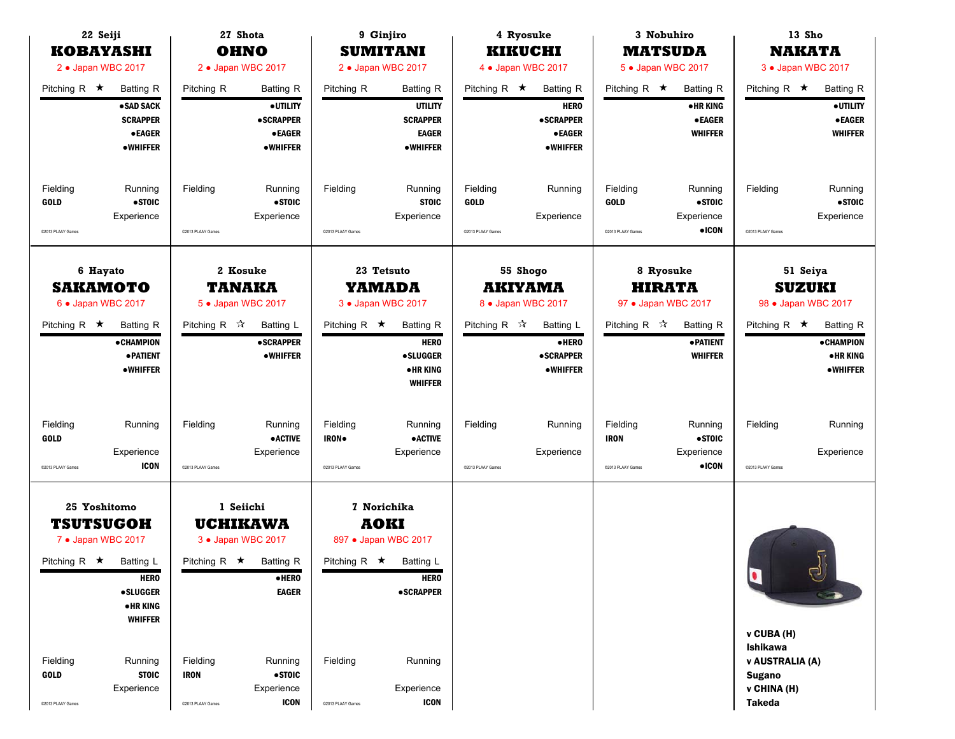| 22 Seiji<br><b>KOBAYASHI</b>                                                                                                 |                                                                                                                    |                                                                    | 27 Shota<br><b>OHNO</b>                                                                                                                             |                                                     | 9 Ginjiro<br><b>SUMITANI</b>                                                                                                                      |                                              | 4 Ryosuke<br><b>KIKUCHI</b>                                                                             |                                              | 3 Nobuhiro<br><b>MATSUDA</b>                                                                         |                                                                                                 | 13 Sho<br><b>NAKATA</b>                                                                                                 |
|------------------------------------------------------------------------------------------------------------------------------|--------------------------------------------------------------------------------------------------------------------|--------------------------------------------------------------------|-----------------------------------------------------------------------------------------------------------------------------------------------------|-----------------------------------------------------|---------------------------------------------------------------------------------------------------------------------------------------------------|----------------------------------------------|---------------------------------------------------------------------------------------------------------|----------------------------------------------|------------------------------------------------------------------------------------------------------|-------------------------------------------------------------------------------------------------|-------------------------------------------------------------------------------------------------------------------------|
| 2 . Japan WBC 2017                                                                                                           |                                                                                                                    |                                                                    | 2 . Japan WBC 2017                                                                                                                                  |                                                     | 2 . Japan WBC 2017                                                                                                                                |                                              | 4 . Japan WBC 2017                                                                                      |                                              | 5 • Japan WBC 2017                                                                                   |                                                                                                 | 3 . Japan WBC 2017                                                                                                      |
| Pitching R $\star$                                                                                                           | <b>Batting R</b><br>• SAD SACK<br><b>SCRAPPER</b><br><b>•EAGER</b><br><b>•WHIFFER</b>                              | Pitching R                                                         | <b>Batting R</b><br>Pitching R<br>· UTILITY<br><b>•SCRAPPER</b><br><b>•EAGER</b><br><b>•WHIFFER</b>                                                 |                                                     | <b>Batting R</b><br><b>UTILITY</b><br><b>SCRAPPER</b><br><b>EAGER</b><br><b>•WHIFFER</b>                                                          | Pitching R $\star$                           | Batting R<br><b>HERO</b><br><b>•SCRAPPER</b><br><b>•EAGER</b><br><b>•WHIFFER</b>                        | Pitching R $\star$                           | <b>Batting R</b><br><b>•HRKING</b><br><b>•EAGER</b><br><b>WHIFFER</b>                                | Pitching R $\star$                                                                              | <b>Batting R</b><br>· UTILITY<br><b>•EAGER</b><br><b>WHIFFER</b>                                                        |
| Fielding<br><b>GOLD</b><br>@2013 PLAAY Games                                                                                 | Running<br>•STOIC<br>Experience                                                                                    | Fielding<br>@2013 PLAAY Games                                      | Running<br>•STOIC<br>Experience                                                                                                                     | Fielding<br>C2013 PLAAY Games                       | Running<br><b>STOIC</b><br>Experience                                                                                                             | Fielding<br><b>GOLD</b><br>@2013 PLAAY Games | Running<br>Experience                                                                                   | Fielding<br><b>GOLD</b><br>@2013 PLAAY Games | Running<br>• STOIC<br>Experience<br>$\bullet$ ICON                                                   | Fielding<br>@2013 PLAAY Games                                                                   | Running<br>• STOIC<br>Experience                                                                                        |
| 6 Hayato<br><b>SAKAMOTO</b><br>6 . Japan WBC 2017<br>Pitching R $\star$                                                      | <b>Batting R</b><br><b>•CHAMPION</b><br>· PATIENT<br>•WHIFFER                                                      | Pitching R $\mathcal{R}$                                           | 2 Kosuke<br><b>TANAKA</b><br>5 · Japan WBC 2017<br>Batting L<br><b>•SCRAPPER</b><br><b>•WHIFFER</b>                                                 | Pitching R $\star$                                  | 23 Tetsuto<br><b>YAMADA</b><br>3 . Japan WBC 2017<br><b>Batting R</b><br><b>HERO</b><br><b>•SLUGGER</b><br>• HR KING<br><b>WHIFFER</b>            | Pitching R $\mathcal{R}$                     | 55 Shogo<br><b>AKIYAMA</b><br>8 . Japan WBC 2017<br>Batting L<br>·HERO<br><b>•SCRAPPER</b><br>• WHIFFER | Pitching R $\sqrt{\lambda}$                  | 8 Ryosuke<br><b>HIRATA</b><br>97 • Japan WBC 2017<br><b>Batting R</b><br>· PATIENT<br><b>WHIFFER</b> | Pitching R $\star$                                                                              | 51 Seiya<br><b>SUZUKI</b><br>98 • Japan WBC 2017<br><b>Batting R</b><br><b>•CHAMPION</b><br><b>•HRKING</b><br>• WHIFFER |
| Fielding<br><b>GOLD</b><br>@2013 PLAAY Games                                                                                 | Running<br>Experience<br><b>ICON</b>                                                                               | Fielding<br>@2013 PLAAY Games                                      | Running<br><b>•ACTIVE</b><br>Experience                                                                                                             | Fielding<br><b>IRON</b><br>@2013 PLAAY Games        | Running<br><b>•ACTIVE</b><br>Experience                                                                                                           | Fielding<br>@2013 PLAAY Games                | Running<br>Experience                                                                                   | Fielding<br><b>IRON</b><br>@2013 PLAAY Games | Running<br>•STOIC<br>Experience<br>$\bullet$ ICON                                                    | Fielding<br>@2013 PLAAY Games                                                                   | Running<br>Experience                                                                                                   |
| 25 Yoshitomo<br><b>TSUTSUGOH</b><br>7 • Japan WBC 2017<br>Pitching R $\star$<br>Fielding<br><b>GOLD</b><br>@2013 PLAAY Games | Batting L<br><b>HERO</b><br><b>•SLUGGER</b><br>•HR KING<br><b>WHIFFER</b><br>Running<br><b>STOIC</b><br>Experience | Pitching R $\star$<br>Fielding<br><b>IRON</b><br>@2013 PLAAY Games | 1 Seiichi<br><b>UCHIKAWA</b><br>3 • Japan WBC 2017<br>Batting R<br>$\bullet$ HERO<br><b>EAGER</b><br>Running<br>•STOIC<br>Experience<br><b>ICON</b> | Pitching R $\star$<br>Fielding<br>C2013 PLAAY Games | <b>7 Norichika</b><br><b>AOKI</b><br>897 • Japan WBC 2017<br>Batting L<br><b>HERO</b><br><b>•SCRAPPER</b><br>Running<br>Experience<br><b>ICON</b> |                                              |                                                                                                         |                                              |                                                                                                      | q<br>v CUBA (H)<br>Ishikawa<br>v AUSTRALIA (A)<br><b>Sugano</b><br>v CHINA (H)<br><b>Takeda</b> | ರ                                                                                                                       |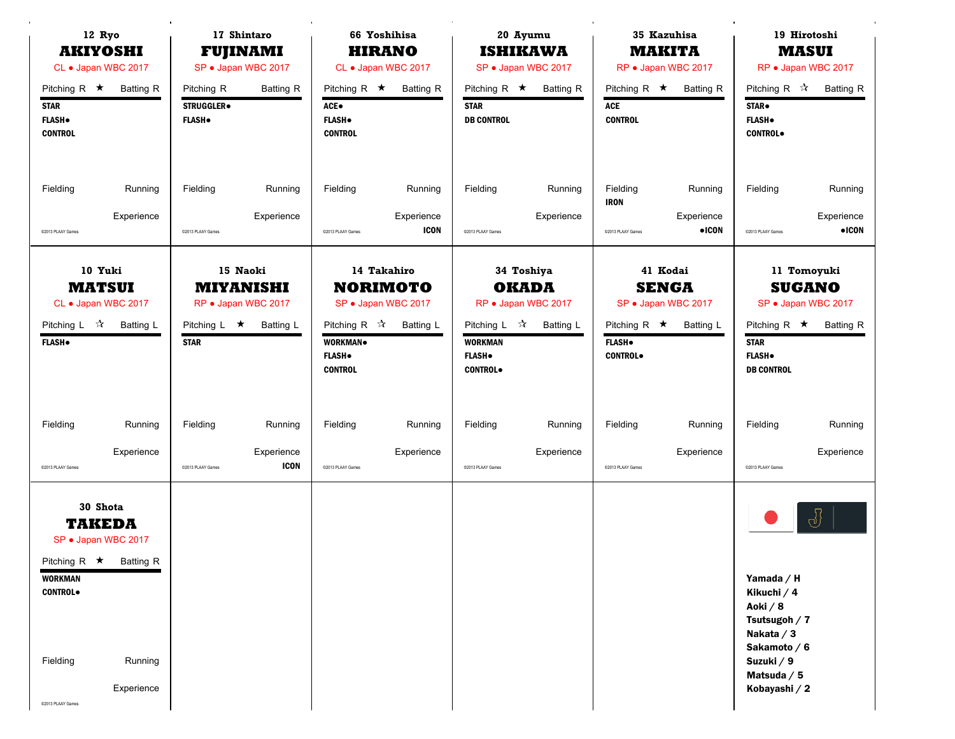|                                                                       | 12 Ryo<br>17 Shintaro<br><b>AKIYOSHI</b><br><b>FUJINAMI</b><br>CL • Japan WBC 2017<br>SP · Japan WBC 2017 |                                                               |                                                                         | 66 Yoshihisa<br><b>HIRANO</b><br>CL • Japan WBC 2017                     |                                                                    | 20 Ayumu<br><b>ISHIKAWA</b><br>SP · Japan WBC 2017                             |                                                                | 35 Kazuhisa<br><b>MAKITA</b><br>RP · Japan WBC 2017    |                                                                     | 19 Hirotoshi<br><b>MASUI</b><br>RP · Japan WBC 2017                                                |                                                                         |
|-----------------------------------------------------------------------|-----------------------------------------------------------------------------------------------------------|---------------------------------------------------------------|-------------------------------------------------------------------------|--------------------------------------------------------------------------|--------------------------------------------------------------------|--------------------------------------------------------------------------------|----------------------------------------------------------------|--------------------------------------------------------|---------------------------------------------------------------------|----------------------------------------------------------------------------------------------------|-------------------------------------------------------------------------|
| Pitching R $\star$<br><b>STAR</b><br><b>FLASH</b> .<br><b>CONTROL</b> | <b>Batting R</b>                                                                                          | Pitching R<br><b>STRUGGLER</b> <sup>®</sup><br><b>FLASH</b> . | <b>Batting R</b>                                                        | Pitching R $\star$<br>ACE.<br><b>FLASH</b> .<br><b>CONTROL</b>           | <b>Batting R</b>                                                   | Pitching R $\star$<br><b>STAR</b><br><b>DB CONTROL</b>                         | <b>Batting R</b>                                               | Pitching R $\star$<br>ACE<br><b>CONTROL</b>            | <b>Batting R</b>                                                    | Pitching R ☆<br>STAR.<br><b>FLASH</b> .<br><b>CONTROL</b> .                                        | <b>Batting R</b>                                                        |
| Fielding                                                              | Running                                                                                                   | Fielding                                                      | Running                                                                 | Fielding                                                                 | Running                                                            | Fielding                                                                       | Running                                                        | Fielding<br><b>IRON</b>                                | Running                                                             | Fielding                                                                                           | Running                                                                 |
| @2013 PLAAY Games                                                     | Experience                                                                                                | @2013 PLAAY Games                                             | Experience                                                              | @2013 PLAAY Games                                                        | Experience<br><b>ICON</b>                                          | @2013 PLAAY Games                                                              | Experience                                                     | @2013 PLAAY Games                                      | Experience<br>$\bullet$ ICON                                        | @2013 PLAAY Games                                                                                  | Experience<br>$\bullet$ ICON                                            |
| Pitching L ☆<br><b>FLASH</b> .                                        | 10 Yuki<br><b>MATSUI</b><br>CL • Japan WBC 2017<br><b>Batting L</b>                                       | Pitching L $\star$<br><b>STAR</b>                             | 15 Naoki<br><b>MIYANISHI</b><br>RP · Japan WBC 2017<br><b>Batting L</b> | Pitching R $\mathcal{R}$<br>WORKMAN.<br><b>FLASH</b> .<br><b>CONTROL</b> | 14 Takahiro<br><b>NORIMOTO</b><br>SP · Japan WBC 2017<br>Batting L | Pitching L $\mathcal{R}$<br><b>WORKMAN</b><br><b>FLASH</b><br><b>CONTROL</b> . | 34 Toshiya<br><b>OKADA</b><br>RP · Japan WBC 2017<br>Batting L | Pitching R $\star$<br><b>FLASH</b> .<br><b>CONTROL</b> | 41 Kodai<br><b>SENGA</b><br>SP · Japan WBC 2017<br><b>Batting L</b> | Pitching R $\star$<br><b>STAR</b><br><b>FLASH</b> .<br><b>DB CONTROL</b>                           | 11 Tomoyuki<br><b>SUGANO</b><br>SP · Japan WBC 2017<br><b>Batting R</b> |
| Fielding                                                              | Running                                                                                                   | Fielding                                                      | Running                                                                 | Fielding                                                                 | Running                                                            | Fielding                                                                       | Running                                                        | Fielding                                               | Running                                                             | Fielding                                                                                           | Running                                                                 |
| C2013 PLAAY Games                                                     | Experience                                                                                                | @2013 PLAAY Games                                             | Experience<br><b>ICON</b>                                               | @2013 PLAAY Games                                                        | Experience                                                         | @2013 PLAAY Games                                                              | Experience                                                     | @2013 PLAAY Games                                      | Experience                                                          | @2013 PLAAY Games                                                                                  | Experience                                                              |
| <b>WORKMAN</b><br><b>CONTROL</b><br>Fielding                          | 30 Shota<br><b>TAKEDA</b><br>SP · Japan WBC 2017<br>Pitching R $\star$ Batting R<br>Running               |                                                               |                                                                         |                                                                          |                                                                    |                                                                                |                                                                |                                                        |                                                                     | Yamada / H<br>Kikuchi / 4<br>Aoki / 8<br>Tsutsugoh / 7<br>Nakata / 3<br>Sakamoto / 6<br>Suzuki / 9 | ჟ                                                                       |
| C2013 PLAAY Games                                                     | Experience                                                                                                |                                                               |                                                                         |                                                                          |                                                                    |                                                                                |                                                                |                                                        |                                                                     | Matsuda $/5$<br>Kobayashi / 2                                                                      |                                                                         |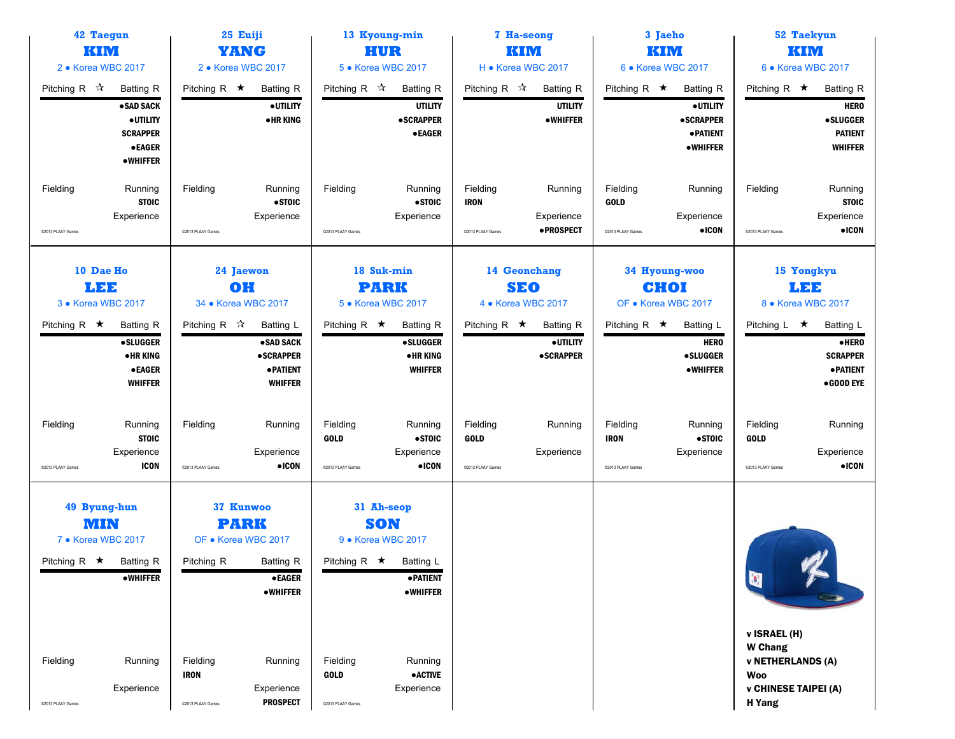| <b>42 Taegun</b><br>KIM<br>2 • Korea WBC 2017                                                                                                             | 25 Euiji<br><b>YANG</b><br>2 • Korea WBC 2017                                                                                                                                                              |                                                                                                                                                                                                                       | 7 Ha-seong<br>KIM<br>H • Korea WBC 2017                                                                                     | 3 Jaeho<br>KIM<br>6 • Korea WBC 2017                                                                                                 | <b>52 Taekyun</b><br>KIM<br>6 • Korea WBC 2017                                                                                          |
|-----------------------------------------------------------------------------------------------------------------------------------------------------------|------------------------------------------------------------------------------------------------------------------------------------------------------------------------------------------------------------|-----------------------------------------------------------------------------------------------------------------------------------------------------------------------------------------------------------------------|-----------------------------------------------------------------------------------------------------------------------------|--------------------------------------------------------------------------------------------------------------------------------------|-----------------------------------------------------------------------------------------------------------------------------------------|
| Pitching R $\sqrt{\lambda}$<br><b>Batting R</b><br>• SAD SACK<br>· UTILITY<br><b>SCRAPPER</b><br>$\bullet$ EAGER<br><b>•WHIFFER</b>                       | Pitching R $\star$<br><b>Batting R</b><br>· UTILITY<br><b>•HRKING</b>                                                                                                                                      | Pitching R ☆<br><b>Batting R</b><br><b>UTILITY</b><br><b>•SCRAPPER</b><br><b>•EAGER</b>                                                                                                                               | Pitching R $\mathbb{\hat{X}}$<br>Batting R<br><b>UTILITY</b><br><b>•WHIFFER</b>                                             | Pitching R $\star$<br>Batting R<br>· UTILITY<br><b>•SCRAPPER</b><br><b>• PATIENT</b><br>•WHIFFER                                     | Pitching R $\star$<br><b>Batting R</b><br><b>HERO</b><br><b>•SLUGGER</b><br><b>PATIENT</b><br><b>WHIFFER</b>                            |
| Fielding<br>Running<br><b>STOIC</b><br>Experience<br>C2013 PLAAY Games                                                                                    | Fielding<br>Running<br>•STOIC<br>Experience<br>@2013 PLAAY Games                                                                                                                                           | Fielding<br>Running<br>• STOIC<br>Experience<br>C2013 PLAAY Games                                                                                                                                                     | Fielding<br>Running<br><b>IRON</b><br>Experience<br>• PROSPECT<br>@2013 PLAAY Games                                         | Fielding<br>Running<br><b>GOLD</b><br>Experience<br>$\bullet$ ICON<br>C2013 PLAAY Games                                              | Fielding<br>Running<br><b>STOIC</b><br>Experience<br>$\bullet$ ICON<br>©2013 PLAAY Games                                                |
| 10 Dae Ho<br>LEE<br>3 • Korea WBC 2017<br>Pitching R $\star$<br><b>Batting R</b><br><b>•SLUGGER</b><br><b>•HRKING</b><br>● EAGER<br><b>WHIFFER</b>        | 24 Jaewon<br>OH<br>34 • Korea WBC 2017<br>Pitching R $\sqrt{x}$<br><b>Batting L</b><br>• SAD SACK<br><b>•SCRAPPER</b><br><b>• PATIENT</b><br><b>WHIFFER</b>                                                | 18 Suk-min<br><b>PARK</b><br>5 • Korea WBC 2017<br>Pitching R $\star$<br><b>Batting R</b><br><b>•SLUGGER</b><br><b>•HRKING</b><br><b>WHIFFER</b>                                                                      | 14 Geonchang<br><b>SEO</b><br>4 • Korea WBC 2017<br>Pitching R $\star$<br><b>Batting R</b><br>· UTILITY<br><b>•SCRAPPER</b> | 34 Hyoung-woo<br>CHOI<br>OF • Korea WBC 2017<br>Pitching R $\star$<br>Batting L<br><b>HERO</b><br><b>•SLUGGER</b><br><b>•WHIFFER</b> | 15 Yongkyu<br>LEE<br>8 • Korea WBC 2017<br>Batting L<br>Pitching L $\star$<br>·HERO<br><b>SCRAPPER</b><br><b>• PATIENT</b><br>•GOOD EYE |
| Fielding<br>Running<br><b>STOIC</b><br>Experience<br><b>ICON</b><br>@2013 PLAAY Games                                                                     | Fielding<br>Running<br>Experience<br>$\bullet$ ICON<br>@2013 PLAAY Games                                                                                                                                   | Fielding<br>Running<br>• STOIC<br><b>GOLD</b><br>Experience<br>$\bullet$ ICON<br>@2013 PLAAY Games                                                                                                                    | Fielding<br>Running<br><b>GOLD</b><br>Experience<br>@2013 PLAAY Games                                                       | Fielding<br>Running<br>• STOIC<br><b>IRON</b><br>Experience<br>C2013 PLAAY Games                                                     | Fielding<br>Running<br><b>GOLD</b><br>Experience<br>$\bullet$ ICON<br>@2013 PLAAY Games                                                 |
| 49 Byung-hun<br>MIN<br>7 • Korea WBC 2017<br>Pitching R $\star$<br>Batting R<br><b>•WHIFFER</b><br>Fielding<br>Running<br>Experience<br>@2013 PLAAY Games | 37 Kunwoo<br><b>PARK</b><br>OF • Korea WBC 2017<br>Pitching R<br>Batting R<br><b>•EAGER</b><br><b>•WHIFFER</b><br>Fielding<br>Running<br><b>IRON</b><br>Experience<br><b>PROSPECT</b><br>@2013 PLAAY Games | 31 Ah-seop<br><b>SON</b><br>9 • Korea WBC 2017<br>Pitching R $\star$<br>Batting L<br><b>• PATIENT</b><br><b>•WHIFFER</b><br>Fielding<br>Running<br>$\bullet$ ACTIVE<br><b>GOLD</b><br>Experience<br>C2013 PLAAY Games |                                                                                                                             |                                                                                                                                      | $\bullet$<br>v ISRAEL (H)<br><b>W</b> Chang<br><b>v NETHERLANDS (A)</b><br><b>Woo</b><br><b>v CHINESE TAIPEI (A)</b><br>H Yang          |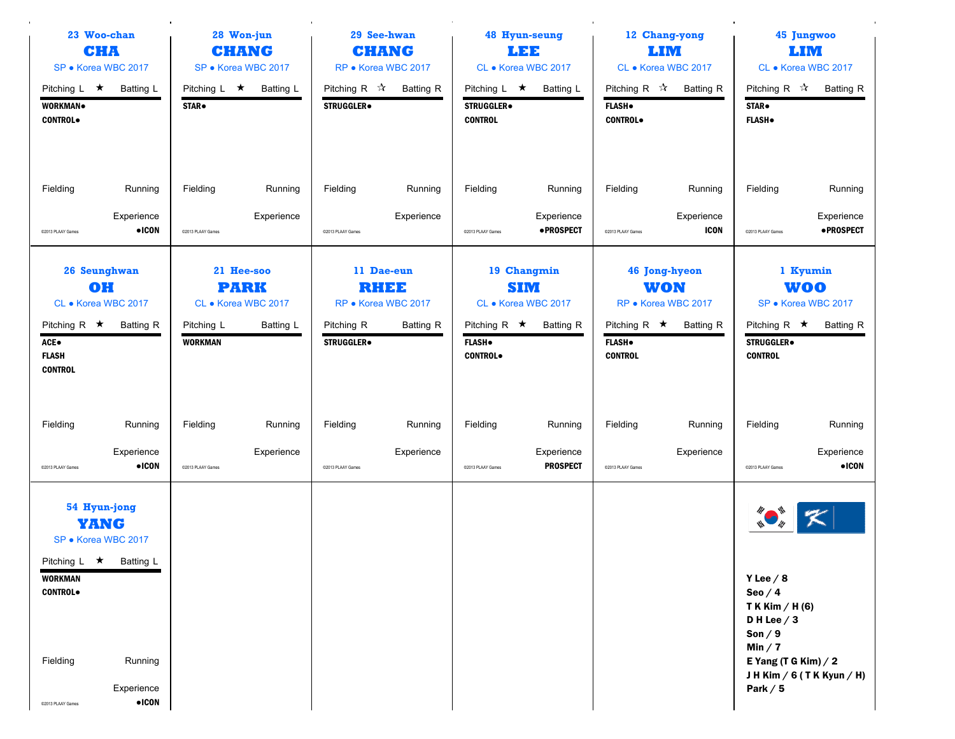|                                                                                                | 23 Woo-chan<br>28 Won-jun<br>CHA<br><b>CHANG</b><br>SP · Korea WBC 2017<br>SP · Korea WBC 2017 |                               |                                                               | 29 See-hwan<br><b>CHANG</b><br>RP · Korea WBC 2017                          |                       | <b>48 Hyun-seung</b><br>LEE<br>CL • Korea WBC 2017                    |                                                                      | 12 Chang-yong<br>LIM<br>CL • Korea WBC 2017 |                                                                               | 45 Jungwoo<br><b>LIM</b><br>CL • Korea WBC 2017                                                          |                                                                   |
|------------------------------------------------------------------------------------------------|------------------------------------------------------------------------------------------------|-------------------------------|---------------------------------------------------------------|-----------------------------------------------------------------------------|-----------------------|-----------------------------------------------------------------------|----------------------------------------------------------------------|---------------------------------------------|-------------------------------------------------------------------------------|----------------------------------------------------------------------------------------------------------|-------------------------------------------------------------------|
| Pitching $L \neq$<br>WORKMAN.<br><b>CONTROL</b>                                                | Batting L                                                                                      | STAR.                         | Pitching L $\star$ Batting L                                  | Pitching R $\mathbb{\hat{A}}$<br>STRUGGLER.                                 | Batting R             | Pitching $L \star$<br><b>STRUGGLER</b> <sup>®</sup><br><b>CONTROL</b> | Batting L                                                            | <b>FLASH</b> .<br><b>CONTROL</b>            | Pitching R $\vec{x}$ Batting R                                                | Pitching R ☆<br><b>STAR</b> .<br><b>FLASH</b> .                                                          | <b>Batting R</b>                                                  |
| Fielding<br>@2013 PLAAY Games                                                                  | Running<br>Experience<br>$\bullet$ ICON                                                        | Fielding<br>@2013 PLAAY Games | Running<br>Experience                                         | Fielding<br>@2013 PLAAY Games                                               | Running<br>Experience | Fielding<br>@2013 PLAAY Games                                         | Running<br>Experience<br>· PROSPECT                                  | Fielding<br>C2013 PLAAY Games               | Running<br>Experience<br><b>ICON</b>                                          | Fielding<br>@2013 PLAAY Games                                                                            | Running<br>Experience<br><b>•PROSPECT</b>                         |
| 26 Seunghwan<br>OH<br>CL • Korea WBC 2017<br>Pitching R $\star$<br>ACE●                        | Batting R                                                                                      | Pitching L<br><b>WORKMAN</b>  | 21 Hee-soo<br><b>PARK</b><br>CL • Korea WBC 2017<br>Batting L | 11 Dae-eun<br>RHEE<br>RP · Korea WBC 2017<br>Pitching R<br><b>STRUGGLER</b> | Batting R             | Pitching R $\star$<br><b>FLASH</b> .                                  | 19 Changmin<br><b>SIM</b><br>CL • Korea WBC 2017<br><b>Batting R</b> | Pitching R $\star$<br><b>FLASH</b> .        | <b>46 Jong-hyeon</b><br><b>WON</b><br>RP · Korea WBC 2017<br><b>Batting R</b> | Pitching R $\star$<br><b>STRUGGLER</b>                                                                   | 1 Kyumin<br><b>WOO</b><br>SP · Korea WBC 2017<br><b>Batting R</b> |
| <b>FLASH</b><br><b>CONTROL</b>                                                                 |                                                                                                |                               |                                                               |                                                                             |                       | <b>CONTROL</b>                                                        |                                                                      | <b>CONTROL</b>                              |                                                                               | <b>CONTROL</b>                                                                                           |                                                                   |
| Fielding<br>@2013 PLAAY Games                                                                  | Running<br>Experience<br>$\bullet$ ICON                                                        | Fielding<br>@2013 PLAAY Games | Running<br>Experience                                         | Fielding<br>@2013 PLAAY Games                                               | Running<br>Experience | Fielding<br>@2013 PLAAY Games                                         | Running<br>Experience<br><b>PROSPECT</b>                             | Fielding<br>@2013 PLAAY Games               | Running<br>Experience                                                         | Fielding<br>@2013 PLAAY Games                                                                            | Running<br>Experience<br>$\bullet$ ICON                           |
| 54 Hyun-jong<br><b>YANG</b><br>SP · Korea WBC 2017<br>Pitching L ★ Batting L<br><b>WORKMAN</b> |                                                                                                |                               |                                                               |                                                                             |                       |                                                                       |                                                                      |                                             |                                                                               | Y Lee $/ 8$                                                                                              |                                                                   |
| <b>CONTROL</b><br>Fielding<br>@2013 PLAAY Games                                                | Running<br>Experience<br>$\bullet$ ICON                                                        |                               |                                                               |                                                                             |                       |                                                                       |                                                                      |                                             |                                                                               | Seo $/4$<br>T K Kim / H (6)<br>DH Lee $/3$<br>Son $/9$<br>Min $/7$<br>E Yang (T G Kim) $/2$<br>Park $/5$ | JHKim / 6 (TKKyun / H)                                            |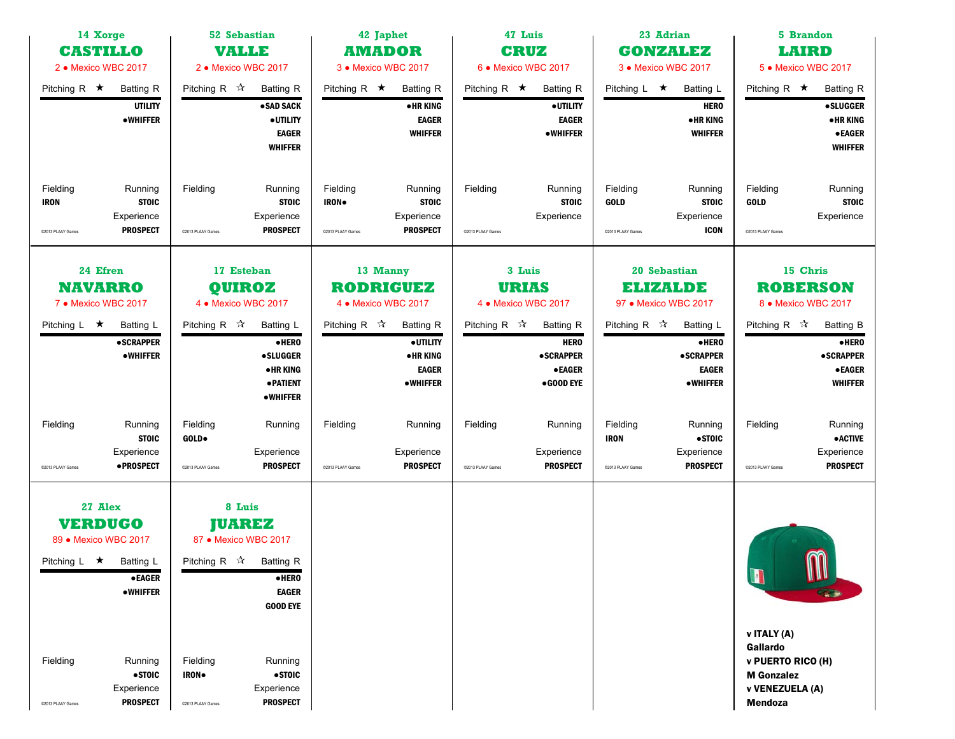| 14 Xorge<br><b>CASTILLO</b><br>2 • Mexico WBC 2017                          |                                                          | <b>52 Sebastian</b><br><b>VALLE</b><br>2 · Mexico WBC 2017<br>Pitching R $\mathcal{R}$<br><b>Batting R</b> |                                                                                                                                      | <b>AMADOR</b>                          | 42 Japhet<br>3 • Mexico WBC 2017                                            |                               | 47 Luis<br><b>CRUZ</b><br>6 • Mexico WBC 2017                                     |                                              | 23 Adrian<br><b>GONZALEZ</b><br>3 • Mexico WBC 2017                       |                                                                                                 | 5 Brandon<br><b>LAIRD</b><br>5 • Mexico WBC 2017                                         |
|-----------------------------------------------------------------------------|----------------------------------------------------------|------------------------------------------------------------------------------------------------------------|--------------------------------------------------------------------------------------------------------------------------------------|----------------------------------------|-----------------------------------------------------------------------------|-------------------------------|-----------------------------------------------------------------------------------|----------------------------------------------|---------------------------------------------------------------------------|-------------------------------------------------------------------------------------------------|------------------------------------------------------------------------------------------|
| Pitching R $\star$                                                          | <b>Batting R</b><br><b>UTILITY</b><br><b>•WHIFFER</b>    |                                                                                                            | ·SAD SACK<br>· UTILITY<br><b>EAGER</b><br><b>WHIFFER</b>                                                                             | Pitching R $\star$                     | <b>Batting R</b><br><b>•HRKING</b><br><b>EAGER</b><br><b>WHIFFER</b>        | Pitching R $\star$            | <b>Batting R</b><br>· UTILITY<br><b>EAGER</b><br><b>•WHIFFER</b>                  | Pitching $L \star$                           | Batting L<br><b>HERO</b><br><b>•HRKING</b><br><b>WHIFFER</b>              | Pitching R $\star$                                                                              | <b>Batting R</b><br><b>•SLUGGER</b><br><b>•HRKING</b><br><b>•EAGER</b><br><b>WHIFFER</b> |
| Fielding<br><b>IRON</b><br>@2013 PLAAY Games                                | Running<br><b>STOIC</b><br>Experience<br><b>PROSPECT</b> | Fielding<br>@2013 PLAAY Games                                                                              | Running<br><b>STOIC</b><br>Experience<br><b>PROSPECT</b>                                                                             | Fielding<br>IRON.<br>C2013 PLAAY Games | Running<br><b>STOIC</b><br>Experience<br><b>PROSPECT</b>                    | Fielding<br>@2013 PLAAY Games | Running<br><b>STOIC</b><br>Experience                                             | Fielding<br><b>GOLD</b><br>@2013 PLAAY Games | Running<br><b>STOIC</b><br>Experience<br><b>ICON</b>                      | Fielding<br><b>GOLD</b><br>@2013 PLAAY Games                                                    | Running<br><b>STOIC</b><br>Experience                                                    |
| 24 Efren<br><b>NAVARRO</b><br>7 • Mexico WBC 2017                           |                                                          | 4 • Mexico WBC 2017                                                                                        | 17 Esteban<br><b>QUIROZ</b>                                                                                                          | 4 • Mexico WBC 2017                    | 13 Manny<br><b>RODRIGUEZ</b>                                                |                               | 3 Luis<br><b>URIAS</b><br>4 • Mexico WBC 2017                                     |                                              | 20 Sebastian<br><b>ELIZALDE</b><br>97 · Mexico WBC 2017                   |                                                                                                 | 15 Chris<br><b>ROBERSON</b><br>8 • Mexico WBC 2017                                       |
| Pitching $L \star$                                                          | <b>Batting L</b><br><b>•SCRAPPER</b><br><b>•WHIFFER</b>  | Pitching R $\vec{x}$                                                                                       | Batting L<br>$\bullet$ HERO<br><b>•SLUGGER</b><br>• HR KING<br><b>• PATIENT</b><br>•WHIFFER                                          | Pitching R $\sqrt{\lambda}$            | <b>Batting R</b><br>· UTILITY<br><b>•HRKING</b><br><b>EAGER</b><br>•WHIFFER | Pitching R $\sqrt[4]{x}$      | <b>Batting R</b><br><b>HERO</b><br><b>•SCRAPPER</b><br><b>•EAGER</b><br>•GOOD EYE | Pitching R $\mathbb{\hat{X}}$                | Batting L<br>·HERO<br><b>•SCRAPPER</b><br><b>EAGER</b><br><b>•WHIFFER</b> | Pitching R $\sqrt{\lambda}$                                                                     | <b>Batting B</b><br>·HERO<br><b>•SCRAPPER</b><br>$\bullet$ EAGER<br><b>WHIFFER</b>       |
| Fielding<br>@2013 PLAAY Games                                               | Running<br><b>STOIC</b><br>Experience<br>• PROSPECT      | Fielding<br>GOLD.<br>@2013 PLAAY Games                                                                     | Running<br>Experience<br><b>PROSPECT</b>                                                                                             | Fielding<br>@2013 PLAAY Games          | Running<br>Experience<br><b>PROSPECT</b>                                    | Fielding<br>@2013 PLAAY Games | Running<br>Experience<br><b>PROSPECT</b>                                          | Fielding<br><b>IRON</b><br>@2013 PLAAY Games | Running<br>$\bullet$ STOIC<br>Experience<br><b>PROSPECT</b>               | Fielding<br>@2013 PLAAY Games                                                                   | Running<br><b>• ACTIVE</b><br>Experience<br><b>PROSPECT</b>                              |
| 27 Alex<br><b>VERDUGO</b><br>89 • Mexico WBC 2017<br>Pitching L ★ Batting L | <b>•EAGER</b><br><b>•WHIFFER</b>                         |                                                                                                            | 8 Luis<br><b>JUAREZ</b><br>87 • Mexico WBC 2017<br>Pitching R $\sqrt{\lambda}$ Batting R<br>·HERO<br><b>EAGER</b><br><b>GOOD EYE</b> |                                        |                                                                             |                               |                                                                                   |                                              |                                                                           | N                                                                                               | m                                                                                        |
| Fielding<br>C2013 PLAAY Games                                               | Running<br>• STOIC<br>Experience<br><b>PROSPECT</b>      | Fielding<br>IRON.<br>@2013 PLAAY Games                                                                     | Running<br>• STOIC<br>Experience<br><b>PROSPECT</b>                                                                                  |                                        |                                                                             |                               |                                                                                   |                                              |                                                                           | v ITALY (A)<br>Gallardo<br>v PUERTO RICO (H)<br><b>M</b> Gonzalez<br>v VENEZUELA (A)<br>Mendoza |                                                                                          |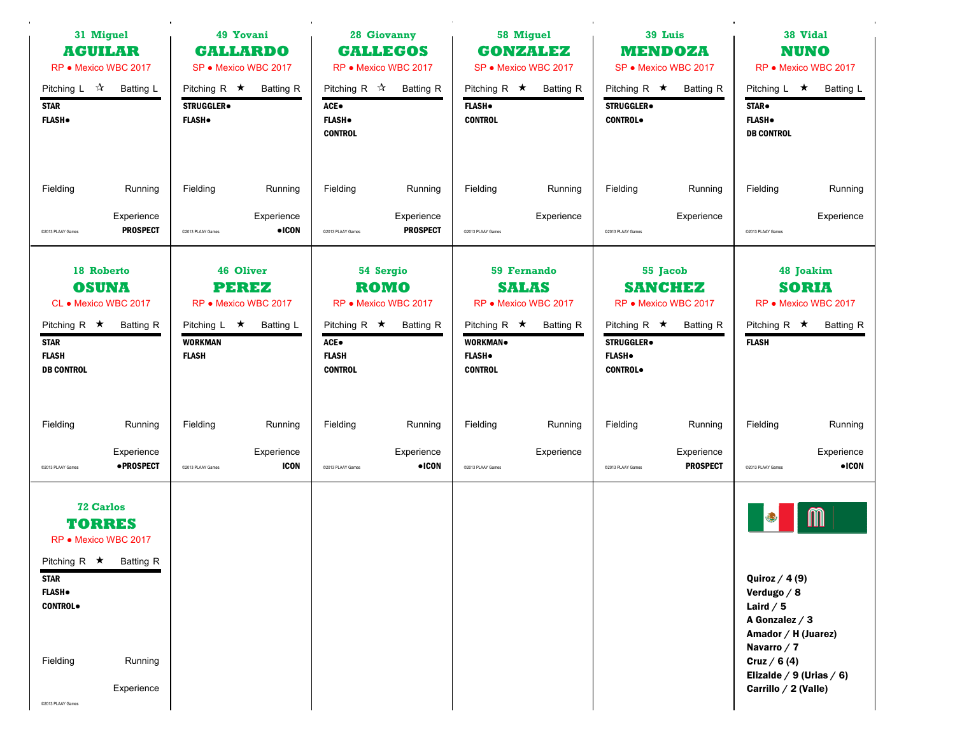|                                                        | 31 Miguel<br>49 Yovani<br><b>AGUILAR</b><br><b>GALLARDO</b><br>RP · Mexico WBC 2017<br>SP · Mexico WBC 2017 |                                                    | 28 Giovanny<br><b>GALLEGOS</b><br>RP · Mexico WBC 2017                |                                                                            | 58 Miguel<br><b>GONZALEZ</b><br>SP · Mexico WBC 2017 |                                                        | 39 Luis<br><b>MENDOZA</b><br>SP · Mexico WBC 2017                              |                                                        | 38 Vidal<br><b>NUNO</b><br>RP · Mexico WBC 2017                        |                                                                                                                           |                                                                       |
|--------------------------------------------------------|-------------------------------------------------------------------------------------------------------------|----------------------------------------------------|-----------------------------------------------------------------------|----------------------------------------------------------------------------|------------------------------------------------------|--------------------------------------------------------|--------------------------------------------------------------------------------|--------------------------------------------------------|------------------------------------------------------------------------|---------------------------------------------------------------------------------------------------------------------------|-----------------------------------------------------------------------|
| Pitching L $\sqrt{2}$<br><b>STAR</b><br><b>FLASH</b> . | Batting L                                                                                                   | Pitching R $\star$<br>STRUGGLER.<br><b>FLASH</b> . | <b>Batting R</b>                                                      | Pitching R $\vec{x}$ Batting R<br>ACE●<br><b>FLASH</b> .<br><b>CONTROL</b> |                                                      | Pitching R $\star$<br><b>FLASH</b> .<br><b>CONTROL</b> | <b>Batting R</b>                                                               | Pitching R $\star$<br>STRUGGLER.<br><b>CONTROL</b>     | <b>Batting R</b>                                                       | Pitching L $\star$<br>STAR.<br><b>FLASH</b> .<br><b>DB CONTROL</b>                                                        | Batting L                                                             |
| Fielding                                               | Running                                                                                                     | Fielding                                           | Running                                                               | Fielding                                                                   | Running                                              | Fielding                                               | Running                                                                        | Fielding                                               | Running                                                                | Fielding                                                                                                                  | Running                                                               |
| @2013 PLAAY Games                                      | Experience<br><b>PROSPECT</b>                                                                               | @2013 PLAAY Games                                  | Experience<br>$\bullet$ ICON                                          | C2013 PLAAY Games                                                          | Experience<br><b>PROSPECT</b>                        | @2013 PLAAY Games                                      | Experience                                                                     | @2013 PLAAY Games                                      | Experience                                                             | @2013 PLAAY Games                                                                                                         | Experience                                                            |
| Pitching R $\star$                                     | 18 Roberto<br><b>OSUNA</b><br>CL • Mexico WBC 2017<br>Batting R                                             | Pitching L $\star$                                 | <b>46 Oliver</b><br><b>PEREZ</b><br>RP · Mexico WBC 2017<br>Batting L | 54 Sergio<br><b>ROMO</b><br>RP · Mexico WBC 2017<br>Pitching R $\star$     | <b>Batting R</b>                                     | Pitching R $\star$                                     | <b>59 Fernando</b><br><b>SALAS</b><br>RP · Mexico WBC 2017<br><b>Batting R</b> | Pitching R $\star$                                     | 55 Jacob<br><b>SANCHEZ</b><br>RP · Mexico WBC 2017<br><b>Batting R</b> | Pitching R $\star$                                                                                                        | 48 Joakim<br><b>SORIA</b><br>RP · Mexico WBC 2017<br><b>Batting R</b> |
| <b>STAR</b><br><b>FLASH</b><br><b>DB CONTROL</b>       |                                                                                                             | <b>WORKMAN</b><br><b>FLASH</b>                     |                                                                       | ACE.<br><b>FLASH</b><br><b>CONTROL</b>                                     |                                                      | <b>WORKMAN</b><br><b>FLASH</b> .<br><b>CONTROL</b>     |                                                                                | <b>STRUGGLER</b> .<br><b>FLASH</b><br><b>CONTROL</b> . |                                                                        | <b>FLASH</b>                                                                                                              |                                                                       |
| Fielding                                               | Running                                                                                                     | Fielding                                           | Running                                                               | Fielding                                                                   | Running                                              | Fielding                                               | Running                                                                        | Fielding                                               | Running                                                                | Fielding                                                                                                                  | Running                                                               |
| @2013 PLAAY Games                                      | Experience<br><b>•PROSPECT</b>                                                                              | @2013 PLAAY Games                                  | Experience<br><b>ICON</b>                                             | @2013 PLAAY Games                                                          | Experience<br>$\bullet$ ICON                         | @2013 PLAAY Games                                      | Experience                                                                     | @2013 PLAAY Games                                      | Experience<br><b>PROSPECT</b>                                          | @2013 PLAAY Games                                                                                                         | Experience<br>$\bullet$ ICON                                          |
| <b>STAR</b><br><b>FLASH</b> .<br><b>CONTROL</b>        | <b>72 Carlos</b><br><b>TORRES</b><br>RP · Mexico WBC 2017<br>Pitching R $\star$ Batting R                   |                                                    |                                                                       |                                                                            |                                                      |                                                        |                                                                                |                                                        |                                                                        | Quiroz $/4(9)$<br>Verdugo / 8<br>Laird $/5$                                                                               | M                                                                     |
| Fielding                                               | Running<br>Experience                                                                                       |                                                    |                                                                       |                                                                            |                                                      |                                                        |                                                                                |                                                        |                                                                        | A Gonzalez / 3<br>Amador / H (Juarez)<br>Navarro / 7<br>Cruz / $6(4)$<br>Elizalde / 9 (Urias / 6)<br>Carrillo / 2 (Valle) |                                                                       |
| @2013 PLAAY Games                                      |                                                                                                             |                                                    |                                                                       |                                                                            |                                                      |                                                        |                                                                                |                                                        |                                                                        |                                                                                                                           |                                                                       |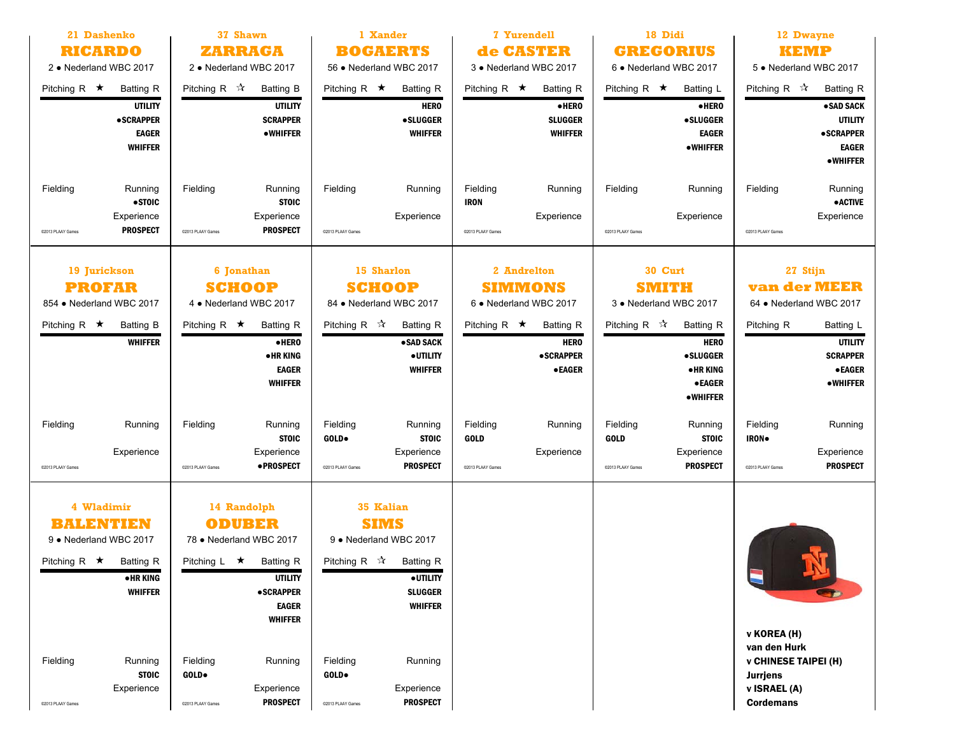| 21 Dashenko<br><b>RICARDO</b><br>2 • Nederland WBC 2017                                                                           | 37 Shawn<br>ZARRAGA<br>2 • Nederland WBC 2017                                                                                                                             | 1 Xander<br><b>BOGAERTS</b><br>56 · Nederland WBC 2017                                                                                                       |                                                                                            | 18 Didi<br><b>GREGORIUS</b><br>6 . Nederland WBC 2017                                                                    | 12 Dwayne<br><b>KEMP</b><br>5 . Nederland WBC 2017                                                                           |  |
|-----------------------------------------------------------------------------------------------------------------------------------|---------------------------------------------------------------------------------------------------------------------------------------------------------------------------|--------------------------------------------------------------------------------------------------------------------------------------------------------------|--------------------------------------------------------------------------------------------|--------------------------------------------------------------------------------------------------------------------------|------------------------------------------------------------------------------------------------------------------------------|--|
| Pitching R $\star$<br><b>Batting R</b><br><b>UTILITY</b><br><b>•SCRAPPER</b><br><b>EAGER</b><br><b>WHIFFER</b>                    | Pitching R $\mathcal{R}$<br><b>Batting B</b><br><b>UTILITY</b><br><b>SCRAPPER</b><br><b>•WHIFFER</b>                                                                      | Pitching R $\star$<br><b>Batting R</b><br><b>HERO</b><br><b>•SLUGGER</b><br><b>WHIFFER</b>                                                                   | Pitching R $\star$<br><b>Batting R</b><br>·HERO<br><b>SLUGGER</b><br><b>WHIFFER</b>        | Pitching R $\star$<br>Batting L<br>·HERO<br><b>•SLUGGER</b><br><b>EAGER</b><br>•WHIFFER                                  | Pitching R $\mathcal{R}$<br><b>Batting R</b><br>• SAD SACK<br><b>UTILITY</b><br><b>•SCRAPPER</b><br><b>EAGER</b><br>•WHIFFER |  |
| Fielding<br>Running<br>$•$ STOIC<br>Experience<br><b>PROSPECT</b><br>@2013 PLAAY Games                                            | Fielding<br>Running<br><b>STOIC</b><br>Experience<br><b>PROSPECT</b><br>@2013 PLAAY Games                                                                                 | Fielding<br>Running<br>Experience<br>@2013 PLAAY Games                                                                                                       | Fielding<br>Running<br><b>IRON</b><br>Experience<br>@2013 PLAAY Games                      | Fielding<br>Running<br>Experience<br>C2013 PLAAY Games                                                                   | Fielding<br>Running<br><b>•ACTIVE</b><br>Experience<br>@2013 PLAAY Games                                                     |  |
| 19 Jurickson<br><b>PROFAR</b><br>854 • Nederland WBC 2017                                                                         | 15 Sharlon<br>6 Jonathan<br><b>SCHOOP</b><br><b>SCHOOP</b><br>84 • Nederland WBC 2017<br>4 • Nederland WBC 2017                                                           |                                                                                                                                                              | 2 Andrelton<br><b>SIMMONS</b><br>6 • Nederland WBC 2017                                    | 30 Curt<br><b>SMITH</b><br>3 • Nederland WBC 2017                                                                        | 27 Stijn<br><b>van der MEER</b><br>64 • Nederland WBC 2017                                                                   |  |
| Pitching R $\star$<br><b>Batting B</b><br><b>WHIFFER</b>                                                                          | Pitching R $\star$<br><b>Batting R</b><br>·HERO<br>●HR KING<br><b>EAGER</b><br><b>WHIFFER</b>                                                                             | Pitching R $\sqrt{x}$<br><b>Batting R</b><br>• SAD SACK<br><b>•UTILITY</b><br><b>WHIFFER</b>                                                                 | Pitching R $\star$<br><b>Batting R</b><br><b>HERO</b><br><b>•SCRAPPER</b><br><b>•EAGER</b> | Pitching R $\mathcal{R}$<br><b>Batting R</b><br><b>HERO</b><br><b>•SLUGGER</b><br>• HR KING<br><b>•EAGER</b><br>•WHIFFER | Pitching R<br><b>Batting L</b><br><b>UTILITY</b><br><b>SCRAPPER</b><br><b>• EAGER</b><br>•WHIFFER                            |  |
| Fielding<br>Running<br>Experience<br>@2013 PLAAY Games                                                                            | Fielding<br>Running<br><b>STOIC</b><br>Experience<br>• PROSPECT<br>@2013 PLAAY Games                                                                                      | Fielding<br>Running<br>GOLD.<br><b>STOIC</b><br>Experience<br><b>PROSPECT</b><br>C2013 PLAAY Games                                                           | Fielding<br>Running<br><b>GOLD</b><br>Experience<br>@2013 PLAAY Games                      | Fielding<br>Running<br><b>GOLD</b><br><b>STOIC</b><br>Experience<br><b>PROSPECT</b><br>C2013 PLAAY Games                 | Fielding<br>Running<br><b>IRON</b><br>Experience<br><b>PROSPECT</b><br>@2013 PLAAY Games                                     |  |
| 4 Wladimir<br><b>BALENTIEN</b><br>9 • Nederland WBC 2017<br>Pitching R $\star$<br><b>Batting R</b><br>• HR KING<br><b>WHIFFER</b> | 14 Randolph<br><b>ODUBER</b><br>78 • Nederland WBC 2017<br>Pitching $L \star$<br><b>Batting R</b><br><b>UTILITY</b><br><b>•SCRAPPER</b><br><b>EAGER</b><br><b>WHIFFER</b> | <b>35 Kalian</b><br><b>SIMS</b><br>9 • Nederland WBC 2017<br>Pitching R $\vec{x}$<br><b>Batting R</b><br><b>•UTILITY</b><br><b>SLUGGER</b><br><b>WHIFFER</b> |                                                                                            |                                                                                                                          | $\blacksquare$                                                                                                               |  |
| Fielding<br>Running<br><b>STOIC</b><br>Experience<br>@2013 PLAAY Games                                                            | Fielding<br>Running<br>GOLD.<br>Experience<br><b>PROSPECT</b><br>@2013 PLAAY Games                                                                                        | Fielding<br>Running<br><b>GOLD</b> .<br>Experience<br><b>PROSPECT</b><br>@2013 PLAAY Games                                                                   |                                                                                            |                                                                                                                          | v KOREA (H)<br>van den Hurk<br><b>v CHINESE TAIPEI (H)</b><br><b>Jurrjens</b><br>v ISRAEL (A)<br><b>Cordemans</b>            |  |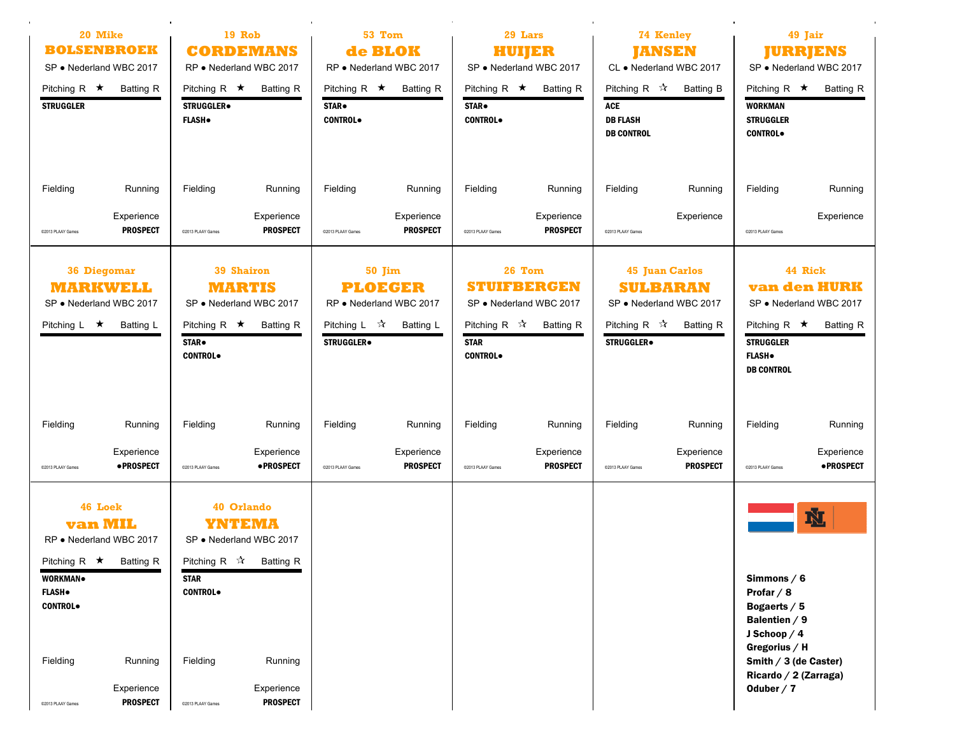| 20 Mike<br><b>BOLSENBROEK</b><br>SP • Nederland WBC 2017                                                                             |                                          | <b>19 Rob</b><br><b>CORDEMANS</b><br>RP • Nederland WBC 2017                                                                |                                          | 53 Tom<br>de BLOK<br>RP · Nederland WBC 2017                                                              |                               | 29 Lars<br>HUIJER<br>SP · Nederland WBC 2017                   |                                                                             | 74 Kenley<br><b>JANSEN</b><br>CL • Nederland WBC 2017                                                                            |                               | 49 Jair<br><b>JURRJENS</b><br>SP . Nederland WBC 2017                                               |                                                                               |
|--------------------------------------------------------------------------------------------------------------------------------------|------------------------------------------|-----------------------------------------------------------------------------------------------------------------------------|------------------------------------------|-----------------------------------------------------------------------------------------------------------|-------------------------------|----------------------------------------------------------------|-----------------------------------------------------------------------------|----------------------------------------------------------------------------------------------------------------------------------|-------------------------------|-----------------------------------------------------------------------------------------------------|-------------------------------------------------------------------------------|
| Pitching R $\star$<br><b>STRUGGLER</b>                                                                                               | <b>Batting R</b>                         | Pitching R $\star$<br><b>STRUGGLER</b><br><b>FLASH</b> .                                                                    | <b>Batting R</b>                         | Pitching R $\star$<br>STAR.<br><b>CONTROL</b>                                                             | <b>Batting R</b>              | STAR.<br><b>CONTROL</b>                                        | Pitching R $\star$ Batting R                                                | Pitching R $\sqrt{\lambda}$<br><b>ACE</b><br><b>DB FLASH</b><br><b>DB CONTROL</b>                                                | <b>Batting B</b>              | <b>WORKMAN</b><br><b>STRUGGLER</b><br><b>CONTROL</b> .                                              | Pitching $R \star$ Batting R                                                  |
| Fielding                                                                                                                             | Running                                  | Fielding                                                                                                                    | Running                                  | Fielding                                                                                                  | Running                       | Fielding                                                       | Running                                                                     | Fielding                                                                                                                         | Running                       | Fielding                                                                                            | Running                                                                       |
| @2013 PLAAY Games                                                                                                                    | Experience<br><b>PROSPECT</b>            | @2013 PLAAY Games                                                                                                           | Experience<br><b>PROSPECT</b>            | @2013 PLAAY Games                                                                                         | Experience<br><b>PROSPECT</b> | @2013 PLAAY Games                                              | Experience<br><b>PROSPECT</b>                                               | @2013 PLAAY Games                                                                                                                | Experience                    | @2013 PLAAY Games                                                                                   | Experience                                                                    |
| <b>36 Diegomar</b><br>MARKWELL<br>SP . Nederland WBC 2017<br>Pitching $L \star$                                                      | <b>Batting L</b>                         | <b>39 Shairon</b><br>MARTIS<br>SP . Nederland WBC 2017<br>Pitching R $\star$<br>STAR.<br><b>CONTROL</b> .                   | <b>Batting R</b>                         | 50 Jim<br><b>PLOEGER</b><br>RP · Nederland WBC 2017<br>Pitching $L \quad \mathcal{R}$<br><b>STRUGGLER</b> | <b>Batting L</b>              | Pitching R $\mathbb{\hat{X}}$<br><b>STAR</b><br><b>CONTROL</b> | 26 Tom<br><b>STUIFBERGEN</b><br>SP . Nederland WBC 2017<br><b>Batting R</b> | <b>45 Juan Carlos</b><br><b>SULBARAN</b><br>SP · Nederland WBC 2017<br>Pitching R $\mathcal{R}$<br><b>STRUGGLER</b> <sup>.</sup> | <b>Batting R</b>              | Pitching R $\star$<br><b>STRUGGLER</b><br><b>FLASH</b> .<br><b>DB CONTROL</b>                       | 44 Rick<br><b>van den HURK</b><br>SP · Nederland WBC 2017<br><b>Batting R</b> |
| Fielding                                                                                                                             | Running                                  | Fielding                                                                                                                    | Running                                  | Fielding                                                                                                  | Running                       | Fielding                                                       | Running                                                                     | Fielding                                                                                                                         | Running                       | Fielding                                                                                            | Running                                                                       |
| @2013 PLAAY Games                                                                                                                    | Experience<br><b>•PROSPECT</b>           | @2013 PLAAY Games                                                                                                           | Experience<br><b>•PROSPECT</b>           | @2013 PLAAY Games                                                                                         | Experience<br><b>PROSPECT</b> | @2013 PLAAY Games                                              | Experience<br><b>PROSPECT</b>                                               | @2013 PLAAY Games                                                                                                                | Experience<br><b>PROSPECT</b> | @2013 PLAAY Games                                                                                   | Experience<br>· PROSPECT                                                      |
| 46 Loek<br><b>van MIL</b><br>RP · Nederland WBC 2017<br>Pitching R $\star$ Batting R<br>WORKMAN.<br><b>FLASH</b> .<br><b>CONTROL</b> |                                          | 40 Orlando<br>YNTEMA<br>SP . Nederland WBC 2017<br>Pitching R $\mathbb{\hat{X}}$ Batting R<br><b>STAR</b><br><b>CONTROL</b> |                                          |                                                                                                           |                               |                                                                |                                                                             |                                                                                                                                  |                               | Simmons $/ 6$<br>Profar $/ 8$<br>Bogaerts / 5<br>Balentien $/9$<br>J Schoop $/4$<br>Gregorius $/$ H | Ŋ.                                                                            |
| Fielding<br>@2013 PLAAY Games                                                                                                        | Running<br>Experience<br><b>PROSPECT</b> | Fielding<br>@2013 PLAAY Games                                                                                               | Running<br>Experience<br><b>PROSPECT</b> |                                                                                                           |                               |                                                                |                                                                             |                                                                                                                                  |                               | Smith / 3 (de Caster)<br>Ricardo / 2 (Zarraga)<br>Oduber $/7$                                       |                                                                               |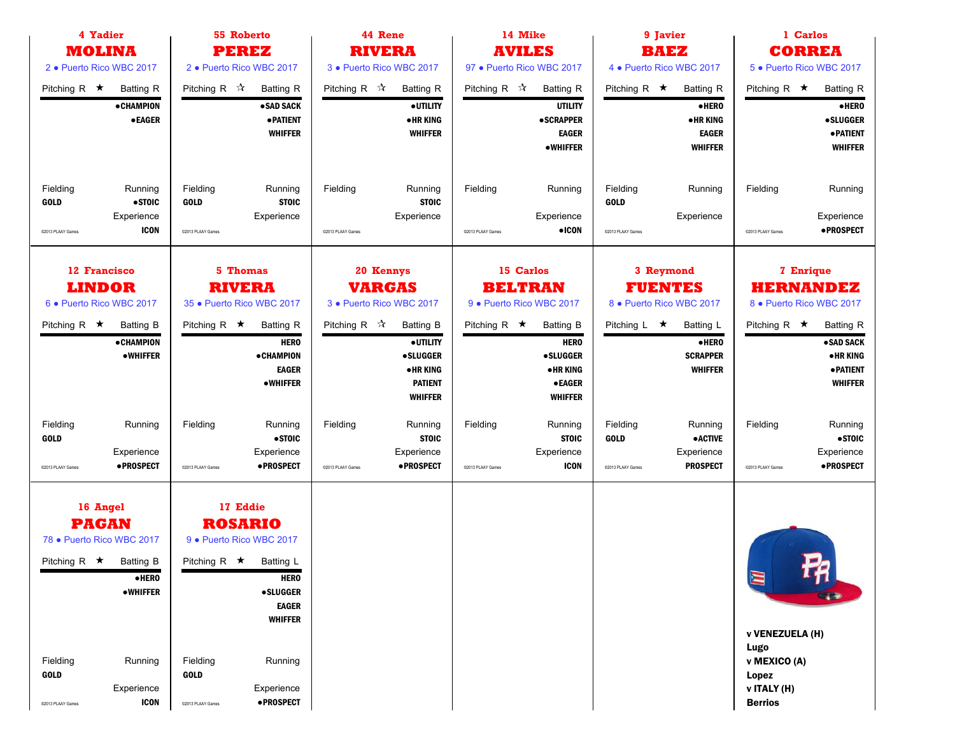| 4 Yadier<br><b>MOLINA</b>                                                                                                                         | 55 Roberto<br><b>PEREZ</b>                                                                                                                                                        | 44 Rene<br><b>RIVERA</b>                                                                                                        | 14 Mike<br><b>AVILES</b>                                                                                                 | 9 Javier<br><b>BAEZ</b>                                                                                    | 1 Carlos<br><b>CORREA</b>                                                                                   |  |  |
|---------------------------------------------------------------------------------------------------------------------------------------------------|-----------------------------------------------------------------------------------------------------------------------------------------------------------------------------------|---------------------------------------------------------------------------------------------------------------------------------|--------------------------------------------------------------------------------------------------------------------------|------------------------------------------------------------------------------------------------------------|-------------------------------------------------------------------------------------------------------------|--|--|
| 2 · Puerto Rico WBC 2017                                                                                                                          | 2 · Puerto Rico WBC 2017                                                                                                                                                          | 3 · Puerto Rico WBC 2017                                                                                                        | 97 • Puerto Rico WBC 2017                                                                                                | 4 . Puerto Rico WBC 2017                                                                                   | 5 · Puerto Rico WBC 2017                                                                                    |  |  |
| Pitching R $\star$<br><b>Batting R</b><br><b>• CHAMPION</b>                                                                                       | Pitching R $\mathcal{R}$<br><b>Batting R</b><br>• SAD SACK                                                                                                                        | Pitching R $\mathbb{\hat{X}}$<br><b>Batting R</b><br><b>•UTILITY</b>                                                            | Pitching R $\sqrt{\lambda}$<br><b>Batting R</b><br><b>UTILITY</b>                                                        | Pitching R $\star$<br><b>Batting R</b><br>$\bullet$ HERO                                                   | Pitching R $\star$<br><b>Batting R</b><br>·HERO                                                             |  |  |
| <b>•EAGER</b>                                                                                                                                     | <b>• PATIENT</b><br><b>WHIFFER</b>                                                                                                                                                | <b>•HRKING</b><br><b>WHIFFER</b>                                                                                                | <b>•SCRAPPER</b><br><b>EAGER</b><br>• WHIFFER                                                                            | • HR KING<br><b>EAGER</b><br><b>WHIFFER</b>                                                                | <b>•SLUGGER</b><br><b>• PATIENT</b><br><b>WHIFFER</b>                                                       |  |  |
| Fielding<br>Running<br>•STOIC<br><b>GOLD</b><br>Experience                                                                                        | Fielding<br>Running<br><b>STOIC</b><br><b>GOLD</b><br>Experience                                                                                                                  | Fielding<br>Running<br><b>STOIC</b><br>Experience                                                                               | Fielding<br>Running<br>Experience                                                                                        | Fielding<br>Running<br><b>GOLD</b><br>Experience                                                           | Fielding<br>Running<br>Experience                                                                           |  |  |
| <b>ICON</b><br>C2013 PLAAY Games                                                                                                                  | @2013 PLAAY Games                                                                                                                                                                 | @2013 PLAAY Games                                                                                                               | $\bullet$ ICON<br>@2013 PLAAY Games                                                                                      | @2013 PLAAY Games                                                                                          | • PROSPECT<br>@2013 PLAAY Games                                                                             |  |  |
| 12 Francisco<br><b>LINDOR</b><br>6 · Puerto Rico WBC 2017                                                                                         | <b>5 Thomas</b><br>20 Kennys<br><b>RIVERA</b><br><b>VARGAS</b><br>3 · Puerto Rico WBC 2017<br>35 · Puerto Rico WBC 2017                                                           |                                                                                                                                 | 15 Carlos<br><b>BELTRAN</b><br>9 · Puerto Rico WBC 2017                                                                  | 3 Reymond<br><b>FUENTES</b><br>8 . Puerto Rico WBC 2017                                                    | <b>7 Enrique</b><br><b>HERNANDEZ</b><br>8 · Puerto Rico WBC 2017                                            |  |  |
| Pitching R $\star$<br><b>Batting B</b><br><b>• CHAMPION</b><br><b>•WHIFFER</b>                                                                    | Pitching R $\star$<br><b>Batting R</b><br><b>HERO</b><br><b>• CHAMPION</b><br><b>EAGER</b><br>•WHIFFER                                                                            | Pitching R $\vec{x}$<br><b>Batting B</b><br><b>•UTILITY</b><br><b>•SLUGGER</b><br>• HR KING<br><b>PATIENT</b><br><b>WHIFFER</b> | Pitching R $\star$<br><b>Batting B</b><br><b>HERO</b><br><b>•SLUGGER</b><br>• HR KING<br><b>•EAGER</b><br><b>WHIFFER</b> | Pitching $L \star$<br>Batting L<br>$\bullet$ HERO<br><b>SCRAPPER</b><br><b>WHIFFER</b>                     | Pitching R $\star$<br><b>Batting R</b><br>·SAD SACK<br><b>•HRKING</b><br><b>• PATIENT</b><br><b>WHIFFER</b> |  |  |
| Fielding<br>Running<br><b>GOLD</b><br>Experience<br>·PROSPECT<br>@2013 PLAAY Games                                                                | Fielding<br>Running<br>• STOIC<br>Experience<br>·PROSPECT<br>@2013 PLAAY Games                                                                                                    | Fielding<br>Running<br><b>STOIC</b><br>Experience<br>·PROSPECT<br>C2013 PLAAY Games                                             | Fielding<br>Running<br><b>STOIC</b><br>Experience<br><b>ICON</b><br>@2013 PLAAY Games                                    | Fielding<br>Running<br><b>GOLD</b><br><b>•ACTIVE</b><br>Experience<br><b>PROSPECT</b><br>@2013 PLAAY Games | Fielding<br>Running<br>•STOIC<br>Experience<br>·PROSPECT<br>@2013 PLAAY Games                               |  |  |
| 16 Angel<br><b>PAGAN</b><br>78 · Puerto Rico WBC 2017<br>Pitching R $\star$ Batting B<br>$\bullet$ HERO<br><b>•WHIFFER</b><br>Fielding<br>Running | 17 Eddie<br><b>ROSARIO</b><br>9 · Puerto Rico WBC 2017<br>Pitching $R \star$ Batting L<br><b>HERO</b><br><b>•SLUGGER</b><br><b>EAGER</b><br><b>WHIFFER</b><br>Fielding<br>Running |                                                                                                                                 |                                                                                                                          |                                                                                                            | <b>Red</b><br>$\blacksquare$<br><b>v VENEZUELA (H)</b><br>Lugo<br>v MEXICO (A)                              |  |  |
| <b>GOLD</b><br>Experience<br><b>ICON</b><br>C2013 PLAAY Games                                                                                     | <b>GOLD</b><br>Experience<br>• PROSPECT<br>@2013 PLAAY Games                                                                                                                      |                                                                                                                                 |                                                                                                                          |                                                                                                            | Lopez<br>v ITALY (H)<br><b>Berrios</b>                                                                      |  |  |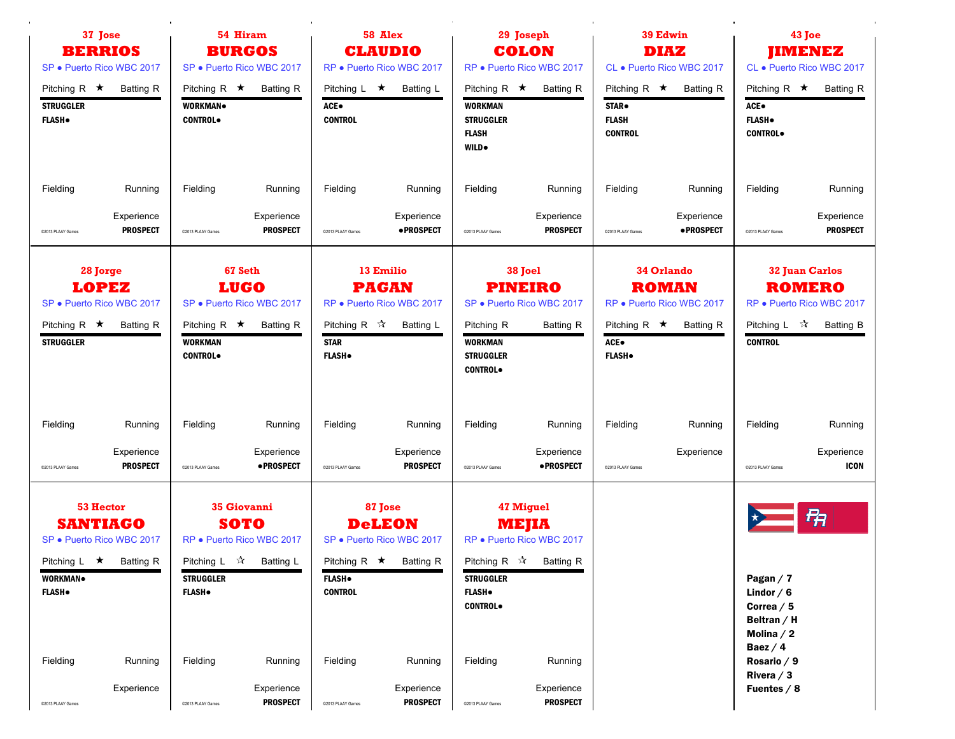| 37 Jose<br><b>BERRIOS</b><br>SP · Puerto Rico WBC 2017                                                                                     | 54 Hiram<br><b>BURGOS</b><br>SP . Puerto Rico WBC 2017 |                                                                                                                                  |                                     |                                                           | 58 Alex<br><b>CLAUDIO</b><br>RP · Puerto Rico WBC 2017                                                         |                                                                                   | 29 Joseph<br><b>COLON</b><br>RP · Puerto Rico WBC 2017                                                                     |                                                               | 39 Edwin<br><b>DIAZ</b><br>CL . Puerto Rico WBC 2017                               |                                                                                                                                         | 43 Joe<br><b>JIMENEZ</b><br>CL · Puerto Rico WBC 2017                                          |
|--------------------------------------------------------------------------------------------------------------------------------------------|--------------------------------------------------------|----------------------------------------------------------------------------------------------------------------------------------|-------------------------------------|-----------------------------------------------------------|----------------------------------------------------------------------------------------------------------------|-----------------------------------------------------------------------------------|----------------------------------------------------------------------------------------------------------------------------|---------------------------------------------------------------|------------------------------------------------------------------------------------|-----------------------------------------------------------------------------------------------------------------------------------------|------------------------------------------------------------------------------------------------|
| Pitching R $\star$<br><b>STRUGGLER</b><br><b>FLASH</b> .                                                                                   | <b>Batting R</b>                                       | Pitching R $\star$<br><b>WORKMAN</b><br><b>CONTROL</b> .                                                                         | <b>Batting R</b>                    | Pitching $L \star$<br>ACE●<br><b>CONTROL</b>              | Batting L                                                                                                      | Pitching R $\star$<br><b>WORKMAN</b><br><b>STRUGGLER</b><br><b>FLASH</b><br>WILD. | <b>Batting R</b>                                                                                                           | Pitching R $\star$<br>STAR.<br><b>FLASH</b><br><b>CONTROL</b> | Batting R                                                                          | Pitching R $\star$<br>ACE●<br><b>FLASH</b> .<br><b>CONTROL</b>                                                                          | <b>Batting R</b>                                                                               |
| Fielding                                                                                                                                   | Running                                                | Fielding                                                                                                                         | Running                             | Fielding                                                  | Running                                                                                                        | Fielding                                                                          | Running                                                                                                                    | Fielding                                                      | Running                                                                            | Fielding                                                                                                                                | Running                                                                                        |
| @2013 PLAAY Games                                                                                                                          | Experience<br><b>PROSPECT</b>                          | @2013 PLAAY Games                                                                                                                | Experience<br><b>PROSPECT</b>       | @2013 PLAAY Games                                         | Experience<br>• PROSPECT                                                                                       | @2013 PLAAY Games                                                                 | Experience<br><b>PROSPECT</b>                                                                                              | @2013 PLAAY Games                                             | Experience<br>• PROSPECT                                                           | @2013 PLAAY Games                                                                                                                       | Experience<br><b>PROSPECT</b>                                                                  |
| 28 Jorge<br><b>LOPEZ</b><br>SP · Puerto Rico WBC 2017<br>Pitching R $\star$<br><b>STRUGGLER</b>                                            | <b>Batting R</b>                                       | 67 Seth<br><b>LUGO</b><br>SP . Puerto Rico WBC 2017<br>Pitching R $\star$<br><b>WORKMAN</b><br><b>CONTROL</b>                    | <b>Batting R</b>                    | Pitching R $\mathcal{R}$<br><b>STAR</b><br><b>FLASH</b> . | 13 Emilio<br><b>PAGAN</b><br>RP · Puerto Rico WBC 2017<br>Batting L                                            | Pitching R<br><b>WORKMAN</b><br><b>STRUGGLER</b><br><b>CONTROL</b>                | 38 Joel<br><b>PINEIRO</b><br>SP . Puerto Rico WBC 2017<br>Batting R                                                        | Pitching R $\star$<br>ACE.<br><b>FLASH</b> .                  | <b>34 Orlando</b><br><b>ROMAN</b><br>RP · Puerto Rico WBC 2017<br><b>Batting R</b> | <b>CONTROL</b>                                                                                                                          | 32 Juan Carlos<br><b>ROMERO</b><br>RP · Puerto Rico WBC 2017<br>Pitching L $\vec{x}$ Batting B |
| Fielding<br>@2013 PLAAY Games                                                                                                              | Running<br>Experience<br><b>PROSPECT</b>               | Fielding<br>@2013 PLAAY Games                                                                                                    | Running<br>Experience<br>• PROSPECT | Fielding<br>@2013 PLAAY Games                             | Running<br>Experience<br><b>PROSPECT</b>                                                                       | Fielding<br>@2013 PLAAY Games                                                     | Running<br>Experience<br>• PROSPECT                                                                                        | Fielding<br>@2013 PLAAY Games                                 | Running<br>Experience                                                              | Fielding<br>@2013 PLAAY Games                                                                                                           | Running<br>Experience<br><b>ICON</b>                                                           |
| <b>53 Hector</b><br><b>SANTIAGO</b><br>SP · Puerto Rico WBC 2017<br>Pitching L $\star$ Batting R<br>WORKMAN.<br><b>FLASH</b> .<br>Fielding | <b>FLASH</b> .<br>Running<br>Experience                | <b>35 Giovanni</b><br><b>SOTO</b><br>RP · Puerto Rico WBC 2017<br>Pitching L $\vec{X}$ Batting L<br><b>STRUGGLER</b><br>Fielding | Running<br>Experience               | <b>FLASH</b> .<br><b>CONTROL</b><br>Fielding              | 87 Jose<br><b>DeLEON</b><br>SP . Puerto Rico WBC 2017<br>Pitching R $\star$ Batting R<br>Running<br>Experience | <b>STRUGGLER</b><br><b>FLASH</b> .<br><b>CONTROL</b><br>Fielding                  | <b>47 Miguel</b><br>MEJIA<br>RP · Puerto Rico WBC 2017<br>Pitching R $\mathbb{\hat{X}}$ Batting R<br>Running<br>Experience |                                                               |                                                                                    | Pagan $/7$<br>Lindor $/ 6$<br>Correa $/ 5 $<br>Beltran / $H$<br>Molina $/2$<br>Baez $/4$<br>Rosario / 9<br>Rivera $/3$<br>Fuentes $/ 8$ | 曱                                                                                              |
| @2013 PLAAY Games                                                                                                                          |                                                        | @2013 PLAAY Games                                                                                                                | <b>PROSPECT</b>                     | @2013 PLAAY Games                                         | <b>PROSPECT</b>                                                                                                | @2013 PLAAY Games                                                                 | <b>PROSPECT</b>                                                                                                            |                                                               |                                                                                    |                                                                                                                                         |                                                                                                |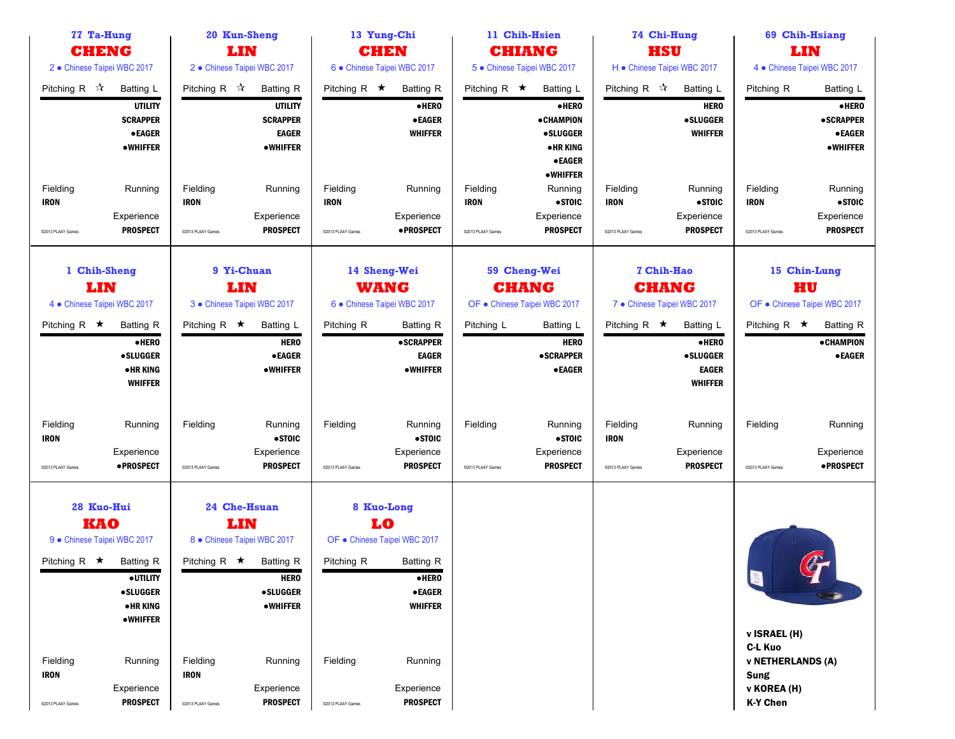| 77 Ta-Hung<br><b>CHENG</b>                                                    |                                                                                                        |                                              | 20 Kun-Sheng                                                                                                  | 13 Yung-Chi                                                |                                                                                                                |                                                              | 11 Chih-Hsien                                                                          | 74 Chi-Hung                                  |                                                                         |                                                                                                             | 69 Chih-Hsiang                                         |  |
|-------------------------------------------------------------------------------|--------------------------------------------------------------------------------------------------------|----------------------------------------------|---------------------------------------------------------------------------------------------------------------|------------------------------------------------------------|----------------------------------------------------------------------------------------------------------------|--------------------------------------------------------------|----------------------------------------------------------------------------------------|----------------------------------------------|-------------------------------------------------------------------------|-------------------------------------------------------------------------------------------------------------|--------------------------------------------------------|--|
|                                                                               |                                                                                                        |                                              | LIN                                                                                                           |                                                            | <b>CHEN</b>                                                                                                    |                                                              | <b>CHIANG</b>                                                                          | <b>HSU</b>                                   |                                                                         |                                                                                                             | LIN                                                    |  |
| 2 · Chinese Taipei WBC 2017                                                   |                                                                                                        |                                              | 2 · Chinese Taipei WBC 2017                                                                                   |                                                            | 6 · Chinese Taipei WBC 2017                                                                                    |                                                              | 5 · Chinese Taipei WBC 2017                                                            | H · Chinese Taipei WBC 2017                  |                                                                         |                                                                                                             | 4 • Chinese Taipei WBC 2017                            |  |
| Pitching R $\sqrt{\lambda}$                                                   | Batting L                                                                                              | Pitching R $\mathcal{R}$                     | <b>Batting R</b>                                                                                              | Pitching R $\star$                                         | <b>Batting R</b>                                                                                               | Pitching R $\star$                                           | <b>Batting L</b>                                                                       | Pitching R $\mathbb{\hat{X}}$                | Batting L                                                               | Pitching R                                                                                                  | <b>Batting L</b>                                       |  |
|                                                                               | <b>UTILITY</b><br><b>SCRAPPER</b><br><b>•EAGER</b><br>•WHIFFER                                         |                                              | <b>UTILITY</b><br><b>SCRAPPER</b><br><b>EAGER</b><br><b>•WHIFFER</b>                                          |                                                            | $\bullet$ HERO<br><b>•EAGER</b><br><b>WHIFFER</b>                                                              |                                                              | ·HERO<br><b>•CHAMPION</b><br><b>•SLUGGER</b><br>• HR KING<br><b>•EAGER</b><br>•WHIFFER |                                              | <b>HERO</b><br><b>•SLUGGER</b><br><b>WHIFFER</b>                        |                                                                                                             | ·HERO<br><b>•SCRAPPER</b><br><b>•EAGER</b><br>•WHIFFER |  |
| Fielding<br><b>IRON</b>                                                       | Running<br>Experience                                                                                  | Fielding<br><b>IRON</b>                      | Running<br>Experience                                                                                         | Fielding<br><b>IRON</b>                                    | Running<br>Experience                                                                                          | Fielding<br><b>IRON</b>                                      | Running<br>•STOIC<br>Experience                                                        | Fielding<br><b>IRON</b>                      | Running<br>$•$ STOIC<br>Experience                                      | Fielding<br><b>IRON</b>                                                                                     | Running<br>• STOIC<br>Experience                       |  |
| @2013 PLAAY Games                                                             | <b>PROSPECT</b>                                                                                        | @2013 PLAAY Games                            | <b>PROSPECT</b>                                                                                               | @2013 PLAAY Games                                          | ·PROSPECT                                                                                                      | @2013 PLAAY Games                                            | <b>PROSPECT</b>                                                                        | @2013 PLAAY Games                            | <b>PROSPECT</b>                                                         | ©2013 PLAAY Games                                                                                           | <b>PROSPECT</b>                                        |  |
|                                                                               | 1 Chih-Sheng<br>9 Yi-Chuan<br>LIN<br>LIN<br>4 • Chinese Taipei WBC 2017<br>3 · Chinese Taipei WBC 2017 |                                              |                                                                                                               | 14 Sheng-Wei<br><b>WANG</b><br>6 · Chinese Taipei WBC 2017 |                                                                                                                | 59 Cheng-Wei<br><b>CHANG</b><br>OF . Chinese Taipei WBC 2017 |                                                                                        | <b>CHANG</b><br>7 · Chinese Taipei WBC 2017  | 7 Chih-Hao                                                              | 15 Chin-Lung<br>HU<br>OF · Chinese Taipei WBC 2017                                                          |                                                        |  |
| Pitching R $\star$                                                            | <b>Batting R</b><br>$\bullet$ HERO<br><b>•SLUGGER</b><br>• HR KING<br><b>WHIFFER</b>                   | Pitching R $\star$                           | Batting L<br><b>HERO</b><br><b>•EAGER</b><br><b>•WHIFFER</b>                                                  | Pitching R                                                 | Batting R<br><b>•SCRAPPER</b><br><b>EAGER</b><br><b>•WHIFFER</b>                                               | Pitching L                                                   | <b>Batting L</b><br><b>HERO</b><br><b>•SCRAPPER</b><br><b>•EAGER</b>                   | Pitching R $\star$                           | Batting L<br>·HERO<br><b>•SLUGGER</b><br><b>EAGER</b><br><b>WHIFFER</b> | Pitching R $\star$                                                                                          | <b>Batting R</b><br><b>•CHAMPION</b><br><b>•EAGER</b>  |  |
| Fielding<br><b>IRON</b><br>C2013 PLAAY Games                                  | Running<br>Experience<br>• PROSPECT                                                                    | Fielding<br>@2013 PLAAY Games                | Running<br>• STOIC<br>Experience<br><b>PROSPECT</b>                                                           | Fielding<br>@2013 PLAAY Games                              | Running<br>$\bullet$ STOIC<br>Experience<br><b>PROSPECT</b>                                                    | Fielding<br>@2013 PLAAY Games                                | Running<br>•STOIC<br>Experience<br><b>PROSPECT</b>                                     | Fielding<br><b>IRON</b><br>@2013 PLAAY Games | Running<br>Experience<br><b>PROSPECT</b>                                | Fielding<br>@2013 PLAAY Games                                                                               | Running<br>Experience<br>• PROSPECT                    |  |
| 28 Kuo-Hui<br><b>KAO</b><br>9 · Chinese Taipei WBC 2017<br>Pitching R $\star$ | <b>Batting R</b><br><b>•UTILITY</b><br><b>•SLUGGER</b><br>• HR KING<br><b>•WHIFFER</b>                 | Pitching R $\star$                           | 24 Che-Hsuan<br>LIN<br>8 · Chinese Taipei WBC 2017<br>Batting R<br><b>HERO</b><br><b>•SLUGGER</b><br>•WHIFFER | Pitching R                                                 | 8 Kuo-Long<br>LO<br>OF · Chinese Taipei WBC 2017<br>Batting R<br>$e$ HERO<br>$\bullet$ EAGER<br><b>WHIFFER</b> |                                                              |                                                                                        |                                              |                                                                         | Q                                                                                                           | C                                                      |  |
| Fielding<br><b>IRON</b><br>@2013 PLAAY Games                                  | Running<br>Experience<br><b>PROSPECT</b>                                                               | Fielding<br><b>IRON</b><br>@2013 PLAAY Games | Running<br>Experience<br><b>PROSPECT</b>                                                                      | Fielding<br>@2013 PLAAY Games                              | Running<br>Experience<br><b>PROSPECT</b>                                                                       |                                                              |                                                                                        |                                              |                                                                         | <b>v ISRAEL (H)</b><br>C-L Kuo<br><b>v NETHERLANDS (A)</b><br><b>Sung</b><br>v KOREA (H)<br><b>K-Y Chen</b> |                                                        |  |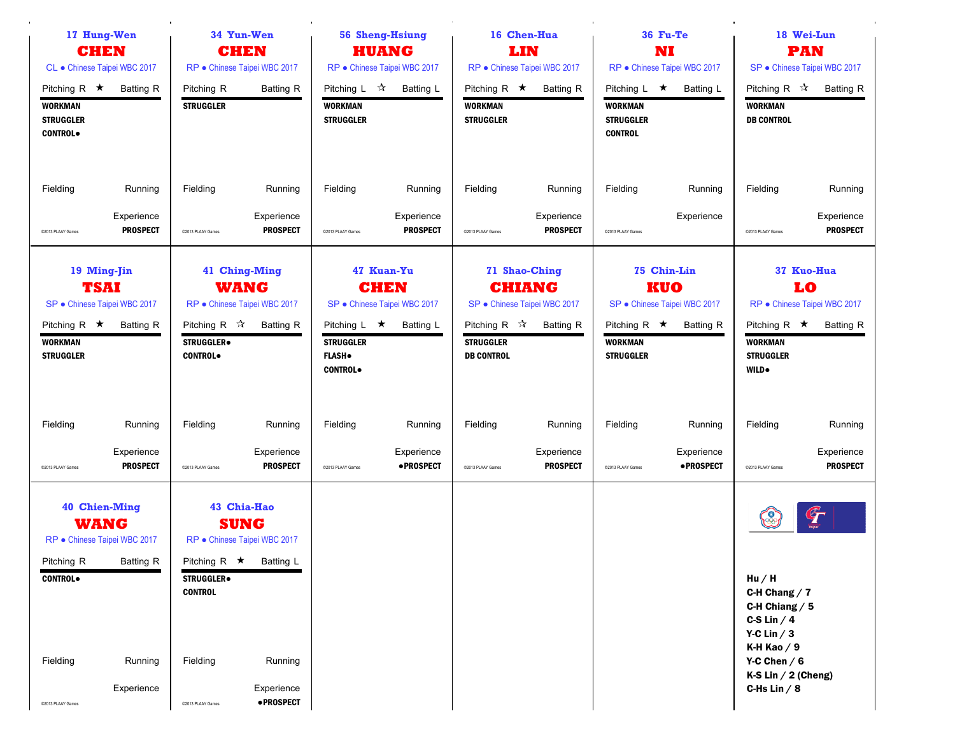| 17 Hung-Wen<br><b>CHEN</b><br>CL · Chinese Taipei WBC 2017                                                             |                                          | 34 Yun-Wen<br><b>CHEN</b>                                                        |                                                                                  | 56 Sheng-Hsiung<br><b>HUANG</b>                                              |                                                                        | 16 Chen-Hua<br>LIN                                                |                                                                                    | 36 Fu-Te<br>NI                                                             |                                                                 | 18 Wei-Lun<br><b>PAN</b>                                                                                                                    |                                                                      |
|------------------------------------------------------------------------------------------------------------------------|------------------------------------------|----------------------------------------------------------------------------------|----------------------------------------------------------------------------------|------------------------------------------------------------------------------|------------------------------------------------------------------------|-------------------------------------------------------------------|------------------------------------------------------------------------------------|----------------------------------------------------------------------------|-----------------------------------------------------------------|---------------------------------------------------------------------------------------------------------------------------------------------|----------------------------------------------------------------------|
| Pitching R $\star$<br><b>WORKMAN</b><br><b>STRUGGLER</b><br><b>CONTROL</b>                                             | <b>Batting R</b>                         | Pitching R<br><b>STRUGGLER</b>                                                   | RP · Chinese Taipei WBC 2017<br><b>Batting R</b>                                 | Pitching L $\sqrt{\lambda}$<br><b>WORKMAN</b><br><b>STRUGGLER</b>            | RP · Chinese Taipei WBC 2017<br>Batting L                              | Pitching R $\star$<br><b>WORKMAN</b><br><b>STRUGGLER</b>          | RP · Chinese Taipei WBC 2017<br><b>Batting R</b>                                   | Pitching L $\star$<br><b>WORKMAN</b><br><b>STRUGGLER</b><br><b>CONTROL</b> | RP · Chinese Taipei WBC 2017<br>Batting L                       | Pitching R $\sqrt{x}$<br><b>WORKMAN</b><br><b>DB CONTROL</b>                                                                                | SP · Chinese Taipei WBC 2017<br><b>Batting R</b>                     |
| Fielding<br>@2013 PLAAY Games                                                                                          | Running<br>Experience<br><b>PROSPECT</b> | Fielding<br>@2013 PLAAY Games                                                    | Running<br>Experience<br><b>PROSPECT</b>                                         | Fielding<br>@2013 PLAAY Games                                                | Running<br>Experience<br><b>PROSPECT</b>                               | Fielding<br>@2013 PLAAY Games                                     | Running<br>Experience<br><b>PROSPECT</b>                                           | Fielding<br>@2013 PLAAY Games                                              | Running<br>Experience                                           | Fielding<br>@2013 PLAAY Games                                                                                                               | Running<br>Experience<br><b>PROSPECT</b>                             |
| 19 Ming-Jin<br><b>TSAI</b><br>SP · Chinese Taipei WBC 2017<br>Pitching R $\star$<br><b>WORKMAN</b><br><b>STRUGGLER</b> | <b>Batting R</b>                         | Pitching R $\sqrt{\lambda}$<br><b>STRUGGLER</b> <sup>®</sup><br><b>CONTROL</b> . | 41 Ching-Ming<br><b>WANG</b><br>RP · Chinese Taipei WBC 2017<br><b>Batting R</b> | Pitching $L \star$<br><b>STRUGGLER</b><br><b>FLASH</b> .<br><b>CONTROL</b> . | 47 Kuan-Yu<br><b>CHEN</b><br>SP · Chinese Taipei WBC 2017<br>Batting L | Pitching R $\mathcal{R}$<br><b>STRUGGLER</b><br><b>DB CONTROL</b> | 71 Shao-Ching<br><b>CHIANG</b><br>SP · Chinese Taipei WBC 2017<br><b>Batting R</b> | Pitching R $\star$<br><b>WORKMAN</b><br><b>STRUGGLER</b>                   | 75 Chin-Lin<br>KUO<br>SP · Chinese Taipei WBC 2017<br>Batting R | Pitching R $\star$<br><b>WORKMAN</b><br><b>STRUGGLER</b><br><b>WILD</b> .                                                                   | 37 Kuo-Hua<br>LO<br>RP · Chinese Taipei WBC 2017<br><b>Batting R</b> |
| Fielding<br>@2013 PLAAY Games                                                                                          | Running<br>Experience<br><b>PROSPECT</b> | Fielding<br>@2013 PLAAY Games                                                    | Running<br>Experience<br><b>PROSPECT</b>                                         | Fielding<br>@2013 PLAAY Games                                                | Running<br>Experience<br>• PROSPECT                                    | Fielding<br>@2013 PLAAY Games                                     | Running<br>Experience<br><b>PROSPECT</b>                                           | Fielding<br>@2013 PLAAY Games                                              | Running<br>Experience<br>• PROSPECT                             | Fielding<br>@2013 PLAAY Games                                                                                                               | Running<br>Experience<br><b>PROSPECT</b>                             |
| <b>40 Chien-Ming</b><br><b>WANG</b><br>RP · Chinese Taipei WBC 2017<br>Pitching R<br><b>CONTROL</b><br>Fielding        | <b>Batting R</b><br>Running              | Pitching R $\star$ Batting L<br><b>STRUGGLER</b><br><b>CONTROL</b><br>Fielding   | 43 Chia-Hao<br><b>SUNG</b><br>RP · Chinese Taipei WBC 2017<br>Running            |                                                                              |                                                                        |                                                                   |                                                                                    |                                                                            |                                                                 | ( တိ<br>Hu/H<br>C-H Chang $/7$<br>C-H Chiang $/5$<br>C-S Lin $/4$<br>Y-C Lin $/3$<br>K-H Kao $/9$<br>Y-C Chen $/6$<br>K-S Lin $/$ 2 (Cheng) | $\mathcal{F}$                                                        |
| @2013 PLAAY Games                                                                                                      | Experience                               | @2013 PLAAY Games                                                                | Experience<br><b>•PROSPECT</b>                                                   |                                                                              |                                                                        |                                                                   |                                                                                    |                                                                            |                                                                 | C-Hs Lin $/ 8$                                                                                                                              |                                                                      |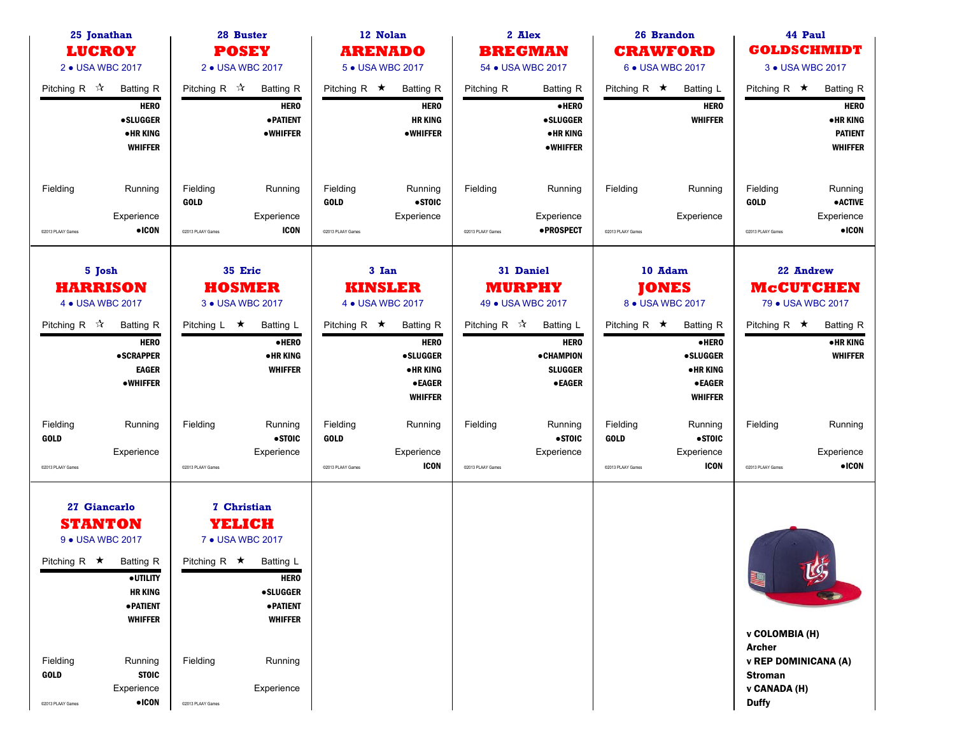| 25 Jonathan<br><b>LUCROY</b><br>2 • USA WBC 2017                                                         |                                                                                                                                                   |                                                     | 28 Buster<br><b>POSEY</b><br>2 • USA WBC 2017                                                                                                                  |                                              | 12 Nolan<br><b>ARENADO</b><br>5 • USA WBC 2017                                                       |                               | 2 Alex<br><b>BREGMAN</b><br>54 • USA WBC 2017                                   |                                              | 26 Brandon<br><b>CRAWFORD</b><br>6 • USA WBC 2017                                                 |                                                                                        | 44 Paul<br><b>GOLDSCHMIDT</b><br>3 • USA WBC 2017  |
|----------------------------------------------------------------------------------------------------------|---------------------------------------------------------------------------------------------------------------------------------------------------|-----------------------------------------------------|----------------------------------------------------------------------------------------------------------------------------------------------------------------|----------------------------------------------|------------------------------------------------------------------------------------------------------|-------------------------------|---------------------------------------------------------------------------------|----------------------------------------------|---------------------------------------------------------------------------------------------------|----------------------------------------------------------------------------------------|----------------------------------------------------|
| Pitching R $\mathbb{\hat{X}}$                                                                            | <b>Batting R</b><br><b>HERO</b>                                                                                                                   | Pitching R $\sqrt{\lambda}$                         | <b>Batting R</b><br><b>HERO</b>                                                                                                                                | Pitching R $\star$                           | <b>Batting R</b><br><b>HERO</b>                                                                      | Pitching R                    | <b>Batting R</b><br>$\bullet$ HERO                                              | Pitching R $\star$                           | Batting L<br><b>HERO</b>                                                                          | Pitching R $\star$                                                                     | <b>Batting R</b><br><b>HERO</b>                    |
|                                                                                                          | <b>•SLUGGER</b><br>• HR KING<br><b>WHIFFER</b>                                                                                                    |                                                     | <b>• PATIENT</b><br><b>•WHIFFER</b>                                                                                                                            |                                              | <b>HR KING</b><br><b>•WHIFFER</b>                                                                    |                               | <b>•SLUGGER</b><br><b>•HRKING</b><br><b>•WHIFFER</b>                            |                                              | <b>WHIFFER</b>                                                                                    |                                                                                        | <b>•HRKING</b><br><b>PATIENT</b><br><b>WHIFFER</b> |
| Fielding                                                                                                 | Running<br>Experience                                                                                                                             | Fielding<br><b>GOLD</b>                             | Running<br>Experience                                                                                                                                          | Fielding<br><b>GOLD</b>                      | Running<br>•STOIC<br>Experience                                                                      | Fielding                      | Running<br>Experience                                                           | Fielding                                     | Running<br>Experience                                                                             | Fielding<br><b>GOLD</b>                                                                | Running<br><b>•ACTIVE</b><br>Experience            |
| @2013 PLAAY Games                                                                                        | $\bullet$ ICON                                                                                                                                    | @2013 PLAAY Games                                   | <b>ICON</b>                                                                                                                                                    | C2013 PLAAY Games                            |                                                                                                      | @2013 PLAAY Games             | <b>•PROSPECT</b>                                                                | C2013 PLAAY Games                            |                                                                                                   | @2013 PLAAY Games                                                                      | $\bullet$ ICON                                     |
|                                                                                                          | 35 Eric<br>5 Josh<br><b>HARRISON</b><br><b>HOSMER</b><br>4 • USA WBC 2017<br>3 • USA WBC 2017                                                     |                                                     |                                                                                                                                                                |                                              | 3 Ian<br><b>KINSLER</b><br>4 • USA WBC 2017                                                          |                               | 31 Daniel<br><b>MURPHY</b><br>49 • USA WBC 2017                                 |                                              | 10 Adam<br><b>JONES</b><br>8 • USA WBC 2017                                                       | 22 Andrew<br><b>McCUTCHEN</b><br>79 • USA WBC 2017                                     |                                                    |
| Pitching R $\mathbb{\hat{X}}$                                                                            | <b>Batting R</b><br><b>HERO</b><br>• SCRAPPER<br><b>EAGER</b><br><b>•WHIFFER</b>                                                                  | Pitching $L \star$                                  | <b>Batting L</b><br>$\bullet$ HERO<br><b>•HRKING</b><br><b>WHIFFER</b>                                                                                         | Pitching R $\star$                           | <b>Batting R</b><br><b>HERO</b><br><b>•SLUGGER</b><br>• HR KING<br>$\bullet$ EAGER<br><b>WHIFFER</b> | Pitching R $\mathbb{\hat{A}}$ | Batting L<br><b>HERO</b><br><b>•CHAMPION</b><br><b>SLUGGER</b><br><b>•EAGER</b> | Pitching R $\star$                           | <b>Batting R</b><br>·HERO<br><b>•SLUGGER</b><br><b>•HRKING</b><br><b>•EAGER</b><br><b>WHIFFER</b> | Pitching R $\star$                                                                     | <b>Batting R</b><br>• HR KING<br><b>WHIFFER</b>    |
| Fielding<br><b>GOLD</b><br>@2013 PLAAY Games                                                             | Running<br>Experience                                                                                                                             | Fielding<br>@2013 PLAAY Games                       | Running<br>•STOIC<br>Experience                                                                                                                                | Fielding<br><b>GOLD</b><br>@2013 PLAAY Games | Running<br>Experience<br><b>ICON</b>                                                                 | Fielding<br>@2013 PLAAY Games | Running<br>• STOIC<br>Experience                                                | Fielding<br><b>GOLD</b><br>@2013 PLAAY Games | Running<br>•STOIC<br>Experience<br><b>ICON</b>                                                    | Fielding<br>@2013 PLAAY Games                                                          | Running<br>Experience<br>$\bullet$ ICON            |
| <b>STANTON</b><br>9 • USA WBC 2017<br>Pitching R $\star$<br>Fielding<br><b>GOLD</b><br>@2013 PLAAY Games | 27 Giancarlo<br>Batting R<br>·UTILITY<br><b>HR KING</b><br>· PATIENT<br><b>WHIFFER</b><br>Running<br><b>STOIC</b><br>Experience<br>$\bullet$ ICON | Pitching R $\star$<br>Fielding<br>@2013 PLAAY Games | 7 Christian<br>YELICH<br>7 • USA WBC 2017<br><b>Batting L</b><br><b>HERO</b><br><b>•SLUGGER</b><br><b>• PATIENT</b><br><b>WHIFFER</b><br>Running<br>Experience |                                              |                                                                                                      |                               |                                                                                 |                                              |                                                                                                   | 聖<br>v COLOMBIA (H)<br><b>Archer</b><br><b>Stroman</b><br>v CANADA (H)<br><b>Duffy</b> | $\mathcal{G}_2$<br>v REP DOMINICANA (A)            |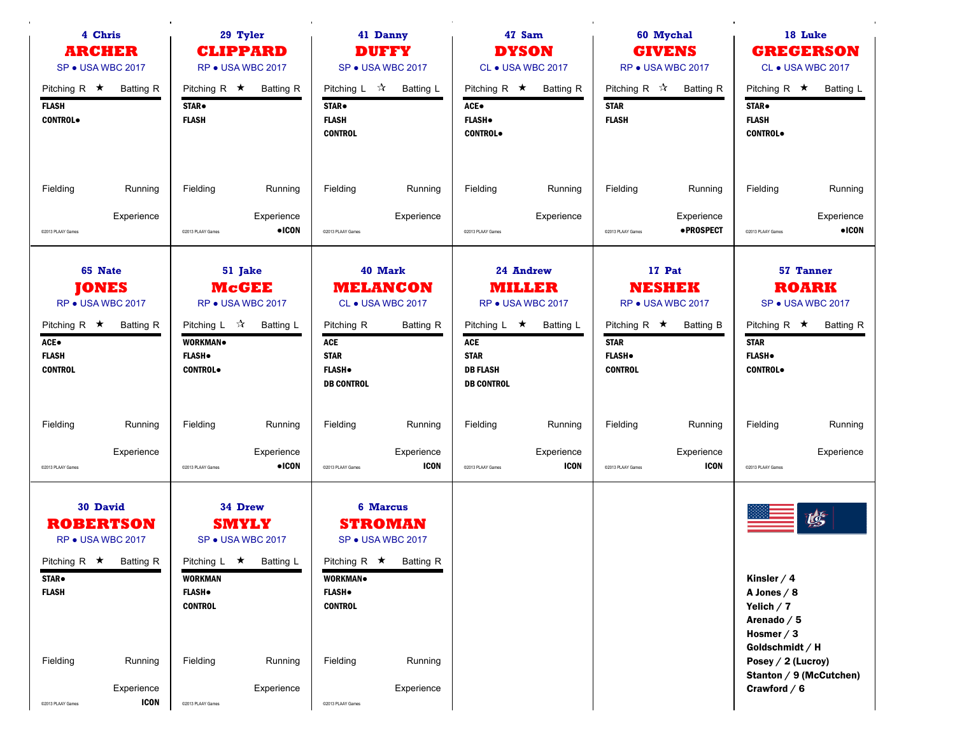|                                                      | 4 Chris<br><b>ARCHER</b><br>SP . USA WBC 2017                                            | 29 Tyler<br><b>CLIPPARD</b><br>RP . USA WBC 2017                     |                                                                        | 41 Danny<br><b>DUFFY</b><br>SP . USA WBC 2017                                |                                                                                        | 47 Sam<br><b>DYSON</b><br>CL • USA WBC 2017                                             |                                                              |                                                                       | 60 Mychal<br><b>GIVENS</b><br>RP . USA WBC 2017           | 18 Luke<br><b>GREGERSON</b><br>CL • USA WBC 2017<br>Pitching R $\star$                                           |                                                                           |  |
|------------------------------------------------------|------------------------------------------------------------------------------------------|----------------------------------------------------------------------|------------------------------------------------------------------------|------------------------------------------------------------------------------|----------------------------------------------------------------------------------------|-----------------------------------------------------------------------------------------|--------------------------------------------------------------|-----------------------------------------------------------------------|-----------------------------------------------------------|------------------------------------------------------------------------------------------------------------------|---------------------------------------------------------------------------|--|
| Pitching R $\star$<br><b>FLASH</b><br><b>CONTROL</b> | <b>Batting R</b>                                                                         | Pitching R $\star$<br>STAR.<br><b>FLASH</b>                          | <b>Batting R</b>                                                       | Pitching L $\sqrt{2}$<br>STAR <sup>.</sup><br><b>FLASH</b><br><b>CONTROL</b> | <b>Batting L</b>                                                                       | Pitching R $\star$<br>ACE.<br><b>FLASH</b> .<br><b>CONTROL</b>                          | <b>Batting R</b>                                             | Pitching R $\mathcal{R}$<br><b>STAR</b><br><b>FLASH</b>               | <b>Batting R</b>                                          | STAR.<br><b>FLASH</b><br><b>CONTROL</b>                                                                          | Batting L                                                                 |  |
| Fielding                                             | Running                                                                                  | Fielding                                                             | Running                                                                | Fielding                                                                     | Running                                                                                | Fielding                                                                                | Running                                                      | Fielding                                                              | Running                                                   | Fielding                                                                                                         | Running                                                                   |  |
| @2013 PLAAY Games                                    | Experience                                                                               | @2013 PLAAY Games                                                    | Experience<br>$\bullet$ ICON                                           | @2013 PLAAY Games                                                            | Experience                                                                             | @2013 PLAAY Games                                                                       | Experience                                                   | @2013 PLAAY Games                                                     | Experience<br>• PROSPECT                                  | @2013 PLAAY Games                                                                                                | Experience<br>$\bullet$ ICON                                              |  |
| ACE.<br><b>FLASH</b><br><b>CONTROL</b>               | 65 Nate<br><b>JONES</b><br>RP . USA WBC 2017<br>Pitching R $\star$ Batting R             | Pitching L ☆<br><b>WORKMAN</b><br><b>FLASH</b> .<br><b>CONTROL</b> . | 51 Jake<br><b>McGEE</b><br>RP . USA WBC 2017<br>Batting L              | Pitching R<br>ACE<br><b>STAR</b><br><b>FLASH</b> .<br><b>DB CONTROL</b>      | 40 Mark<br><b>MELANCON</b><br>CL • USA WBC 2017<br><b>Batting R</b>                    | Pitching L $\star$<br><b>ACE</b><br><b>STAR</b><br><b>DB FLASH</b><br><b>DB CONTROL</b> | 24 Andrew<br><b>MILLER</b><br>RP . USA WBC 2017<br>Batting L | Pitching R $\star$<br><b>STAR</b><br><b>FLASH</b> .<br><b>CONTROL</b> | 17 Pat<br><b>NESHEK</b><br>RP . USA WBC 2017<br>Batting B | Pitching R $\star$<br><b>STAR</b><br><b>FLASH</b> .<br><b>CONTROL</b> .                                          | <b>57 Tanner</b><br><b>ROARK</b><br>SP . USA WBC 2017<br><b>Batting R</b> |  |
| Fielding                                             | Running                                                                                  | Fielding                                                             | Running                                                                | Fielding                                                                     | Running                                                                                | Fielding                                                                                | Running                                                      | Fielding                                                              | Running                                                   | Fielding                                                                                                         | Running                                                                   |  |
| @2013 PLAAY Games                                    | Experience                                                                               | @2013 PLAAY Games                                                    | Experience<br>$\bullet$ ICON                                           | @2013 PLAAY Games                                                            | Experience<br><b>ICON</b>                                                              | @2013 PLAAY Games                                                                       | Experience<br><b>ICON</b>                                    | @2013 PLAAY Games                                                     | Experience<br><b>ICON</b>                                 | @2013 PLAAY Games                                                                                                | Experience                                                                |  |
| <b>STAR</b> .<br><b>FLASH</b>                        | <b>30 David</b><br><b>ROBERTSON</b><br>RP . USA WBC 2017<br>Pitching R $\star$ Batting R | <b>WORKMAN</b><br><b>FLASH</b> .<br><b>CONTROL</b>                   | 34 Drew<br><b>SMYLY</b><br>SP . USA WBC 2017<br>Pitching L ★ Batting L | WORKMAN.<br><b>FLASH</b> .<br><b>CONTROL</b>                                 | <b>6 Marcus</b><br><b>STROMAN</b><br>SP . USA WBC 2017<br>Pitching R $\star$ Batting R |                                                                                         |                                                              |                                                                       |                                                           | Kinsler $/4$<br>A Jones $/ 8$<br>Yelich $/7$                                                                     | 嗦                                                                         |  |
| Fielding<br>@2013 PLAAY Games                        | Running<br>Experience<br><b>ICON</b>                                                     | Fielding<br>@2013 PLAAY Games                                        | Running<br>Experience                                                  | Fielding<br>@2013 PLAAY Games                                                | Running<br>Experience                                                                  |                                                                                         |                                                              |                                                                       |                                                           | Arenado $/5$<br>Hosmer $/3$<br>Goldschmidt / H<br>Posey / 2 (Lucroy)<br>Stanton / 9 (McCutchen)<br>Crawford $/6$ |                                                                           |  |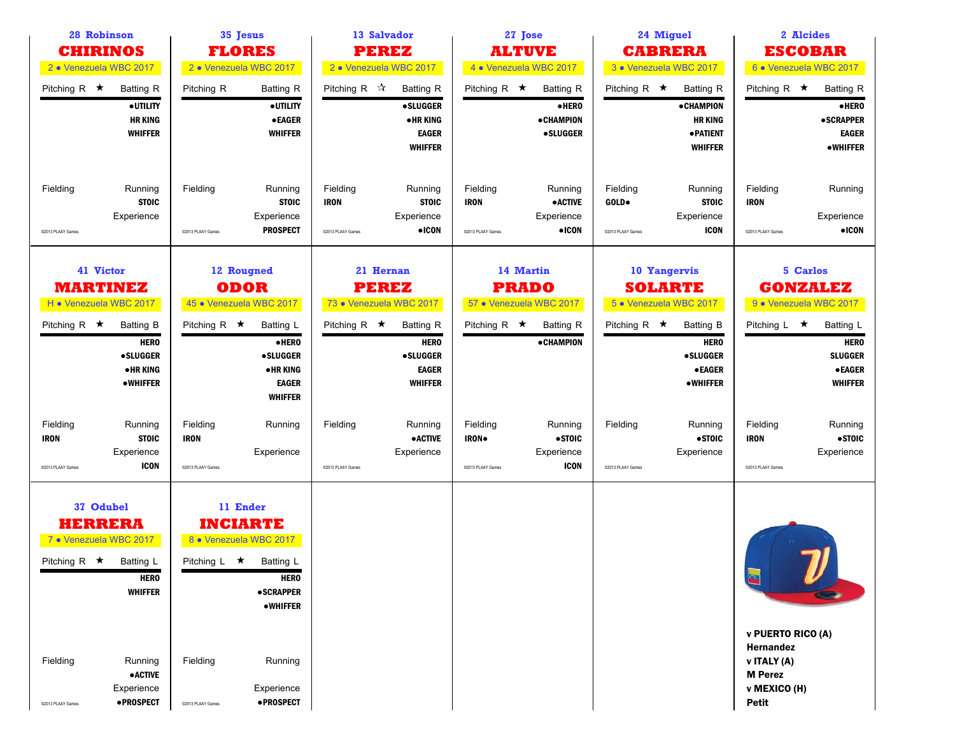| 28 Robinson<br><b>CHIRINOS</b>                      |                                                                                                                                                                    |                                              | 35 Jesus<br><b>FLORES</b>                                                                                                                                                               | 13 Salvador<br><b>PEREZ</b>                                                |                                                                                         |                                              | 27 Jose<br><b>ALTUVE</b>                                                                     |                                        | 24 Miguel<br><b>CABRERA</b>                                                                                                                        |                                                                                                                 | 2 Alcides<br><b>ESCOBAR</b>                                                                                                      |
|-----------------------------------------------------|--------------------------------------------------------------------------------------------------------------------------------------------------------------------|----------------------------------------------|-----------------------------------------------------------------------------------------------------------------------------------------------------------------------------------------|----------------------------------------------------------------------------|-----------------------------------------------------------------------------------------|----------------------------------------------|----------------------------------------------------------------------------------------------|----------------------------------------|----------------------------------------------------------------------------------------------------------------------------------------------------|-----------------------------------------------------------------------------------------------------------------|----------------------------------------------------------------------------------------------------------------------------------|
| 2 · Venezuela WBC 2017                              |                                                                                                                                                                    |                                              | 2 · Venezuela WBC 2017                                                                                                                                                                  | 2 · Venezuela WBC 2017                                                     |                                                                                         |                                              | 4 • Venezuela WBC 2017                                                                       |                                        | 3 · Venezuela WBC 2017                                                                                                                             |                                                                                                                 | 6 . Venezuela WBC 2017                                                                                                           |
| Pitching R $\star$                                  | Batting R<br>· UTILITY<br><b>HR KING</b><br><b>WHIFFER</b>                                                                                                         | Pitching R                                   | <b>Batting R</b><br>· UTILITY<br><b>•EAGER</b><br><b>WHIFFER</b>                                                                                                                        | Pitching R $\mathbb{\hat{X}}$                                              | <b>Batting R</b><br><b>•SLUGGER</b><br><b>•HRKING</b><br><b>EAGER</b><br><b>WHIFFER</b> | Pitching R $\star$                           | <b>Batting R</b><br>·HERO<br><b>•CHAMPION</b><br><b>•SLUGGER</b>                             | Pitching R $\star$                     | Batting R<br><b>• CHAMPION</b><br><b>HR KING</b><br>· PATIENT<br><b>WHIFFER</b>                                                                    | Pitching R $\star$                                                                                              | <b>Batting R</b><br>·HERO<br><b>•SCRAPPER</b><br><b>EAGER</b><br><b>•WHIFFER</b>                                                 |
| Fielding<br>C2013 PLAAY Games                       | Running<br><b>STOIC</b><br>Experience                                                                                                                              | Fielding<br>@2013 PLAAY Games                | Running<br><b>STOIC</b><br>Experience<br><b>PROSPECT</b>                                                                                                                                | Fielding<br><b>IRON</b><br>@2013 PLAAY Games                               | Running<br><b>STOIC</b><br>Experience<br>$\bullet$ ICON                                 | Fielding<br><b>IRON</b><br>@2013 PLAAY Games | Running<br><b>•ACTIVE</b><br>Experience<br>$\bullet$ ICON                                    | Fielding<br>GOLD.<br>@2013 PLAAY Games | Running<br><b>STOIC</b><br>Experience<br><b>ICON</b>                                                                                               | Fielding<br><b>IRON</b><br>@2013 PLAAY Games                                                                    | Running<br>Experience<br>$\bullet$ ICON                                                                                          |
| H . Venezuela WBC 2017<br>Pitching R $\star$        | 41 Victor<br><b>MARTINEZ</b><br><b>Batting B</b><br><b>HERO</b><br><b>•SLUGGER</b><br><b>•HRKING</b><br><b>•WHIFFER</b>                                            | Pitching R $\star$                           | 12 Rougned<br><b>ODOR</b><br>45 · Venezuela WBC 2017<br><b>Batting L</b><br>·HERO<br><b>•SLUGGER</b><br>•HR KING<br><b>EAGER</b>                                                        | 21 Hernan<br><b>PEREZ</b><br>73 · Venezuela WBC 2017<br>Pitching R $\star$ | <b>Batting R</b><br><b>HERO</b><br><b>•SLUGGER</b><br><b>EAGER</b><br><b>WHIFFER</b>    | Pitching R $\star$                           | 14 Martin<br><b>PRADO</b><br>57 · Venezuela WBC 2017<br><b>Batting R</b><br><b>•CHAMPION</b> | Pitching R $\star$                     | 10 Yangervis<br><b>SOLARTE</b><br>5 . Venezuela WBC 2017<br><b>Batting B</b><br><b>HERO</b><br><b>•SLUGGER</b><br><b>•EAGER</b><br><b>•WHIFFER</b> | Pitching $L \star$                                                                                              | 5 Carlos<br><b>GONZALEZ</b><br>9 • Venezuela WBC 2017<br>Batting L<br><b>HERO</b><br><b>SLUGGER</b><br>● EAGER<br><b>WHIFFER</b> |
| Fielding<br><b>IRON</b><br>@2013 PLAAY Games        | Running<br><b>STOIC</b><br>Experience<br><b>ICON</b>                                                                                                               | Fielding<br><b>IRON</b><br>@2013 PLAAY Games | <b>WHIFFER</b><br>Running<br>Experience                                                                                                                                                 | Fielding<br>@2013 PLAAY Games                                              | Running<br><b>•ACTIVE</b><br>Experience                                                 | Fielding<br>IRON.<br>@2013 PLAAY Games       | Running<br>•STOIC<br>Experience<br><b>ICON</b>                                               | Fielding<br>@2013 PLAAY Games          | Running<br>•STOIC<br>Experience                                                                                                                    | Fielding<br><b>IRON</b><br>@2013 PLAAY Games                                                                    | Running<br>•STOIC<br>Experience                                                                                                  |
| Pitching R $\star$<br>Fielding<br>@2013 PLAAY Games | 37 Odubel<br><b>HERRERA</b><br>7 . Venezuela WBC 2017<br>Batting L<br><b>HERO</b><br><b>WHIFFER</b><br>Running<br><b>•ACTIVE</b><br>Experience<br><b>•PROSPECT</b> | Pitching L<br>Fielding<br>@2013 PLAAY Games  | 11 Ender<br><b>INCIARTE</b><br>8 • Venezuela WBC 2017<br>$\star$<br><b>Batting L</b><br><b>HERO</b><br><b>•SCRAPPER</b><br><b>•WHIFFER</b><br>Running<br>Experience<br><b>•PROSPECT</b> |                                                                            |                                                                                         |                                              |                                                                                              |                                        |                                                                                                                                                    | $\mathbf{R}$<br>v PUERTO RICO (A)<br>Hernandez<br>v ITALY (A)<br><b>M</b> Perez<br>v MEXICO (H)<br><b>Petit</b> |                                                                                                                                  |